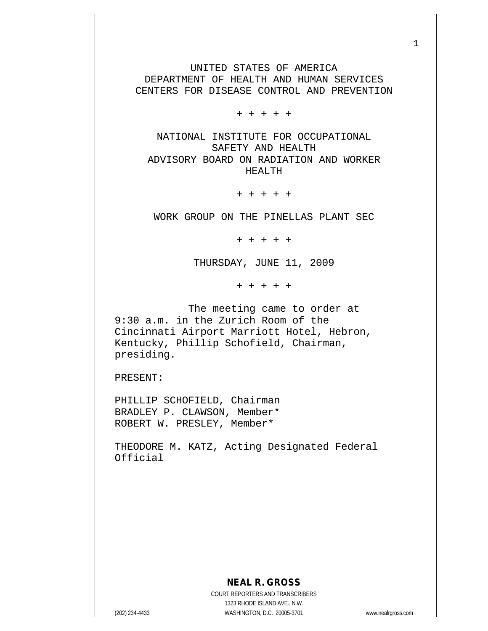UNITED STATES OF AMERICA DEPARTMENT OF HEALTH AND HUMAN SERVICES CENTERS FOR DISEASE CONTROL AND PREVENTION

+ + + + +

NATIONAL INSTITUTE FOR OCCUPATIONAL SAFETY AND HEALTH ADVISORY BOARD ON RADIATION AND WORKER HEALTH

+ + + + +

WORK GROUP ON THE PINELLAS PLANT SEC

+ + + + +

THURSDAY, JUNE 11, 2009

+ + + + +

 The meeting came to order at 9:30 a.m. in the Zurich Room of the Cincinnati Airport Marriott Hotel, Hebron, Kentucky, Phillip Schofield, Chairman, presiding.

PRESENT:

PHILLIP SCHOFIELD, Chairman BRADLEY P. CLAWSON, Member\* ROBERT W. PRESLEY, Member\*

THEODORE M. KATZ, Acting Designated Federal Official

**NEAL R. GROSS**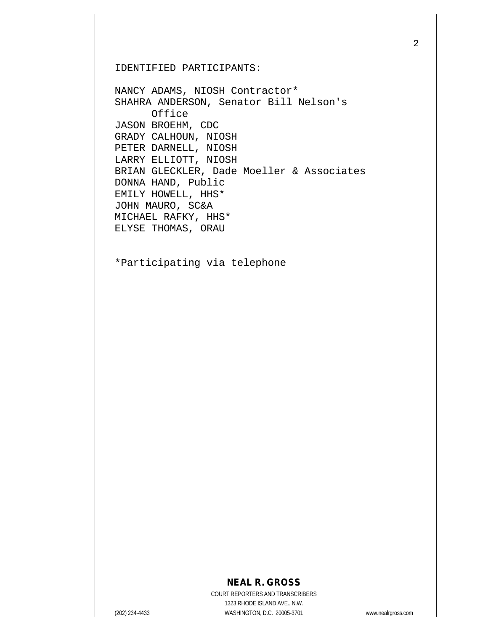IDENTIFIED PARTICIPANTS:

NANCY ADAMS, NIOSH Contractor\* SHAHRA ANDERSON, Senator Bill Nelson's Office JASON BROEHM, CDC GRADY CALHOUN, NIOSH PETER DARNELL, NIOSH LARRY ELLIOTT, NIOSH BRIAN GLECKLER, Dade Moeller & Associates DONNA HAND, Public EMILY HOWELL, HHS\* JOHN MAURO, SC&A MICHAEL RAFKY, HHS\* ELYSE THOMAS, ORAU

\*Participating via telephone

## **NEAL R. GROSS**

COURT REPORTERS AND TRANSCRIBERS 1323 RHODE ISLAND AVE., N.W. (202) 234-4433 WASHINGTON, D.C. 20005-3701 www.nealrgross.com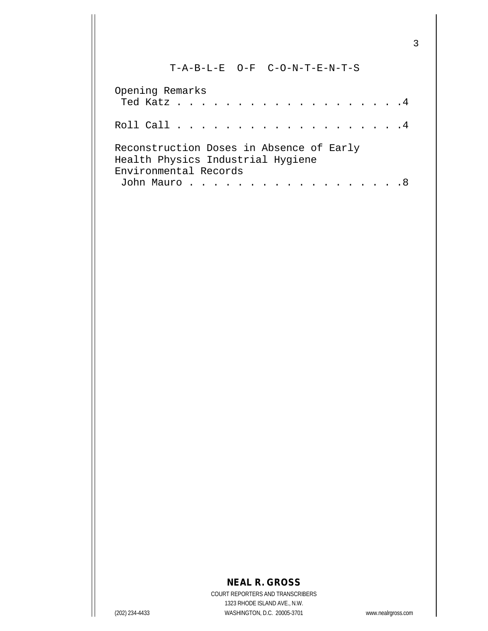## T-A-B-L-E O-F C-O-N-T-E-N-T-S

| Opening Remarks                                                               |  |  |  |  |  |  |  |  |  |  |
|-------------------------------------------------------------------------------|--|--|--|--|--|--|--|--|--|--|
| Ted Katz 4                                                                    |  |  |  |  |  |  |  |  |  |  |
|                                                                               |  |  |  |  |  |  |  |  |  |  |
| Reconstruction Doses in Absence of Early<br>Health Physics Industrial Hygiene |  |  |  |  |  |  |  |  |  |  |
| Environmental Records                                                         |  |  |  |  |  |  |  |  |  |  |
| John Mauro 8                                                                  |  |  |  |  |  |  |  |  |  |  |

## **NEAL R. GROSS**

COURT REPORTERS AND TRANSCRIBERS 1323 RHODE ISLAND AVE., N.W. (202) 234-4433 WASHINGTON, D.C. 20005-3701 www.nealrgross.com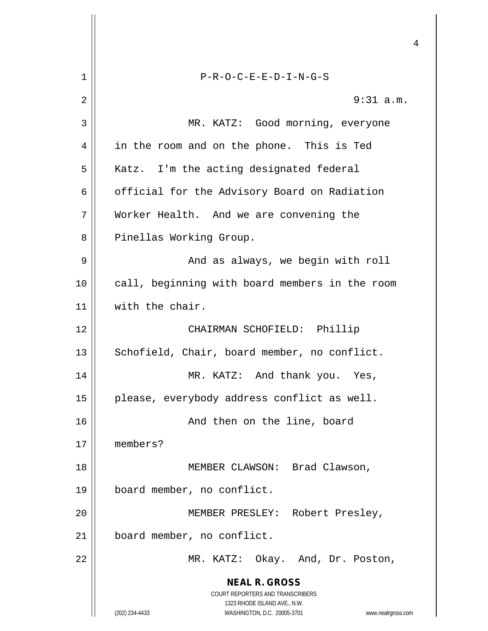|    | 4                                                                                                   |
|----|-----------------------------------------------------------------------------------------------------|
| 1  | $P-R-O-C-E-E-D-I-N-G-S$                                                                             |
| 2  | $9:31$ a.m.                                                                                         |
| 3  | MR. KATZ: Good morning, everyone                                                                    |
| 4  | in the room and on the phone. This is Ted                                                           |
| 5  | Katz. I'm the acting designated federal                                                             |
| 6  | official for the Advisory Board on Radiation                                                        |
| 7  | Worker Health. And we are convening the                                                             |
| 8  | Pinellas Working Group.                                                                             |
| 9  | And as always, we begin with roll                                                                   |
| 10 | call, beginning with board members in the room                                                      |
| 11 | with the chair.                                                                                     |
| 12 | CHAIRMAN SCHOFIELD: Phillip                                                                         |
| 13 | Schofield, Chair, board member, no conflict.                                                        |
| 14 | MR. KATZ: And thank you. Yes,                                                                       |
| 15 | please, everybody address conflict as well.                                                         |
| 16 | And then on the line, board                                                                         |
| 17 | members?                                                                                            |
| 18 | MEMBER CLAWSON: Brad Clawson,                                                                       |
| 19 | board member, no conflict.                                                                          |
| 20 | MEMBER PRESLEY: Robert Presley,                                                                     |
| 21 | board member, no conflict.                                                                          |
| 22 | MR. KATZ: Okay. And, Dr. Poston,                                                                    |
|    | <b>NEAL R. GROSS</b><br>COURT REPORTERS AND TRANSCRIBERS                                            |
|    | 1323 RHODE ISLAND AVE., N.W.<br>(202) 234-4433<br>WASHINGTON, D.C. 20005-3701<br>www.nealrgross.com |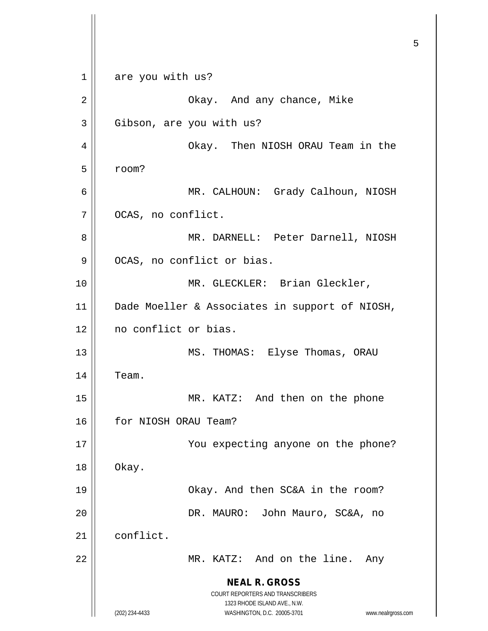**NEAL R. GROSS** COURT REPORTERS AND TRANSCRIBERS 1323 RHODE ISLAND AVE., N.W. (202) 234-4433 WASHINGTON, D.C. 20005-3701 www.nealrgross.com 1 are you with us? 2 Okay. And any chance, Mike 3 | Gibson, are you with us? 4 Okay. Then NIOSH ORAU Team in the  $5 \parallel$  room? 6 MR. CALHOUN: Grady Calhoun, NIOSH 7 | OCAS, no conflict. 8 MR. DARNELL: Peter Darnell, NIOSH 9 | OCAS, no conflict or bias. 10 || MR. GLECKLER: Brian Gleckler, 11 Dade Moeller & Associates in support of NIOSH, 12 || no conflict or bias. 13 || MS. THOMAS: Elyse Thomas, ORAU  $14$  | Team. 15 || MR. KATZ: And then on the phone 16 | for NIOSH ORAU Team? 17 || You expecting anyone on the phone?  $18 \parallel$  Okay. 19 || Chay. And then SC&A in the room? 20 DR. MAURO: John Mauro, SC&A, no 21 conflict. 22 MR. KATZ: And on the line. Any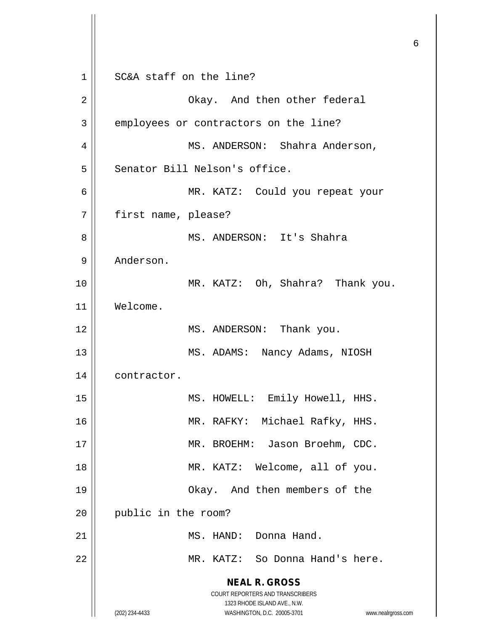**NEAL R. GROSS** COURT REPORTERS AND TRANSCRIBERS 1323 RHODE ISLAND AVE., N.W. (202) 234-4433 WASHINGTON, D.C. 20005-3701 www.nealrgross.com 1 || SC&A staff on the line? 2 Okay. And then other federal 3 employees or contractors on the line? 4 MS. ANDERSON: Shahra Anderson, 5 | Senator Bill Nelson's office. 6 MR. KATZ: Could you repeat your 7 first name, please? 8 MS. ANDERSON: It's Shahra 9 | Anderson. 10 MR. KATZ: Oh, Shahra? Thank you. 11 Welcome. 12 || MS. ANDERSON: Thank you. 13 || MS. ADAMS: Nancy Adams, NIOSH 14 | contractor. 15 || MS. HOWELL: Emily Howell, HHS. 16 || MR. RAFKY: Michael Rafky, HHS. 17 || MR. BROEHM: Jason Broehm, CDC. 18 MR. KATZ: Welcome, all of you. 19 Okay. And then members of the 20 || public in the room? 21 || MS. HAND: Donna Hand. 22 MR. KATZ: So Donna Hand's here.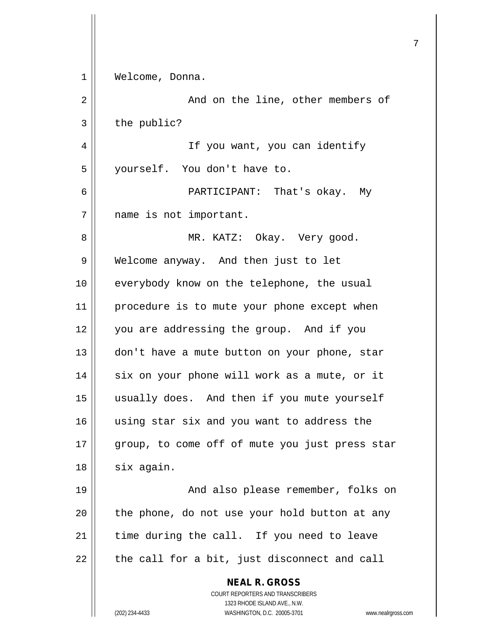| 1  | Welcome, Donna.                                                     |
|----|---------------------------------------------------------------------|
| 2  | And on the line, other members of                                   |
| 3  | the public?                                                         |
| 4  | If you want, you can identify                                       |
| 5  | yourself. You don't have to.                                        |
| 6  | PARTICIPANT: That's okay. My                                        |
| 7  | name is not important.                                              |
| 8  | MR. KATZ: Okay. Very good.                                          |
| 9  | Welcome anyway. And then just to let                                |
| 10 | everybody know on the telephone, the usual                          |
| 11 | procedure is to mute your phone except when                         |
| 12 | you are addressing the group. And if you                            |
| 13 | don't have a mute button on your phone, star                        |
| 14 | six on your phone will work as a mute, or it                        |
| 15 | usually does. And then if you mute yourself                         |
| 16 | using star six and you want to address the                          |
| 17 | group, to come off of mute you just press star                      |
| 18 | six again.                                                          |
| 19 | And also please remember, folks on                                  |
| 20 | the phone, do not use your hold button at any                       |
| 21 | time during the call. If you need to leave                          |
| 22 | the call for a bit, just disconnect and call                        |
|    | <b>NEAL R. GROSS</b><br>COURT REPORTERS AND TRANSCRIBERS            |
|    | 1323 RHODE ISLAND AVE., N.W.                                        |
|    | WASHINGTON, D.C. 20005-3701<br>(202) 234-4433<br>www.nealrgross.com |

 $\mathsf{I}$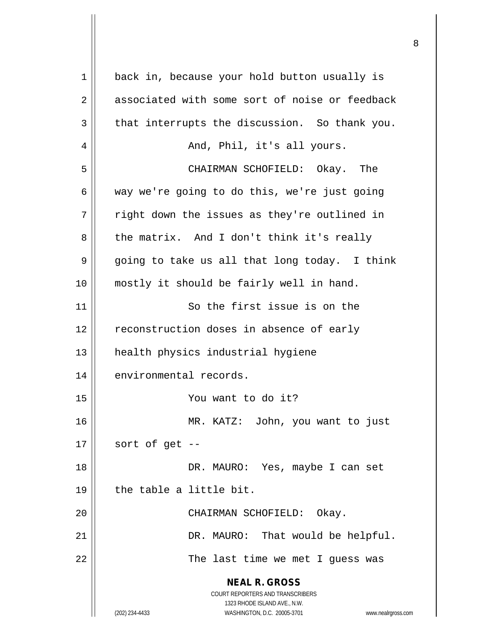| 1  | back in, because your hold button usually is                                                                                                                    |
|----|-----------------------------------------------------------------------------------------------------------------------------------------------------------------|
| 2  | associated with some sort of noise or feedback                                                                                                                  |
| 3  | that interrupts the discussion. So thank you.                                                                                                                   |
| 4  | And, Phil, it's all yours.                                                                                                                                      |
| 5  | CHAIRMAN SCHOFIELD: Okay. The                                                                                                                                   |
| 6  | way we're going to do this, we're just going                                                                                                                    |
| 7  | right down the issues as they're outlined in                                                                                                                    |
| 8  | the matrix. And I don't think it's really                                                                                                                       |
| 9  | going to take us all that long today. I think                                                                                                                   |
| 10 | mostly it should be fairly well in hand.                                                                                                                        |
| 11 | So the first issue is on the                                                                                                                                    |
| 12 | reconstruction doses in absence of early                                                                                                                        |
| 13 | health physics industrial hygiene                                                                                                                               |
| 14 | environmental records.                                                                                                                                          |
| 15 | You want to do it?                                                                                                                                              |
| 16 | MR. KATZ: John, you want to just                                                                                                                                |
| 17 | sort of get --                                                                                                                                                  |
| 18 | DR. MAURO: Yes, maybe I can set                                                                                                                                 |
| 19 | the table a little bit.                                                                                                                                         |
| 20 | CHAIRMAN SCHOFIELD: Okay.                                                                                                                                       |
| 21 | DR. MAURO: That would be helpful.                                                                                                                               |
| 22 | The last time we met I guess was                                                                                                                                |
|    | <b>NEAL R. GROSS</b><br>COURT REPORTERS AND TRANSCRIBERS<br>1323 RHODE ISLAND AVE., N.W.<br>(202) 234-4433<br>WASHINGTON, D.C. 20005-3701<br>www.nealrgross.com |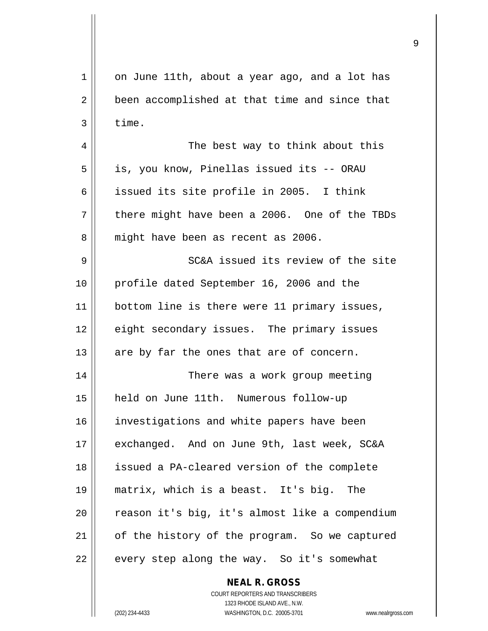| $\mathbf 1$ | on June 11th, about a year ago, and a lot has            |
|-------------|----------------------------------------------------------|
| 2           | been accomplished at that time and since that            |
| 3           | time.                                                    |
| 4           | The best way to think about this                         |
| 5           | is, you know, Pinellas issued its -- ORAU                |
| 6           | issued its site profile in 2005. I think                 |
| 7           | there might have been a 2006. One of the TBDs            |
| 8           | might have been as recent as 2006.                       |
| 9           | SC&A issued its review of the site                       |
| 10          | profile dated September 16, 2006 and the                 |
| 11          | bottom line is there were 11 primary issues,             |
| 12          | eight secondary issues. The primary issues               |
| 13          | are by far the ones that are of concern.                 |
| 14          | There was a work group meeting                           |
| 15          | held on June 11th. Numerous follow-up                    |
| 16          | investigations and white papers have been                |
| 17          | exchanged. And on June 9th, last week, SC&A              |
| 18          | issued a PA-cleared version of the complete              |
| 19          | matrix, which is a beast. It's big. The                  |
| 20          | reason it's big, it's almost like a compendium           |
| 21          | of the history of the program. So we captured            |
| 22          | every step along the way. So it's somewhat               |
|             | <b>NEAL R. GROSS</b><br>COURT REPORTERS AND TRANSCRIBERS |

1323 RHODE ISLAND AVE., N.W. (202) 234-4433 WASHINGTON, D.C. 20005-3701 www.nealrgross.com

 $\prod$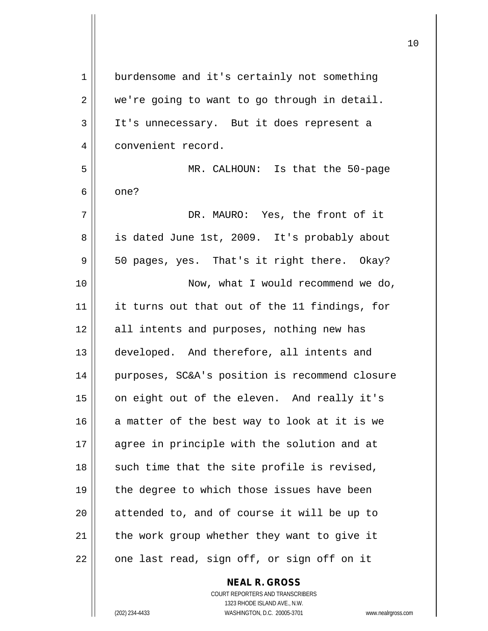| 1  | burdensome and it's certainly not something    |
|----|------------------------------------------------|
| 2  | we're going to want to go through in detail.   |
| 3  | It's unnecessary. But it does represent a      |
| 4  | convenient record.                             |
| 5  | MR. CALHOUN: Is that the 50-page               |
| 6  | one?                                           |
| 7  | DR. MAURO: Yes, the front of it                |
| 8  | is dated June 1st, 2009. It's probably about   |
| 9  | 50 pages, yes. That's it right there. Okay?    |
| 10 | Now, what I would recommend we do,             |
| 11 | it turns out that out of the 11 findings, for  |
| 12 | all intents and purposes, nothing new has      |
| 13 | developed. And therefore, all intents and      |
| 14 | purposes, SC&A's position is recommend closure |
| 15 | on eight out of the eleven. And really it's    |
| 16 | a matter of the best way to look at it is we   |
| 17 | agree in principle with the solution and at    |
| 18 | such time that the site profile is revised,    |
| 19 | the degree to which those issues have been     |
| 20 | attended to, and of course it will be up to    |
| 21 | the work group whether they want to give it    |
| 22 | one last read, sign off, or sign off on it     |
|    |                                                |

COURT REPORTERS AND TRANSCRIBERS 1323 RHODE ISLAND AVE., N.W. (202) 234-4433 WASHINGTON, D.C. 20005-3701 www.nealrgross.com

**NEAL R. GROSS**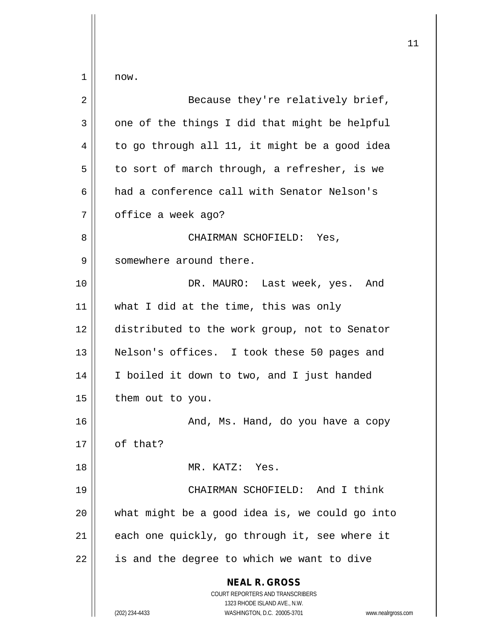$1 \parallel$  now.

| 2  | Because they're relatively brief,                                                        |
|----|------------------------------------------------------------------------------------------|
| 3  | one of the things I did that might be helpful                                            |
| 4  | to go through all 11, it might be a good idea                                            |
| 5  | to sort of march through, a refresher, is we                                             |
| 6  | had a conference call with Senator Nelson's                                              |
| 7  | office a week ago?                                                                       |
| 8  | CHAIRMAN SCHOFIELD: Yes,                                                                 |
| 9  | somewhere around there.                                                                  |
| 10 | DR. MAURO: Last week, yes. And                                                           |
| 11 | what I did at the time, this was only                                                    |
| 12 | distributed to the work group, not to Senator                                            |
| 13 | Nelson's offices. I took these 50 pages and                                              |
| 14 | I boiled it down to two, and I just handed                                               |
| 15 | them out to you.                                                                         |
| 16 | And, Ms. Hand, do you have a copy                                                        |
| 17 | of that?                                                                                 |
| 18 | MR. KATZ: Yes.                                                                           |
| 19 | CHAIRMAN SCHOFIELD: And I think                                                          |
| 20 | what might be a good idea is, we could go into                                           |
| 21 | each one quickly, go through it, see where it                                            |
| 22 | is and the degree to which we want to dive                                               |
|    | <b>NEAL R. GROSS</b><br>COURT REPORTERS AND TRANSCRIBERS<br>1323 RHODE ISLAND AVE., N.W. |
|    | (202) 234-4433<br>WASHINGTON, D.C. 20005-3701<br>www.nealrgross.com                      |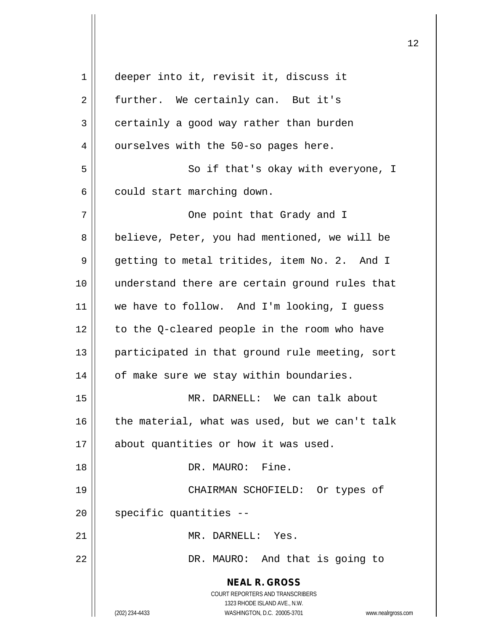**NEAL R. GROSS** COURT REPORTERS AND TRANSCRIBERS 1323 RHODE ISLAND AVE., N.W. (202) 234-4433 WASHINGTON, D.C. 20005-3701 www.nealrgross.com 1 deeper into it, revisit it, discuss it 2 | further. We certainly can. But it's  $3 \parallel$  certainly a good way rather than burden  $4 \parallel$  ourselves with the 50-so pages here. 5 || So if that's okay with everyone, I  $6 \parallel$  could start marching down. 7 One point that Grady and I 8 | believe, Peter, you had mentioned, we will be 9 getting to metal tritides, item No. 2. And I 10 || understand there are certain ground rules that 11 we have to follow. And I'm looking, I guess 12 | to the O-cleared people in the room who have 13 || participated in that ground rule meeting, sort 14 | of make sure we stay within boundaries. 15 || MR. DARNELL: We can talk about  $16$  | the material, what was used, but we can't talk 17 || about quantities or how it was used. 18 DR. MAURO: Fine. 19 CHAIRMAN SCHOFIELD: Or types of  $20$  || specific quantities  $-$ 21 || MR. DARNELL: Yes. 22 || DR. MAURO: And that is going to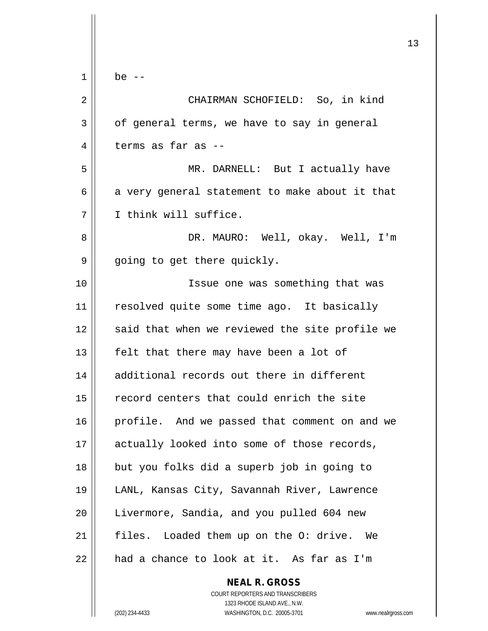|                | ᅩ                                                                   |
|----------------|---------------------------------------------------------------------|
| $\mathbf 1$    | be $--$                                                             |
| $\overline{2}$ | CHAIRMAN SCHOFIELD: So, in kind                                     |
| 3              | of general terms, we have to say in general                         |
| 4              | terms as far as --                                                  |
| 5              | MR. DARNELL: But I actually have                                    |
| 6              | a very general statement to make about it that                      |
| 7              | I think will suffice.                                               |
| 8              | DR. MAURO: Well, okay. Well, I'm                                    |
| 9              | going to get there quickly.                                         |
| 10             | Issue one was something that was                                    |
| 11             | resolved quite some time ago. It basically                          |
| 12             | said that when we reviewed the site profile we                      |
| 13             | felt that there may have been a lot of                              |
| 14             | additional records out there in different                           |
| 15             | record centers that could enrich the site                           |
| 16             | profile. And we passed that comment on and we                       |
| 17             | actually looked into some of those records,                         |
| 18             | but you folks did a superb job in going to                          |
| 19             | LANL, Kansas City, Savannah River, Lawrence                         |
| 20             | Livermore, Sandia, and you pulled 604 new                           |
| 21             | files. Loaded them up on the O: drive. We                           |
| 22             | had a chance to look at it. As far as I'm                           |
|                | <b>NEAL R. GROSS</b>                                                |
|                | COURT REPORTERS AND TRANSCRIBERS<br>1323 RHODE ISLAND AVE., N.W.    |
|                | (202) 234-4433<br>WASHINGTON, D.C. 20005-3701<br>www.nealrgross.com |

 $\mathsf{I}$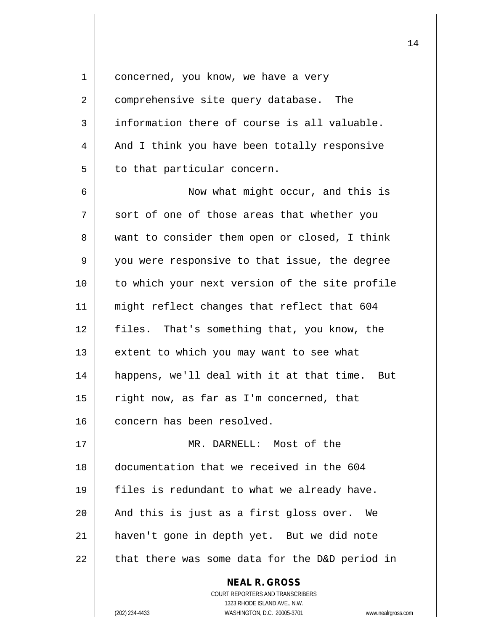1 | concerned, you know, we have a very 2 | comprehensive site query database. The  $3 \parallel$  information there of course is all valuable. 4 || And I think you have been totally responsive  $5 \parallel$  to that particular concern. 6 Now what might occur, and this is  $7$  || sort of one of those areas that whether you 8 || want to consider them open or closed, I think 9 || you were responsive to that issue, the degree 10 || to which your next version of the site profile 11 || might reflect changes that reflect that 604 12 files. That's something that, you know, the  $13$  | extent to which you may want to see what 14 happens, we'll deal with it at that time. But  $15$  | right now, as far as I'm concerned, that 16 || concern has been resolved. 17 MR. DARNELL: Most of the 18 documentation that we received in the 604 19  $\parallel$  files is redundant to what we already have.  $20$  | And this is just as a first gloss over. We 21 haven't gone in depth yet. But we did note

 $22$  | that there was some data for the D&D period in

**NEAL R. GROSS** COURT REPORTERS AND TRANSCRIBERS 1323 RHODE ISLAND AVE., N.W. (202) 234-4433 WASHINGTON, D.C. 20005-3701 www.nealrgross.com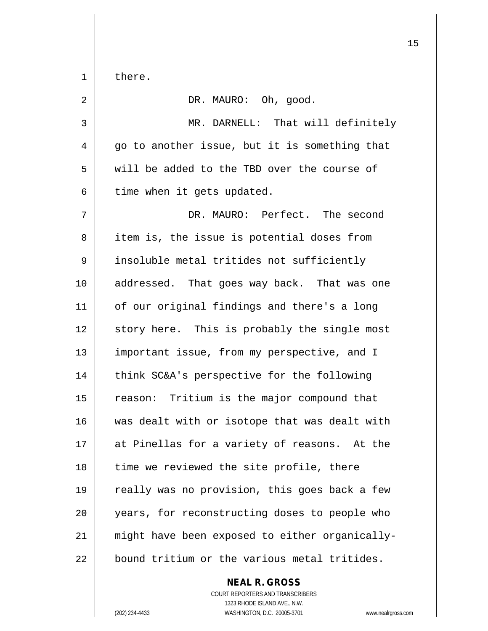$1 \parallel$  there.

| $\overline{2}$ | DR. MAURO: Oh, good.                           |
|----------------|------------------------------------------------|
| 3              | MR. DARNELL: That will definitely              |
| 4              | go to another issue, but it is something that  |
| 5              | will be added to the TBD over the course of    |
| 6              | time when it gets updated.                     |
| 7              | DR. MAURO: Perfect. The second                 |
| 8              | item is, the issue is potential doses from     |
| 9              | insoluble metal tritides not sufficiently      |
| 10             | addressed. That goes way back. That was one    |
| 11             | of our original findings and there's a long    |
| 12             | story here. This is probably the single most   |
| 13             | important issue, from my perspective, and I    |
| 14             | think SC&A's perspective for the following     |
| 15             | reason: Tritium is the major compound that     |
| 16             | was dealt with or isotope that was dealt with  |
| 17             | at Pinellas for a variety of reasons. At the   |
| 18             | time we reviewed the site profile, there       |
| 19             | really was no provision, this goes back a few  |
| 20             | years, for reconstructing doses to people who  |
| 21             | might have been exposed to either organically- |
| 22             | bound tritium or the various metal tritides.   |

**NEAL R. GROSS** COURT REPORTERS AND TRANSCRIBERS 1323 RHODE ISLAND AVE., N.W. (202) 234-4433 WASHINGTON, D.C. 20005-3701 www.nealrgross.com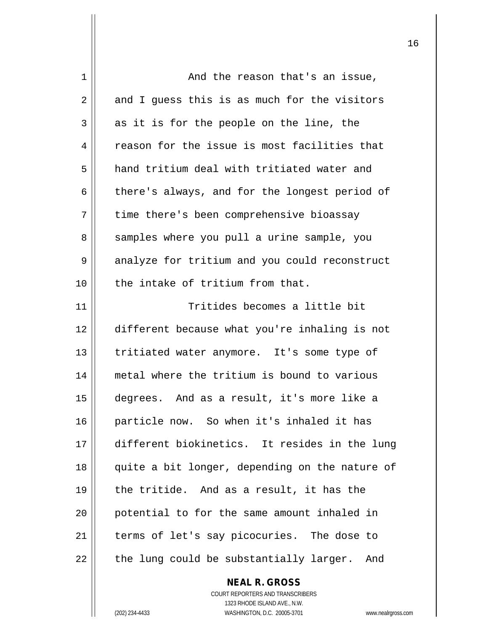| 1  | And the reason that's an issue,                |
|----|------------------------------------------------|
| 2  | and I guess this is as much for the visitors   |
| 3  | as it is for the people on the line, the       |
| 4  | reason for the issue is most facilities that   |
| 5  | hand tritium deal with tritiated water and     |
| 6  | there's always, and for the longest period of  |
| 7  | time there's been comprehensive bioassay       |
| 8  | samples where you pull a urine sample, you     |
| 9  | analyze for tritium and you could reconstruct  |
| 10 | the intake of tritium from that.               |
| 11 | Tritides becomes a little bit                  |
| 12 | different because what you're inhaling is not  |
| 13 | tritiated water anymore. It's some type of     |
| 14 | metal where the tritium is bound to various    |
| 15 | degrees. And as a result, it's more like a     |
| 16 | particle now. So when it's inhaled it has      |
| 17 | different biokinetics. It resides in the lung  |
| 18 | quite a bit longer, depending on the nature of |
| 19 | the tritide. And as a result, it has the       |
| 20 | potential to for the same amount inhaled in    |
| 21 | terms of let's say picocuries. The dose to     |
| 22 | the lung could be substantially larger. And    |
|    | <b>NEAL R. GROSS</b>                           |

COURT REPORTERS AND TRANSCRIBERS 1323 RHODE ISLAND AVE., N.W. (202) 234-4433 WASHINGTON, D.C. 20005-3701 www.nealrgross.com

 $\mathsf{II}$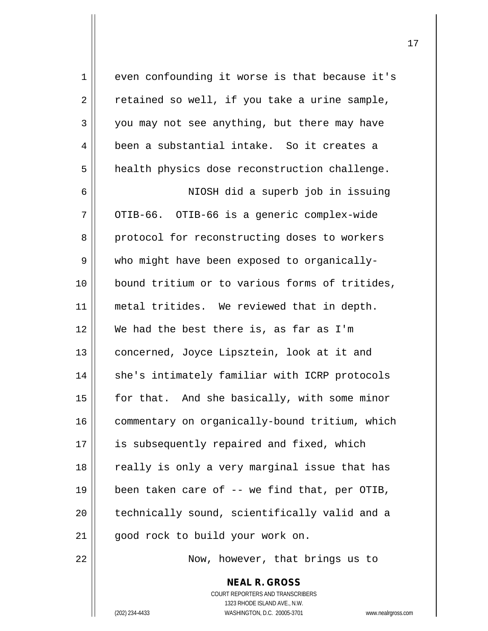$1 \parallel$  even confounding it worse is that because it's  $2 \parallel$  retained so well, if you take a urine sample, 3 you may not see anything, but there may have 4 been a substantial intake. So it creates a 5 | health physics dose reconstruction challenge. 6 NIOSH did a superb job in issuing  $7$  ||  $^{\circ}$  OTIB-66. OTIB-66 is a generic complex-wide 8 || protocol for reconstructing doses to workers  $9 \parallel$  who might have been exposed to organically-10 bound tritium or to various forms of tritides, 11 metal tritides. We reviewed that in depth. 12 We had the best there is, as far as I'm 13 || concerned, Joyce Lipsztein, look at it and 14 || she's intimately familiar with ICRP protocols  $15$  | for that. And she basically, with some minor 16 | commentary on organically-bound tritium, which 17 || is subsequently repaired and fixed, which 18 || really is only a very marginal issue that has 19  $\parallel$  been taken care of -- we find that, per OTIB, 20 || technically sound, scientifically valid and a 21 || good rock to build your work on.

22 || Now, however, that brings us to

**NEAL R. GROSS** COURT REPORTERS AND TRANSCRIBERS 1323 RHODE ISLAND AVE., N.W. (202) 234-4433 WASHINGTON, D.C. 20005-3701 www.nealrgross.com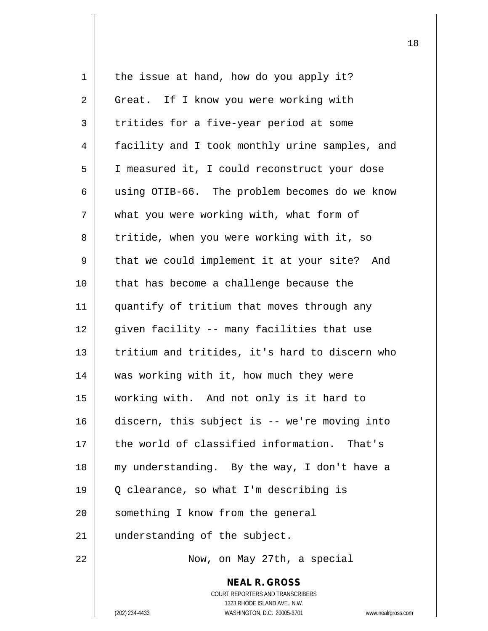| 1  | the issue at hand, how do you apply it?                                                             |
|----|-----------------------------------------------------------------------------------------------------|
| 2  | Great. If I know you were working with                                                              |
| 3  | tritides for a five-year period at some                                                             |
| 4  | facility and I took monthly urine samples, and                                                      |
| 5  | I measured it, I could reconstruct your dose                                                        |
| 6  | using OTIB-66. The problem becomes do we know                                                       |
| 7  | what you were working with, what form of                                                            |
| 8  | tritide, when you were working with it, so                                                          |
| 9  | that we could implement it at your site? And                                                        |
| 10 | that has become a challenge because the                                                             |
| 11 | quantify of tritium that moves through any                                                          |
| 12 | given facility -- many facilities that use                                                          |
| 13 | tritium and tritides, it's hard to discern who                                                      |
| 14 | was working with it, how much they were                                                             |
| 15 | working with. And not only is it hard to                                                            |
| 16 | discern, this subject is -- we're moving into                                                       |
| 17 | the world of classified information. That's                                                         |
| 18 | my understanding. By the way, I don't have a                                                        |
| 19 | Q clearance, so what I'm describing is                                                              |
| 20 | something I know from the general                                                                   |
| 21 | understanding of the subject.                                                                       |
| 22 | Now, on May 27th, a special                                                                         |
|    | <b>NEAL R. GROSS</b>                                                                                |
|    | COURT REPORTERS AND TRANSCRIBERS                                                                    |
|    | 1323 RHODE ISLAND AVE., N.W.<br>(202) 234-4433<br>WASHINGTON, D.C. 20005-3701<br>www.nealrgross.com |
|    |                                                                                                     |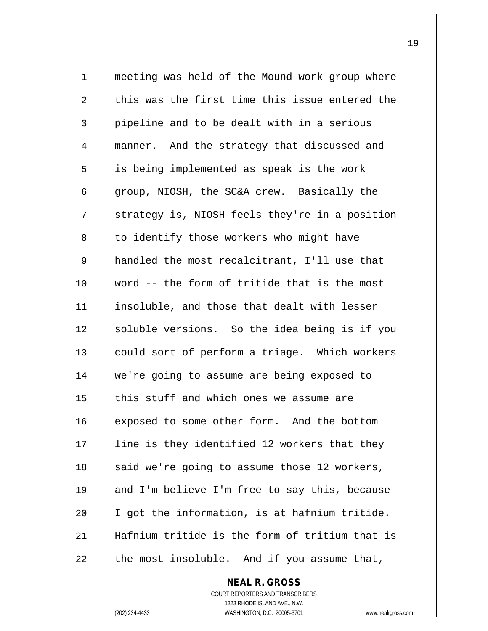1 meeting was held of the Mound work group where  $2 \parallel$  this was the first time this issue entered the  $3 \parallel$  pipeline and to be dealt with in a serious 4 || manner. And the strategy that discussed and 5 || is being implemented as speak is the work 6 group, NIOSH, the SC&A crew. Basically the  $7 \parallel$  strategy is, NIOSH feels they're in a position 8 | to identify those workers who might have 9 | handled the most recalcitrant, I'll use that 10 word -- the form of tritide that is the most 11 || insoluble, and those that dealt with lesser 12 || soluble versions. So the idea being is if you 13 || could sort of perform a triage. Which workers 14 we're going to assume are being exposed to  $15$  | this stuff and which ones we assume are 16 exposed to some other form. And the bottom 17 || line is they identified 12 workers that they 18 || said we're going to assume those 12 workers, 19 || and I'm believe I'm free to say this, because 20  $\parallel$  I got the information, is at hafnium tritide. 21 Hafnium tritide is the form of tritium that is  $22$  | the most insoluble. And if you assume that,

> COURT REPORTERS AND TRANSCRIBERS 1323 RHODE ISLAND AVE., N.W. (202) 234-4433 WASHINGTON, D.C. 20005-3701 www.nealrgross.com

**NEAL R. GROSS**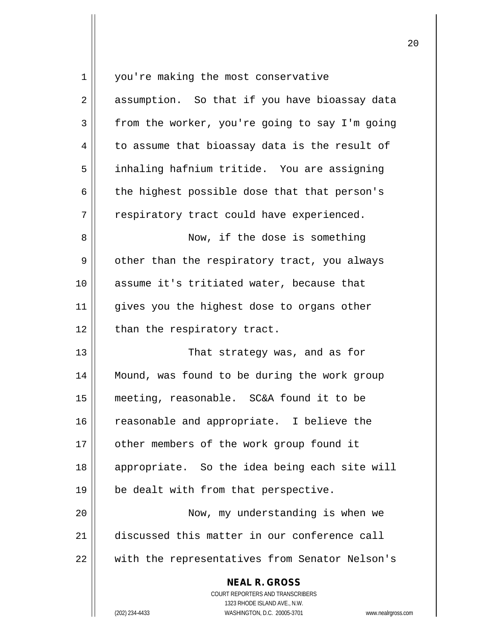| $\mathbf 1$    | you're making the most conservative                                           |
|----------------|-------------------------------------------------------------------------------|
| $\overline{2}$ | assumption. So that if you have bioassay data                                 |
| 3              | from the worker, you're going to say I'm going                                |
| 4              | to assume that bioassay data is the result of                                 |
| 5              | inhaling hafnium tritide. You are assigning                                   |
| 6              | the highest possible dose that that person's                                  |
| 7              | respiratory tract could have experienced.                                     |
| 8              | Now, if the dose is something                                                 |
| 9              | other than the respiratory tract, you always                                  |
| 10             | assume it's tritiated water, because that                                     |
| 11             | gives you the highest dose to organs other                                    |
| 12             | than the respiratory tract.                                                   |
| 13             | That strategy was, and as for                                                 |
| 14             | Mound, was found to be during the work group                                  |
| 15             | meeting, reasonable. SC&A found it to be                                      |
| 16             | reasonable and appropriate. I believe the                                     |
| 17             | other members of the work group found it                                      |
| 18             | appropriate. So the idea being each site will                                 |
| 19             | be dealt with from that perspective.                                          |
| 20             | Now, my understanding is when we                                              |
| 21             | discussed this matter in our conference call                                  |
| 22             | with the representatives from Senator Nelson's                                |
|                | <b>NEAL R. GROSS</b>                                                          |
|                | <b>COURT REPORTERS AND TRANSCRIBERS</b>                                       |
|                | 1323 RHODE ISLAND AVE., N.W.<br>(202) 234-4433<br>WASHINGTON, D.C. 20005-3701 |
|                | www.nealrgross.com                                                            |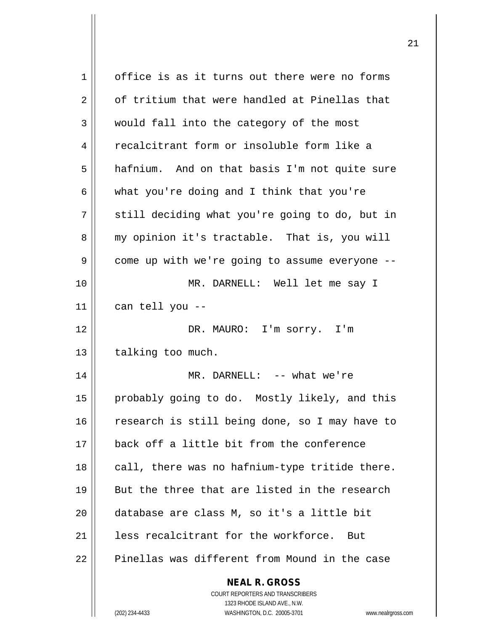| $\mathbf{1}$   | office is as it turns out there were no forms                       |
|----------------|---------------------------------------------------------------------|
| $\overline{2}$ | of tritium that were handled at Pinellas that                       |
| 3              | would fall into the category of the most                            |
| 4              | recalcitrant form or insoluble form like a                          |
| 5              | hafnium. And on that basis I'm not quite sure                       |
| 6              | what you're doing and I think that you're                           |
| 7              | still deciding what you're going to do, but in                      |
| 8              | my opinion it's tractable. That is, you will                        |
| 9              | come up with we're going to assume everyone --                      |
| 10             | MR. DARNELL: Well let me say I                                      |
| 11             | can tell you --                                                     |
| 12             | DR. MAURO: I'm sorry. I'm                                           |
| 13             | talking too much.                                                   |
| 14             | MR. DARNELL: -- what we're                                          |
| 15             | probably going to do. Mostly likely, and this                       |
| 16             | research is still being done, so I may have to                      |
| 17             | back off a little bit from the conference                           |
| 18             | call, there was no hafnium-type tritide there.                      |
| 19             | But the three that are listed in the research                       |
| 20             | database are class M, so it's a little bit                          |
| 21             | less recalcitrant for the workforce.<br>But                         |
| 22             | Pinellas was different from Mound in the case                       |
|                | <b>NEAL R. GROSS</b>                                                |
|                | <b>COURT REPORTERS AND TRANSCRIBERS</b>                             |
|                | 1323 RHODE ISLAND AVE., N.W.                                        |
|                | (202) 234-4433<br>WASHINGTON, D.C. 20005-3701<br>www.nealrgross.com |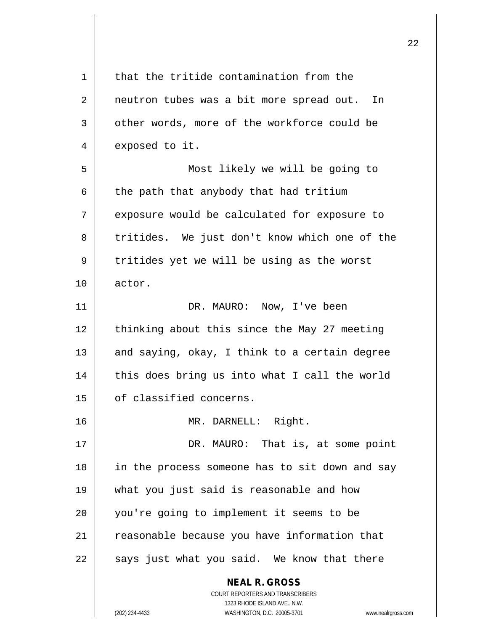| $\mathbf 1$ | that the tritide contamination from the                         |
|-------------|-----------------------------------------------------------------|
| 2           | neutron tubes was a bit more spread out. In                     |
| 3           | other words, more of the workforce could be                     |
| 4           | exposed to it.                                                  |
| 5           | Most likely we will be going to                                 |
| 6           | the path that anybody that had tritium                          |
| 7           | exposure would be calculated for exposure to                    |
| 8           | tritides. We just don't know which one of the                   |
| 9           | tritides yet we will be using as the worst                      |
| 10          | actor.                                                          |
| 11          | DR. MAURO: Now, I've been                                       |
| 12          | thinking about this since the May 27 meeting                    |
| 13          | and saying, okay, I think to a certain degree                   |
| 14          | this does bring us into what I call the world                   |
| 15          | of classified concerns.                                         |
| 16          | MR. DARNELL: Right.                                             |
| 17          | DR. MAURO: That is, at some point                               |
| 18          | in the process someone has to sit down and say                  |
| 19          | what you just said is reasonable and how                        |
| 20          | you're going to implement it seems to be                        |
| 21          | reasonable because you have information that                    |
| 22          | says just what you said. We know that there                     |
|             | <b>NEAL R. GROSS</b><br>COURT REPORTERS AND TRANSCRIBERS        |
|             | 1323 RHODE ISLAND AVE., N.W.                                    |
|             | (202) 234-4433<br>WASHINGTON, D.C. 20005-3701<br>www.nealrgross |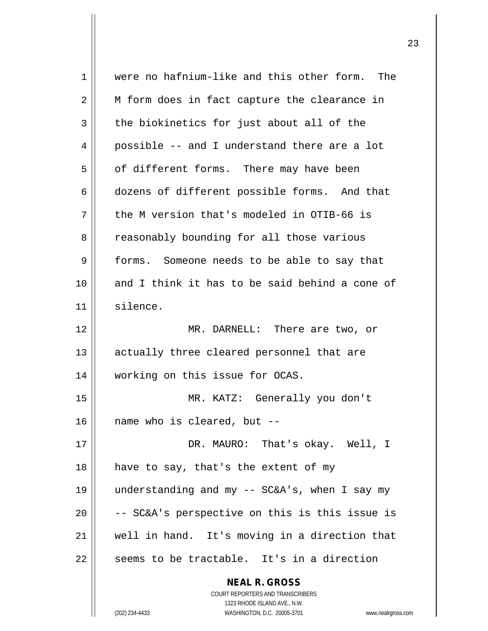| $\mathbf 1$ | were no hafnium-like and this other form. The                    |
|-------------|------------------------------------------------------------------|
| 2           | M form does in fact capture the clearance in                     |
| 3           | the biokinetics for just about all of the                        |
| 4           | possible -- and I understand there are a lot                     |
| 5           | of different forms. There may have been                          |
| 6           | dozens of different possible forms. And that                     |
| 7           | the M version that's modeled in OTIB-66 is                       |
| 8           | reasonably bounding for all those various                        |
| 9           | forms. Someone needs to be able to say that                      |
| 10          | and I think it has to be said behind a cone of                   |
| 11          | silence.                                                         |
| 12          | MR. DARNELL: There are two, or                                   |
| 13          | actually three cleared personnel that are                        |
| 14          | working on this issue for OCAS.                                  |
| 15          | MR. KATZ: Generally you don't                                    |
| 16          | name who is cleared, but --                                      |
| 17          | DR. MAURO: That's okay. Well, I                                  |
| 18          | have to say, that's the extent of my                             |
| 19          | understanding and my -- SC&A's, when I say my                    |
| 20          | -- SC&A's perspective on this is this issue is                   |
| 21          | well in hand. It's moving in a direction that                    |
| 22          | seems to be tractable. It's in a direction                       |
|             | <b>NEAL R. GROSS</b>                                             |
|             | COURT REPORTERS AND TRANSCRIBERS                                 |
|             | 1323 RHODE ISLAND AVE., N.W.                                     |
|             | (202) 234-4433<br>WASHINGTON, D.C. 20005-3701<br>www.nealrgross. |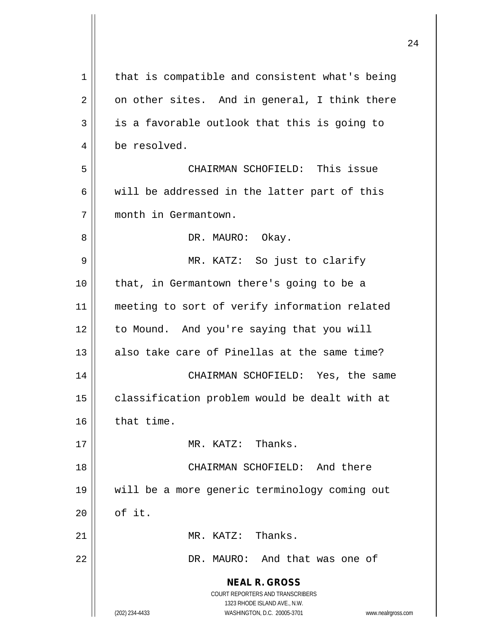| 1  | that is compatible and consistent what's being                                                      |
|----|-----------------------------------------------------------------------------------------------------|
| 2  | on other sites. And in general, I think there                                                       |
| 3  | is a favorable outlook that this is going to                                                        |
| 4  | be resolved.                                                                                        |
| 5  | CHAIRMAN SCHOFIELD: This issue                                                                      |
| 6  | will be addressed in the latter part of this                                                        |
| 7  | month in Germantown.                                                                                |
| 8  | DR. MAURO: Okay.                                                                                    |
| 9  | MR. KATZ: So just to clarify                                                                        |
| 10 | that, in Germantown there's going to be a                                                           |
| 11 | meeting to sort of verify information related                                                       |
| 12 | to Mound. And you're saying that you will                                                           |
| 13 | also take care of Pinellas at the same time?                                                        |
| 14 | CHAIRMAN SCHOFIELD: Yes, the same                                                                   |
| 15 | classification problem would be dealt with at                                                       |
| 16 | that time.                                                                                          |
| 17 | MR. KATZ: Thanks.                                                                                   |
| 18 | CHAIRMAN SCHOFIELD: And there                                                                       |
| 19 | will be a more generic terminology coming out                                                       |
| 20 | of it.                                                                                              |
| 21 | MR. KATZ: Thanks.                                                                                   |
| 22 | DR. MAURO: And that was one of                                                                      |
|    | <b>NEAL R. GROSS</b>                                                                                |
|    | COURT REPORTERS AND TRANSCRIBERS                                                                    |
|    | 1323 RHODE ISLAND AVE., N.W.<br>(202) 234-4433<br>WASHINGTON, D.C. 20005-3701<br>www.nealrgross.com |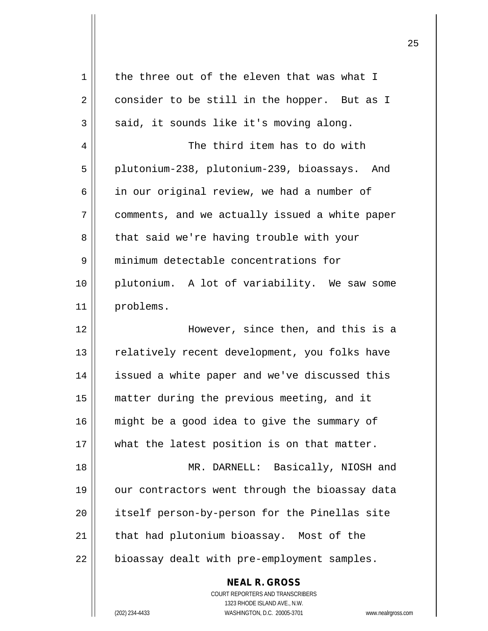| 1  | the three out of the eleven that was what I                                              |
|----|------------------------------------------------------------------------------------------|
| 2  | consider to be still in the hopper. But as I                                             |
| 3  | said, it sounds like it's moving along.                                                  |
| 4  | The third item has to do with                                                            |
| 5  | plutonium-238, plutonium-239, bioassays. And                                             |
| 6  | in our original review, we had a number of                                               |
| 7  | comments, and we actually issued a white paper                                           |
| 8  | that said we're having trouble with your                                                 |
| 9  | minimum detectable concentrations for                                                    |
| 10 | plutonium. A lot of variability. We saw some                                             |
| 11 | problems.                                                                                |
| 12 | However, since then, and this is a                                                       |
| 13 | relatively recent development, you folks have                                            |
| 14 | issued a white paper and we've discussed this                                            |
| 15 | matter during the previous meeting, and it                                               |
| 16 | might be a good idea to give the summary of                                              |
| 17 | what the latest position is on that matter.                                              |
| 18 | MR. DARNELL: Basically, NIOSH and                                                        |
| 19 | our contractors went through the bioassay data                                           |
| 20 | itself person-by-person for the Pinellas site                                            |
| 21 | that had plutonium bioassay. Most of the                                                 |
| 22 | bioassay dealt with pre-employment samples.                                              |
|    | <b>NEAL R. GROSS</b><br>COURT REPORTERS AND TRANSCRIBERS<br>1323 RHODE ISLAND AVE., N.W. |
|    | WASHINGTON, D.C. 20005-3701<br>(202) 234-4433<br>www.nealrgross.com                      |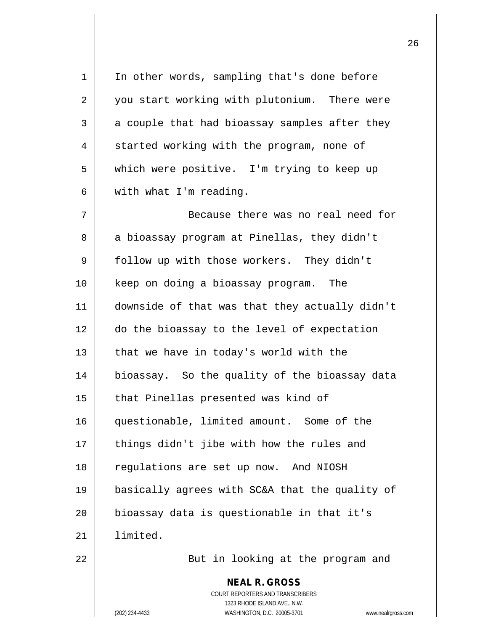| 1  | In other words, sampling that's done before                                                                                                                       |
|----|-------------------------------------------------------------------------------------------------------------------------------------------------------------------|
| 2  | you start working with plutonium. There were                                                                                                                      |
| 3  | a couple that had bioassay samples after they                                                                                                                     |
| 4  | started working with the program, none of                                                                                                                         |
| 5  | which were positive. I'm trying to keep up                                                                                                                        |
| 6  | with what I'm reading.                                                                                                                                            |
| 7  | Because there was no real need for                                                                                                                                |
| 8  | a bioassay program at Pinellas, they didn't                                                                                                                       |
| 9  | follow up with those workers. They didn't                                                                                                                         |
| 10 | keep on doing a bioassay program.<br>The                                                                                                                          |
| 11 | downside of that was that they actually didn't                                                                                                                    |
| 12 | do the bioassay to the level of expectation                                                                                                                       |
| 13 | that we have in today's world with the                                                                                                                            |
| 14 | bioassay. So the quality of the bioassay data                                                                                                                     |
| 15 | that Pinellas presented was kind of                                                                                                                               |
| 16 | questionable, limited amount. Some of the                                                                                                                         |
| 17 | things didn't jibe with how the rules and                                                                                                                         |
| 18 | regulations are set up now. And NIOSH                                                                                                                             |
| 19 | basically agrees with SC&A that the quality of                                                                                                                    |
| 20 | bioassay data is questionable in that it's                                                                                                                        |
| 21 | limited.                                                                                                                                                          |
| 22 | But in looking at the program and                                                                                                                                 |
|    | <b>NEAL R. GROSS</b><br><b>COURT REPORTERS AND TRANSCRIBERS</b><br>1323 RHODE ISLAND AVE., N.W.<br>(202) 234-4433<br>WASHINGTON, D.C. 20005-3701<br>www.nealrgros |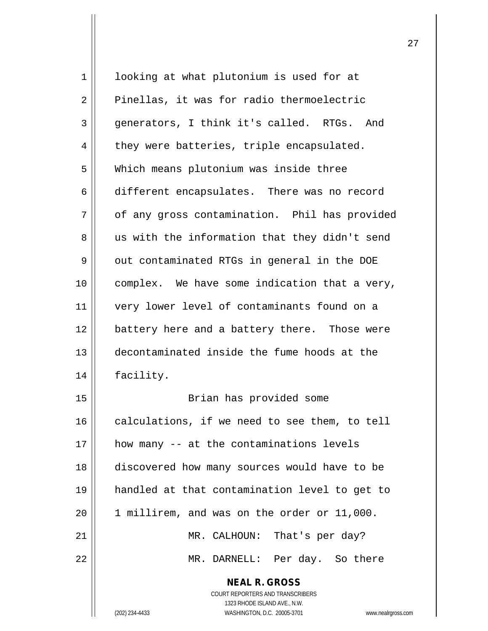| $\mathbf 1$ | looking at what plutonium is used for at                 |
|-------------|----------------------------------------------------------|
| 2           | Pinellas, it was for radio thermoelectric                |
| 3           | generators, I think it's called. RTGs. And               |
| 4           | they were batteries, triple encapsulated.                |
| 5           | Which means plutonium was inside three                   |
| 6           | different encapsulates. There was no record              |
| 7           | of any gross contamination. Phil has provided            |
| 8           | us with the information that they didn't send            |
| 9           | out contaminated RTGs in general in the DOE              |
| 10          | complex. We have some indication that a very,            |
| 11          | very lower level of contaminants found on a              |
| 12          | battery here and a battery there. Those were             |
| 13          | decontaminated inside the fume hoods at the              |
| 14          | facility.                                                |
| 15          | Brian has provided some                                  |
| 16          | calculations, if we need to see them, to tell            |
| 17          | how many -- at the contaminations levels                 |
| 18          | discovered how many sources would have to be             |
| 19          | handled at that contamination level to get to            |
| 20          | 1 millirem, and was on the order or 11,000.              |
| 21          | MR. CALHOUN: That's per day?                             |
| 22          | MR. DARNELL: Per day. So there                           |
|             | <b>NEAL R. GROSS</b><br>COURT REPORTERS AND TRANSCRIBERS |

1323 RHODE ISLAND AVE., N.W.

 $\mathop{\text{||}}$ 

(202) 234-4433 WASHINGTON, D.C. 20005-3701 www.nealrgross.com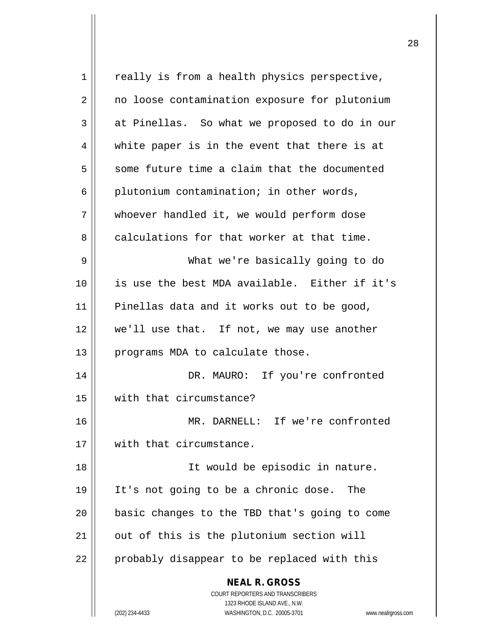| $\mathbf 1$ | really is from a health physics perspective,                                                                                                                    |
|-------------|-----------------------------------------------------------------------------------------------------------------------------------------------------------------|
| 2           | no loose contamination exposure for plutonium                                                                                                                   |
| 3           | at Pinellas. So what we proposed to do in our                                                                                                                   |
| 4           | white paper is in the event that there is at                                                                                                                    |
| 5           | some future time a claim that the documented                                                                                                                    |
| 6           | plutonium contamination; in other words,                                                                                                                        |
| 7           | whoever handled it, we would perform dose                                                                                                                       |
| 8           | calculations for that worker at that time.                                                                                                                      |
| 9           | What we're basically going to do                                                                                                                                |
| 10          | is use the best MDA available. Either if it's                                                                                                                   |
| 11          | Pinellas data and it works out to be good,                                                                                                                      |
| 12          | we'll use that. If not, we may use another                                                                                                                      |
| 13          | programs MDA to calculate those.                                                                                                                                |
| 14          | DR. MAURO: If you're confronted                                                                                                                                 |
| 15          | with that circumstance?                                                                                                                                         |
| 16          | MR. DARNELL: If we're confronted                                                                                                                                |
| 17          | with that circumstance.                                                                                                                                         |
| 18          | It would be episodic in nature.                                                                                                                                 |
| 19          | It's not going to be a chronic dose.<br>The                                                                                                                     |
| 20          | basic changes to the TBD that's going to come                                                                                                                   |
| 21          | out of this is the plutonium section will                                                                                                                       |
| 22          | probably disappear to be replaced with this                                                                                                                     |
|             | <b>NEAL R. GROSS</b><br>COURT REPORTERS AND TRANSCRIBERS<br>1323 RHODE ISLAND AVE., N.W.<br>(202) 234-4433<br>WASHINGTON, D.C. 20005-3701<br>www.nealrgross.com |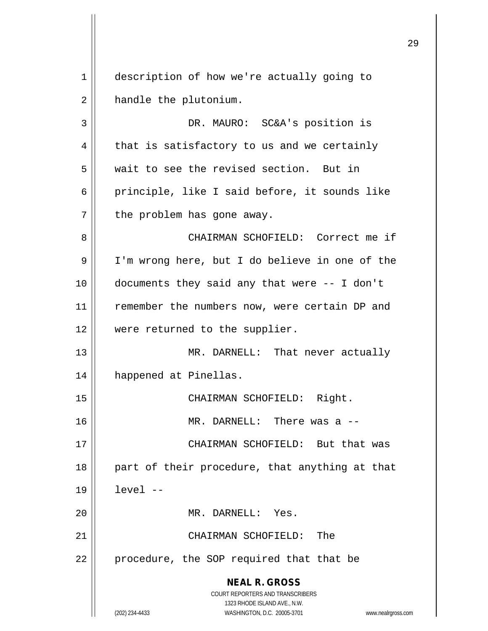**NEAL R. GROSS** COURT REPORTERS AND TRANSCRIBERS 1323 RHODE ISLAND AVE., N.W. (202) 234-4433 WASHINGTON, D.C. 20005-3701 www.nealrgross.com 1 description of how we're actually going to 2 | handle the plutonium. 3 DR. MAURO: SC&A's position is  $4 \parallel$  that is satisfactory to us and we certainly 5 wait to see the revised section. But in 6 principle, like I said before, it sounds like  $7$  || the problem has gone away. 8 CHAIRMAN SCHOFIELD: Correct me if 9 | I'm wrong here, but I do believe in one of the 10 documents they said any that were -- I don't 11 remember the numbers now, were certain DP and 12 were returned to the supplier. 13 || MR. DARNELL: That never actually 14 happened at Pinellas. 15 || CHAIRMAN SCHOFIELD: Right. 16 MR. DARNELL: There was a -- 17 CHAIRMAN SCHOFIELD: But that was  $18$  || part of their procedure, that anything at that 19 level -- 20 MR. DARNELL: Yes. 21 CHAIRMAN SCHOFIELD: The  $22$  || procedure, the SOP required that that be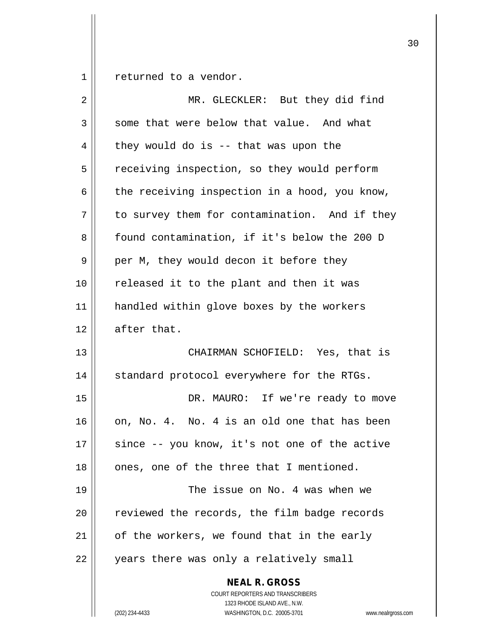$1 \parallel$  returned to a vendor.

| $\overline{2}$ | MR. GLECKLER: But they did find                                                                                                                                        |
|----------------|------------------------------------------------------------------------------------------------------------------------------------------------------------------------|
| 3              | some that were below that value. And what                                                                                                                              |
| 4              | they would do is $-$ that was upon the                                                                                                                                 |
| 5              | receiving inspection, so they would perform                                                                                                                            |
| 6              | the receiving inspection in a hood, you know,                                                                                                                          |
| 7              | to survey them for contamination. And if they                                                                                                                          |
| 8              | found contamination, if it's below the 200 D                                                                                                                           |
| 9              | per M, they would decon it before they                                                                                                                                 |
| 10             | released it to the plant and then it was                                                                                                                               |
| 11             | handled within glove boxes by the workers                                                                                                                              |
| 12             | after that.                                                                                                                                                            |
| 13             | CHAIRMAN SCHOFIELD: Yes, that is                                                                                                                                       |
| 14             | standard protocol everywhere for the RTGs.                                                                                                                             |
| 15             | DR. MAURO: If we're ready to move                                                                                                                                      |
| 16             | on, No. 4. No. 4 is an old one that has been                                                                                                                           |
| 17             | since -- you know, it's not one of the active                                                                                                                          |
| 18             | ones, one of the three that I mentioned.                                                                                                                               |
| 19             | The issue on No. 4 was when we                                                                                                                                         |
| 20             | reviewed the records, the film badge records                                                                                                                           |
| 21             | of the workers, we found that in the early                                                                                                                             |
| 22             | years there was only a relatively small                                                                                                                                |
|                | <b>NEAL R. GROSS</b><br><b>COURT REPORTERS AND TRANSCRIBERS</b><br>1323 RHODE ISLAND AVE., N.W.<br>WASHINGTON, D.C. 20005-3701<br>(202) 234-4433<br>www.nealrgross.com |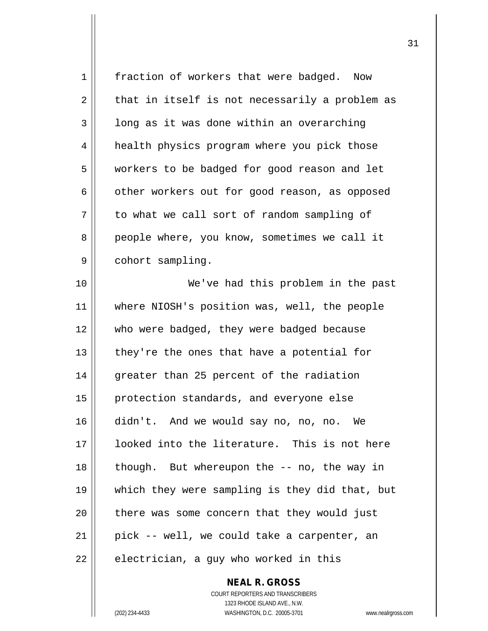| 1  | fraction of workers that were badged. Now                       |
|----|-----------------------------------------------------------------|
| 2  | that in itself is not necessarily a problem as                  |
| 3  | long as it was done within an overarching                       |
| 4  | health physics program where you pick those                     |
| 5  | workers to be badged for good reason and let                    |
| 6  | other workers out for good reason, as opposed                   |
| 7  | to what we call sort of random sampling of                      |
| 8  | people where, you know, sometimes we call it                    |
| 9  | cohort sampling.                                                |
| 10 | We've had this problem in the past                              |
| 11 | where NIOSH's position was, well, the people                    |
| 12 | who were badged, they were badged because                       |
| 13 | they're the ones that have a potential for                      |
| 14 | greater than 25 percent of the radiation                        |
| 15 | protection standards, and everyone else                         |
| 16 | didn't. And we would say no, no, no. We                         |
| 17 | looked into the literature. This is not here                    |
| 18 | though. But whereupon the -- no, the way in                     |
| 19 | which they were sampling is they did that, but                  |
| 20 | there was some concern that they would just                     |
| 21 | pick -- well, we could take a carpenter, an                     |
| 22 | electrician, a guy who worked in this                           |
|    | <b>NEAL R. GROSS</b>                                            |
|    | COURT REPORTERS AND TRANSCRIBERS                                |
|    | 1323 RHODE ISLAND AVE., N.W.                                    |
|    | (202) 234-4433<br>WASHINGTON, D.C. 20005-3701<br>www.nealrgross |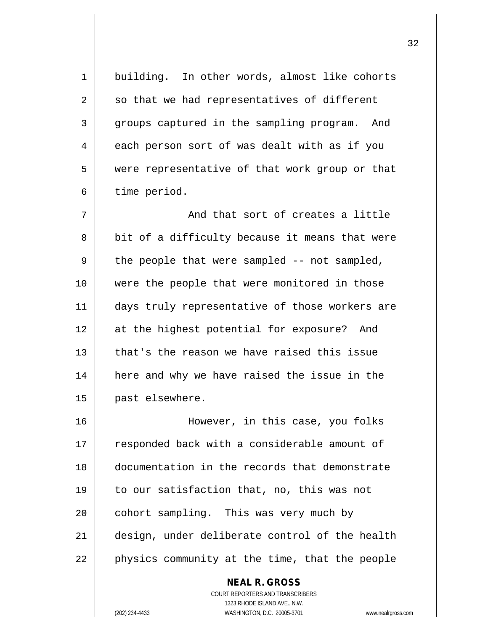1 || building. In other words, almost like cohorts  $2 \parallel$  so that we had representatives of different 3 groups captured in the sampling program. And  $4 \parallel$  each person sort of was dealt with as if you 5 were representative of that work group or that 6 | time period.  $7 \parallel$  and that sort of creates a little  $8 \parallel$  bit of a difficulty because it means that were  $9 \parallel$  the people that were sampled -- not sampled, 10 were the people that were monitored in those 11 || days truly representative of those workers are 12 at the highest potential for exposure? And  $13$  | that's the reason we have raised this issue 14 here and why we have raised the issue in the 15 | past elsewhere. 16 However, in this case, you folks 17 || responded back with a considerable amount of 18 documentation in the records that demonstrate 19 to our satisfaction that, no, this was not  $20$  | cohort sampling. This was very much by 21 design, under deliberate control of the health 22 || physics community at the time, that the people

> COURT REPORTERS AND TRANSCRIBERS 1323 RHODE ISLAND AVE., N.W. (202) 234-4433 WASHINGTON, D.C. 20005-3701 www.nealrgross.com

**NEAL R. GROSS**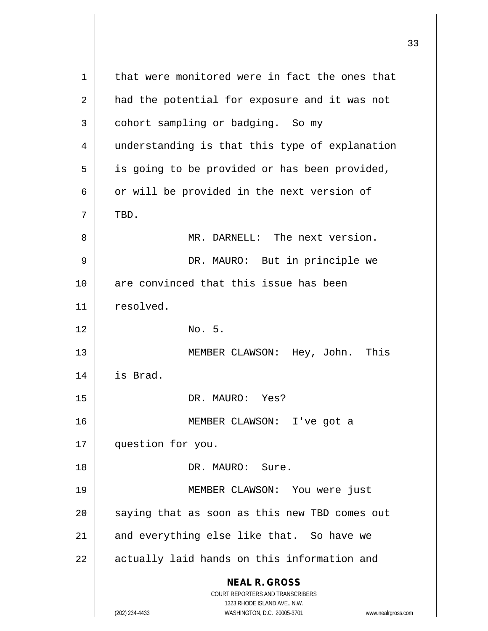**NEAL R. GROSS** COURT REPORTERS AND TRANSCRIBERS 1323 RHODE ISLAND AVE., N.W. (202) 234-4433 WASHINGTON, D.C. 20005-3701 www.nealrgross.com  $1 \parallel$  that were monitored were in fact the ones that 2 || had the potential for exposure and it was not  $3 \parallel$  cohort sampling or badging. So my 4 || understanding is that this type of explanation  $5 \parallel$  is going to be provided or has been provided,  $6 \parallel$  or will be provided in the next version of  $7$  || TBD. 8 MR. DARNELL: The next version. 9 DR. MAURO: But in principle we 10 || are convinced that this issue has been 11 || resolved.  $12 \parallel$  No. 5. 13 || MEMBER CLAWSON: Hey, John. This 14 is Brad. 15 || DR. MAURO: Yes? 16 MEMBER CLAWSON: I've got a 17 || question for you. 18 DR. MAURO: Sure. 19 MEMBER CLAWSON: You were just  $20$  || saying that as soon as this new TBD comes out  $21$  and everything else like that. So have we  $22$  | actually laid hands on this information and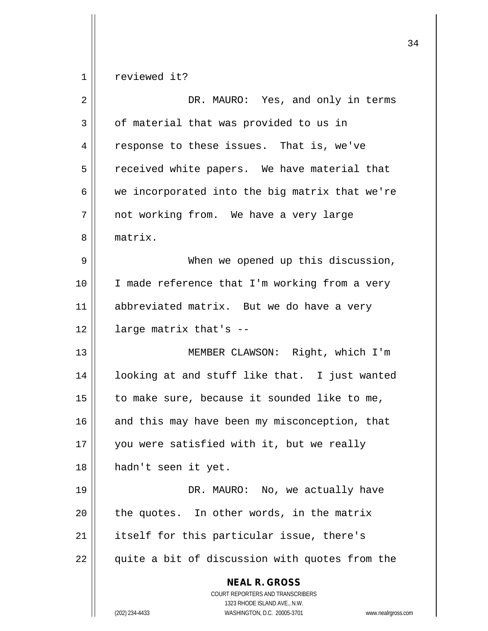reviewed it?

| $\overline{2}$ | DR. MAURO: Yes, and only in terms                                                                                                                                      |
|----------------|------------------------------------------------------------------------------------------------------------------------------------------------------------------------|
| 3              | of material that was provided to us in                                                                                                                                 |
| 4              | response to these issues. That is, we've                                                                                                                               |
| 5              | received white papers. We have material that                                                                                                                           |
| 6              | we incorporated into the big matrix that we're                                                                                                                         |
| 7              | not working from. We have a very large                                                                                                                                 |
| 8              | matrix.                                                                                                                                                                |
| 9              | When we opened up this discussion,                                                                                                                                     |
| 10             | I made reference that I'm working from a very                                                                                                                          |
| 11             | abbreviated matrix. But we do have a very                                                                                                                              |
| 12             | large matrix that's --                                                                                                                                                 |
| 13             | MEMBER CLAWSON: Right, which I'm                                                                                                                                       |
| 14             | looking at and stuff like that. I just wanted                                                                                                                          |
| 15             | to make sure, because it sounded like to me,                                                                                                                           |
| 16             | and this may have been my misconception, that                                                                                                                          |
| 17             | you were satisfied with it, but we really                                                                                                                              |
| 18             | hadn't seen it yet.                                                                                                                                                    |
| 19             | DR. MAURO: No, we actually have                                                                                                                                        |
| 20             | the quotes. In other words, in the matrix                                                                                                                              |
| 21             | itself for this particular issue, there's                                                                                                                              |
| 22             | quite a bit of discussion with quotes from the                                                                                                                         |
|                | <b>NEAL R. GROSS</b><br><b>COURT REPORTERS AND TRANSCRIBERS</b><br>1323 RHODE ISLAND AVE., N.W.<br>WASHINGTON, D.C. 20005-3701<br>(202) 234-4433<br>www.nealrgross.com |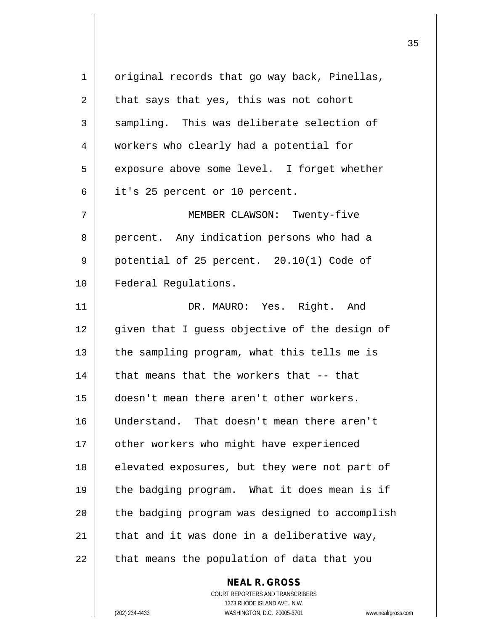$1 \parallel$  original records that go way back, Pinellas,  $2 \parallel$  that says that yes, this was not cohort  $3 \parallel$  sampling. This was deliberate selection of 4 | workers who clearly had a potential for 5 | exposure above some level. I forget whether 6 || it's 25 percent or 10 percent. 7 MEMBER CLAWSON: Twenty-five 8 | percent. Any indication persons who had a  $9 \parallel$  potential of 25 percent. 20.10(1) Code of 10 | Federal Regulations. 11 DR. MAURO: Yes. Right. And 12 given that I quess objective of the design of  $13$  | the sampling program, what this tells me is  $14$   $\parallel$  that means that the workers that -- that 15 doesn't mean there aren't other workers. 16 Understand. That doesn't mean there aren't 17 | other workers who might have experienced 18 || elevated exposures, but they were not part of 19 the badging program. What it does mean is if  $20$  || the badging program was designed to accomplish 21  $\parallel$  that and it was done in a deliberative way,  $22$  || that means the population of data that you

> COURT REPORTERS AND TRANSCRIBERS 1323 RHODE ISLAND AVE., N.W. (202) 234-4433 WASHINGTON, D.C. 20005-3701 www.nealrgross.com

**NEAL R. GROSS**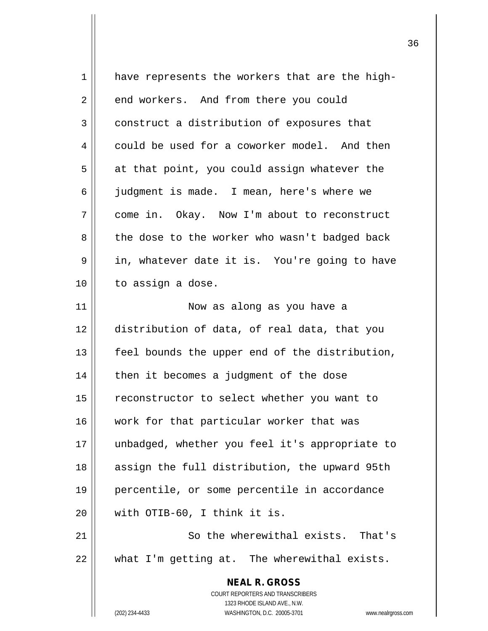| $\mathbf 1$ | have represents the workers that are the high-                                |
|-------------|-------------------------------------------------------------------------------|
| 2           | end workers. And from there you could                                         |
| 3           | construct a distribution of exposures that                                    |
| 4           | could be used for a coworker model. And then                                  |
| 5           | at that point, you could assign whatever the                                  |
| 6           | judgment is made. I mean, here's where we                                     |
| 7           | come in. Okay. Now I'm about to reconstruct                                   |
| 8           | the dose to the worker who wasn't badged back                                 |
| 9           | in, whatever date it is. You're going to have                                 |
| 10          | to assign a dose.                                                             |
| 11          | Now as along as you have a                                                    |
| 12          | distribution of data, of real data, that you                                  |
| 13          | feel bounds the upper end of the distribution,                                |
| 14          | then it becomes a judgment of the dose                                        |
| 15          | reconstructor to select whether you want to                                   |
| 16          | work for that particular worker that was                                      |
| 17          | unbadged, whether you feel it's appropriate to                                |
| 18          | assign the full distribution, the upward 95th                                 |
| 19          | percentile, or some percentile in accordance                                  |
| 20          | with OTIB-60, I think it is.                                                  |
| 21          | So the wherewithal exists. That's                                             |
| 22          | what I'm getting at. The wherewithal exists.                                  |
|             | <b>NEAL R. GROSS</b>                                                          |
|             | COURT REPORTERS AND TRANSCRIBERS                                              |
|             | 1323 RHODE ISLAND AVE., N.W.<br>(202) 234-4433<br>WASHINGTON, D.C. 20005-3701 |
|             | www.nealrgross.com                                                            |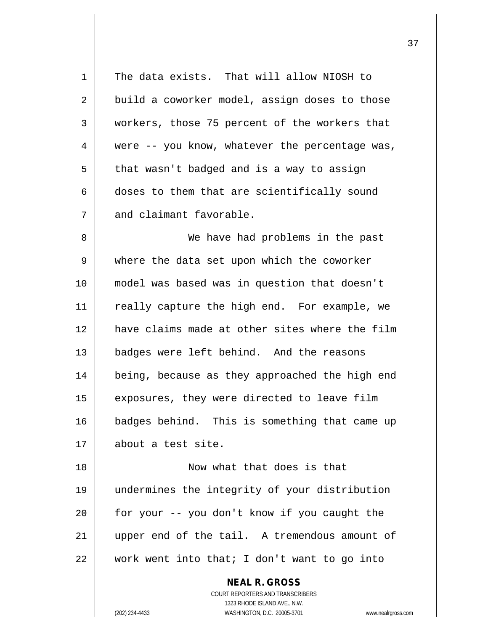|             | <b>NEAL R. GROSS</b>                           |
|-------------|------------------------------------------------|
| 22          | work went into that; I don't want to go into   |
| 21          | upper end of the tail. A tremendous amount of  |
| 20          | for your -- you don't know if you caught the   |
| 19          | undermines the integrity of your distribution  |
| 18          | Now what that does is that                     |
| 17          | about a test site.                             |
| 16          | badges behind. This is something that came up  |
| 15          | exposures, they were directed to leave film    |
| 14          | being, because as they approached the high end |
| 13          | badges were left behind. And the reasons       |
| 12          | have claims made at other sites where the film |
| 11          | really capture the high end. For example, we   |
| 10          | model was based was in question that doesn't   |
| 9           | where the data set upon which the coworker     |
| 8           | We have had problems in the past               |
| 7           | and claimant favorable.                        |
| 6           | doses to them that are scientifically sound    |
| 5           | that wasn't badged and is a way to assign      |
| 4           | were -- you know, whatever the percentage was, |
| 3           | workers, those 75 percent of the workers that  |
| 2           | build a coworker model, assign doses to those  |
| $\mathbf 1$ | The data exists. That will allow NIOSH to      |
|             |                                                |

COURT REPORTERS AND TRANSCRIBERS 1323 RHODE ISLAND AVE., N.W. (202) 234-4433 WASHINGTON, D.C. 20005-3701 www.nealrgross.com

 $\prod$ 

 $\overline{\phantom{a}}$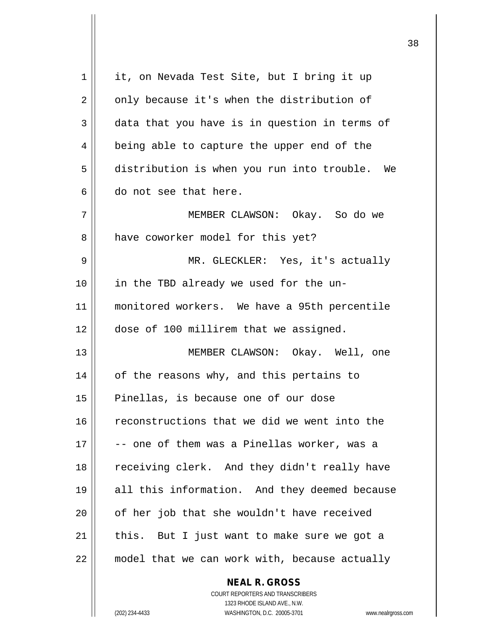| 1  | it, on Nevada Test Site, but I bring it up    |
|----|-----------------------------------------------|
| 2  | only because it's when the distribution of    |
| 3  | data that you have is in question in terms of |
| 4  | being able to capture the upper end of the    |
| 5  | distribution is when you run into trouble. We |
| 6  | do not see that here.                         |
| 7  | MEMBER CLAWSON: Okay. So do we                |
| 8  | have coworker model for this yet?             |
| 9  | MR. GLECKLER: Yes, it's actually              |
| 10 | in the TBD already we used for the un-        |
| 11 | monitored workers. We have a 95th percentile  |
| 12 | dose of 100 millirem that we assigned.        |
| 13 | MEMBER CLAWSON: Okay. Well, one               |
| 14 | of the reasons why, and this pertains to      |
| 15 | Pinellas, is because one of our dose          |
| 16 | reconstructions that we did we went into the  |
| 17 | -- one of them was a Pinellas worker, was a   |
| 18 | receiving clerk. And they didn't really have  |
| 19 | all this information. And they deemed because |
| 20 | of her job that she wouldn't have received    |
| 21 | this. But I just want to make sure we got a   |
| 22 | model that we can work with, because actually |
|    |                                               |

COURT REPORTERS AND TRANSCRIBERS 1323 RHODE ISLAND AVE., N.W. (202) 234-4433 WASHINGTON, D.C. 20005-3701 www.nealrgross.com

**NEAL R. GROSS**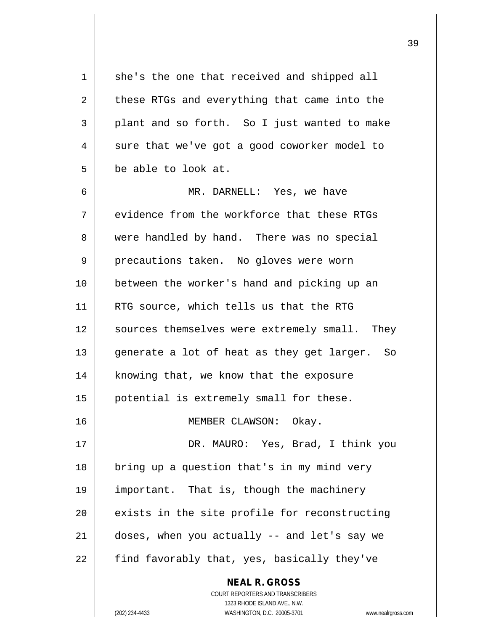$1 \parallel$  she's the one that received and shipped all  $2 \parallel$  these RTGs and everything that came into the  $3 \parallel$  plant and so forth. So I just wanted to make  $4 \parallel$  sure that we've got a good coworker model to  $5 \parallel$  be able to look at. 6 MR. DARNELL: Yes, we have  $7$   $\parallel$  evidence from the workforce that these RTGs 8 were handled by hand. There was no special 9 || precautions taken. No gloves were worn 10 between the worker's hand and picking up an 11 || RTG source, which tells us that the RTG 12 || sources themselves were extremely small. They 13 || generate a lot of heat as they get larger. So 14 | knowing that, we know that the exposure 15 | potential is extremely small for these. 16 || MEMBER CLAWSON: Okay. 17 DR. MAURO: Yes, Brad, I think you 18 || bring up a question that's in my mind very 19 important. That is, though the machinery  $20$   $\parallel$  exists in the site profile for reconstructing  $21$  | doses, when you actually  $-$  and let's say we  $22$  | find favorably that, yes, basically they've

> COURT REPORTERS AND TRANSCRIBERS 1323 RHODE ISLAND AVE., N.W. (202) 234-4433 WASHINGTON, D.C. 20005-3701 www.nealrgross.com

**NEAL R. GROSS**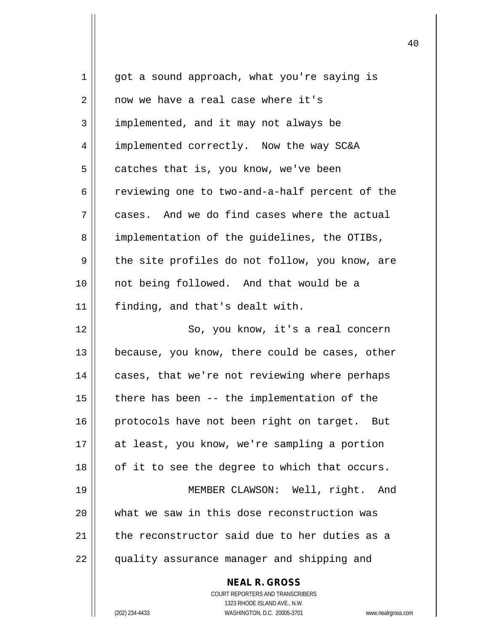| 1  | got a sound approach, what you're saying is                         |
|----|---------------------------------------------------------------------|
| 2  | now we have a real case where it's                                  |
| 3  | implemented, and it may not always be                               |
| 4  | implemented correctly. Now the way SC&A                             |
| 5  | catches that is, you know, we've been                               |
| 6  | reviewing one to two-and-a-half percent of the                      |
| 7  | cases. And we do find cases where the actual                        |
| 8  | implementation of the quidelines, the OTIBs,                        |
| 9  | the site profiles do not follow, you know, are                      |
| 10 | not being followed. And that would be a                             |
| 11 | finding, and that's dealt with.                                     |
| 12 | So, you know, it's a real concern                                   |
| 13 | because, you know, there could be cases, other                      |
| 14 | cases, that we're not reviewing where perhaps                       |
| 15 | there has been -- the implementation of the                         |
| 16 | protocols have not been right on target. But                        |
| 17 | at least, you know, we're sampling a portion                        |
| 18 | of it to see the degree to which that occurs.                       |
| 19 | MEMBER CLAWSON: Well, right. And                                    |
| 20 | what we saw in this dose reconstruction was                         |
| 21 | the reconstructor said due to her duties as a                       |
| 22 | quality assurance manager and shipping and                          |
|    | <b>NEAL R. GROSS</b>                                                |
|    | COURT REPORTERS AND TRANSCRIBERS                                    |
|    | 1323 RHODE ISLAND AVE., N.W.                                        |
|    | (202) 234-4433<br>WASHINGTON, D.C. 20005-3701<br>www.nealrgross.com |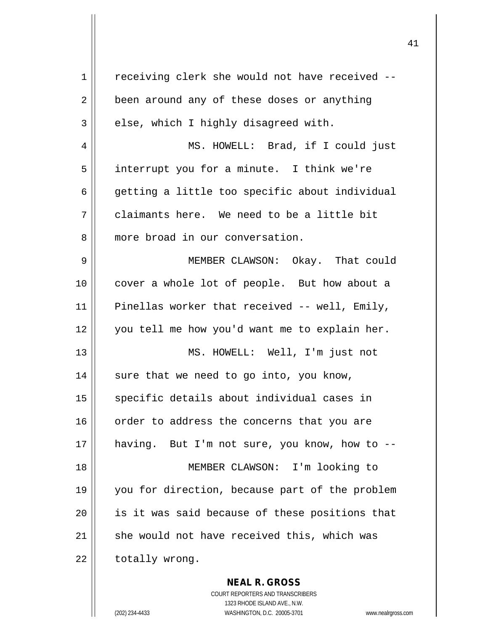| $\mathbf 1$ | receiving clerk she would not have received --                                           |
|-------------|------------------------------------------------------------------------------------------|
| 2           | been around any of these doses or anything                                               |
| 3           | else, which I highly disagreed with.                                                     |
| 4           | MS. HOWELL: Brad, if I could just                                                        |
| 5           | interrupt you for a minute. I think we're                                                |
| 6           | getting a little too specific about individual                                           |
| 7           | claimants here. We need to be a little bit                                               |
| 8           | more broad in our conversation.                                                          |
| 9           | MEMBER CLAWSON: Okay. That could                                                         |
| 10          | cover a whole lot of people. But how about a                                             |
| 11          | Pinellas worker that received -- well, Emily,                                            |
| 12          | you tell me how you'd want me to explain her.                                            |
| 13          | MS. HOWELL: Well, I'm just not                                                           |
| 14          | sure that we need to go into, you know,                                                  |
| 15          | specific details about individual cases in                                               |
| 16          | order to address the concerns that you are                                               |
| 17          | having. But I'm not sure, you know, how to --                                            |
| 18          | MEMBER CLAWSON: I'm looking to                                                           |
| 19          | you for direction, because part of the problem                                           |
| 20          | is it was said because of these positions that                                           |
| 21          | she would not have received this, which was                                              |
| 22          | totally wrong.                                                                           |
|             | <b>NEAL R. GROSS</b><br>COURT REPORTERS AND TRANSCRIBERS<br>1323 RHODE ISLAND AVE., N.W. |
|             | (202) 234-4433<br>WASHINGTON, D.C. 20005-3701<br>www.nealrgross.o                        |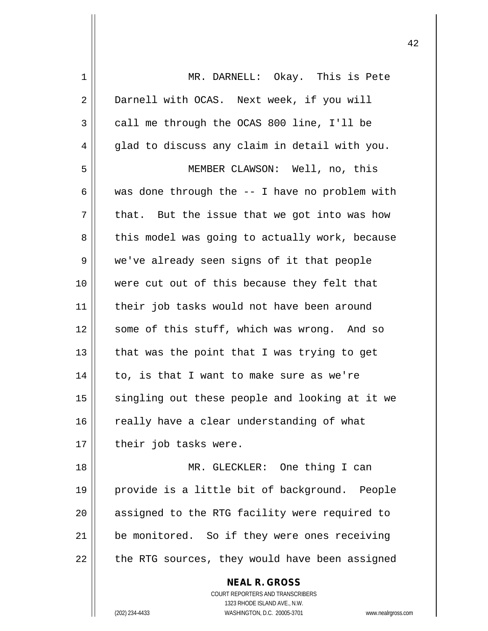| 1  | MR. DARNELL: Okay. This is Pete                                 |
|----|-----------------------------------------------------------------|
| 2  | Darnell with OCAS. Next week, if you will                       |
| 3  | call me through the OCAS 800 line, I'll be                      |
| 4  | glad to discuss any claim in detail with you.                   |
| 5  | MEMBER CLAWSON: Well, no, this                                  |
| 6  | was done through the -- I have no problem with                  |
| 7  | that. But the issue that we got into was how                    |
| 8  | this model was going to actually work, because                  |
| 9  | we've already seen signs of it that people                      |
| 10 | were cut out of this because they felt that                     |
| 11 | their job tasks would not have been around                      |
| 12 | some of this stuff, which was wrong. And so                     |
| 13 | that was the point that I was trying to get                     |
| 14 | to, is that I want to make sure as we're                        |
| 15 | singling out these people and looking at it we                  |
| 16 | really have a clear understanding of what                       |
| 17 | their job tasks were.                                           |
| 18 | MR. GLECKLER: One thing I can                                   |
| 19 | provide is a little bit of background. People                   |
| 20 | assigned to the RTG facility were required to                   |
| 21 | be monitored. So if they were ones receiving                    |
| 22 | the RTG sources, they would have been assigned                  |
|    | <b>NEAL R. GROSS</b>                                            |
|    | <b>COURT REPORTERS AND TRANSCRIBERS</b>                         |
|    | 1323 RHODE ISLAND AVE., N.W.                                    |
|    | WASHINGTON, D.C. 20005-3701<br>(202) 234-4433<br>www.nealrgross |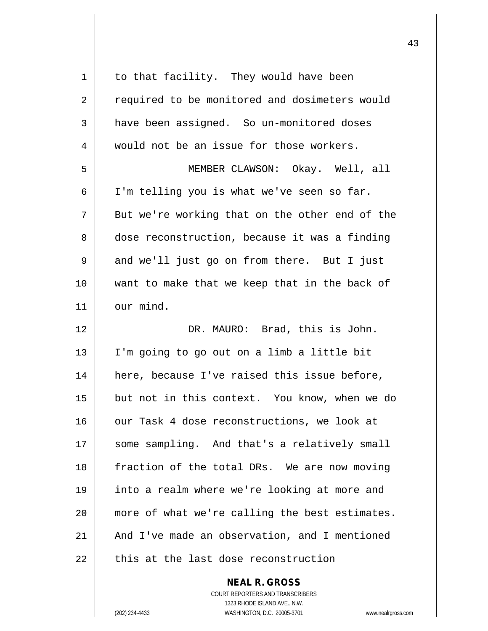| 1  | to that facility. They would have been         |
|----|------------------------------------------------|
| 2  | required to be monitored and dosimeters would  |
| 3  | have been assigned. So un-monitored doses      |
| 4  | would not be an issue for those workers.       |
| 5  | MEMBER CLAWSON: Okay. Well, all                |
| 6  | I'm telling you is what we've seen so far.     |
| 7  | But we're working that on the other end of the |
| 8  | dose reconstruction, because it was a finding  |
| 9  | and we'll just go on from there. But I just    |
| 10 | want to make that we keep that in the back of  |
| 11 | our mind.                                      |
| 12 | DR. MAURO: Brad, this is John.                 |
| 13 | I'm going to go out on a limb a little bit     |
| 14 | here, because I've raised this issue before,   |
| 15 | but not in this context. You know, when we do  |
| 16 | our Task 4 dose reconstructions, we look at    |
| 17 | some sampling. And that's a relatively small   |
| 18 | fraction of the total DRs. We are now moving   |
| 19 | into a realm where we're looking at more and   |
| 20 |                                                |
|    | more of what we're calling the best estimates. |
| 21 | And I've made an observation, and I mentioned  |
| 22 | this at the last dose reconstruction           |

COURT REPORTERS AND TRANSCRIBERS 1323 RHODE ISLAND AVE., N.W. (202) 234-4433 WASHINGTON, D.C. 20005-3701 www.nealrgross.com

**NEAL R. GROSS**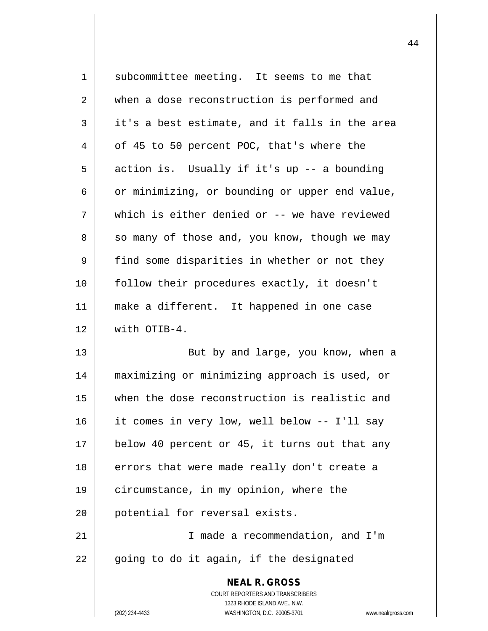| 1  | subcommittee meeting. It seems to me that                           |
|----|---------------------------------------------------------------------|
| 2  | when a dose reconstruction is performed and                         |
| 3  | it's a best estimate, and it falls in the area                      |
| 4  | of 45 to 50 percent POC, that's where the                           |
| 5  | action is. Usually if it's up -- a bounding                         |
| 6  | or minimizing, or bounding or upper end value,                      |
| 7  | which is either denied or -- we have reviewed                       |
| 8  | so many of those and, you know, though we may                       |
| 9  | find some disparities in whether or not they                        |
| 10 | follow their procedures exactly, it doesn't                         |
| 11 | make a different. It happened in one case                           |
| 12 | with OTIB-4.                                                        |
| 13 | But by and large, you know, when a                                  |
| 14 | maximizing or minimizing approach is used, or                       |
| 15 | when the dose reconstruction is realistic and                       |
| 16 | it comes in very low, well below -- I'll say                        |
| 17 | below 40 percent or 45, it turns out that any                       |
| 18 | errors that were made really don't create a                         |
| 19 | circumstance, in my opinion, where the                              |
| 20 | potential for reversal exists.                                      |
| 21 | I made a recommendation, and I'm                                    |
| 22 | going to do it again, if the designated                             |
|    | <b>NEAL R. GROSS</b>                                                |
|    | COURT REPORTERS AND TRANSCRIBERS                                    |
|    | 1323 RHODE ISLAND AVE., N.W.                                        |
|    | (202) 234-4433<br>WASHINGTON, D.C. 20005-3701<br>www.nealrgross.com |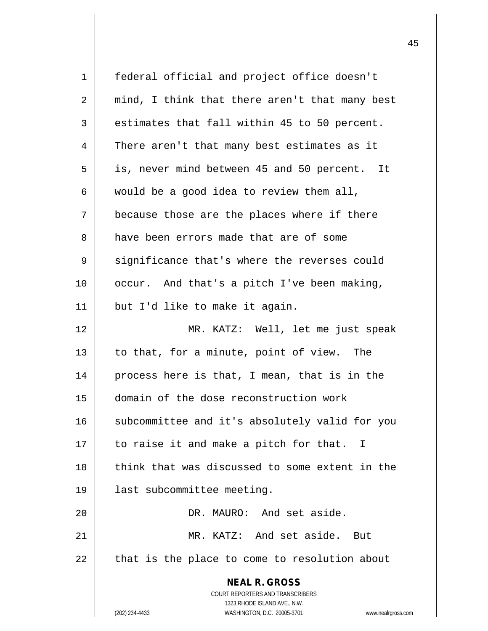| $\mathbf 1$    | federal official and project office doesn't                         |
|----------------|---------------------------------------------------------------------|
| 2              | mind, I think that there aren't that many best                      |
| 3              | estimates that fall within 45 to 50 percent.                        |
| $\overline{4}$ | There aren't that many best estimates as it                         |
| 5              | is, never mind between 45 and 50 percent. It                        |
| 6              | would be a good idea to review them all,                            |
| 7              | because those are the places where if there                         |
| 8              | have been errors made that are of some                              |
| 9              | significance that's where the reverses could                        |
| 10             | occur. And that's a pitch I've been making,                         |
| 11             | but I'd like to make it again.                                      |
| 12             | MR. KATZ: Well, let me just speak                                   |
| 13             | to that, for a minute, point of view. The                           |
| 14             | process here is that, I mean, that is in the                        |
| 15             | domain of the dose reconstruction work                              |
| 16             | subcommittee and it's absolutely valid for you                      |
| 17             | to raise it and make a pitch for that. I                            |
| 18             | think that was discussed to some extent in the                      |
| 19             | last subcommittee meeting.                                          |
| 20             | DR. MAURO: And set aside.                                           |
| 21             | MR. KATZ: And set aside.<br>But                                     |
| 22             | that is the place to come to resolution about                       |
|                | <b>NEAL R. GROSS</b>                                                |
|                | COURT REPORTERS AND TRANSCRIBERS                                    |
|                | 1323 RHODE ISLAND AVE., N.W.                                        |
|                | (202) 234-4433<br>WASHINGTON, D.C. 20005-3701<br>www.nealrgross.com |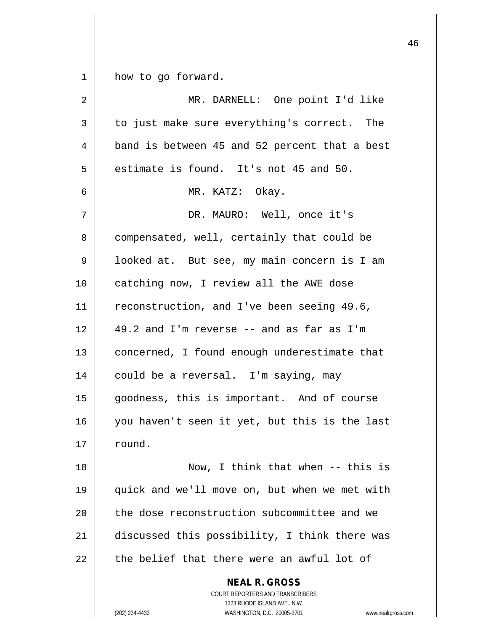$1 \parallel$  how to go forward.

| 2  | MR. DARNELL: One point I'd like                                                                                                                           |
|----|-----------------------------------------------------------------------------------------------------------------------------------------------------------|
| 3  | to just make sure everything's correct. The                                                                                                               |
| 4  | band is between 45 and 52 percent that a best                                                                                                             |
| 5  | estimate is found. It's not 45 and 50.                                                                                                                    |
| 6  | MR. KATZ: Okay.                                                                                                                                           |
| 7  | DR. MAURO: Well, once it's                                                                                                                                |
| 8  | compensated, well, certainly that could be                                                                                                                |
| 9  | looked at. But see, my main concern is I am                                                                                                               |
| 10 | catching now, I review all the AWE dose                                                                                                                   |
| 11 | reconstruction, and I've been seeing 49.6,                                                                                                                |
| 12 | 49.2 and I'm reverse -- and as far as I'm                                                                                                                 |
| 13 | concerned, I found enough underestimate that                                                                                                              |
| 14 | could be a reversal. I'm saying, may                                                                                                                      |
| 15 | goodness, this is important. And of course                                                                                                                |
| 16 | you haven't seen it yet, but this is the last                                                                                                             |
| 17 | round.                                                                                                                                                    |
| 18 | Now, I think that when $--$ this is                                                                                                                       |
| 19 | quick and we'll move on, but when we met with                                                                                                             |
| 20 | the dose reconstruction subcommittee and we                                                                                                               |
| 21 | discussed this possibility, I think there was                                                                                                             |
| 22 | the belief that there were an awful lot of                                                                                                                |
|    | <b>NEAL R. GROSS</b><br>COURT REPORTERS AND TRANSCRIBERS<br>1323 RHODE ISLAND AVE., N.W.<br>(202) 234-4433<br>WASHINGTON, D.C. 20005-3701<br>www.nealrgro |

(202) 234-4433 WASHINGTON, D.C. 20005-3701 www.nealrgross.com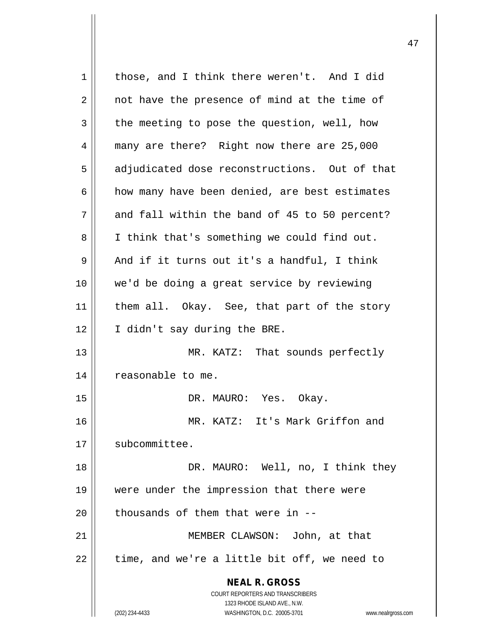**NEAL R. GROSS** COURT REPORTERS AND TRANSCRIBERS 1323 RHODE ISLAND AVE., N.W. (202) 234-4433 WASHINGTON, D.C. 20005-3701 www.nealrgross.com 1 | those, and I think there weren't. And I did 2 || not have the presence of mind at the time of  $3 \parallel$  the meeting to pose the question, well, how 4 many are there? Right now there are 25,000 5 | adjudicated dose reconstructions. Out of that  $6$  how many have been denied, are best estimates  $7 \parallel$  and fall within the band of 45 to 50 percent? 8 || I think that's something we could find out.  $9 \parallel$  And if it turns out it's a handful, I think 10 we'd be doing a great service by reviewing 11 || them all. Okay. See, that part of the story 12 || I didn't say during the BRE. 13 || MR. KATZ: That sounds perfectly 14 | reasonable to me. 15 DR. MAURO: Yes. Okay. 16 MR. KATZ: It's Mark Griffon and 17 | subcommittee. 18 DR. MAURO: Well, no, I think they 19 were under the impression that there were 20  $\parallel$  thousands of them that were in --21 MEMBER CLAWSON: John, at that  $22$  || time, and we're a little bit off, we need to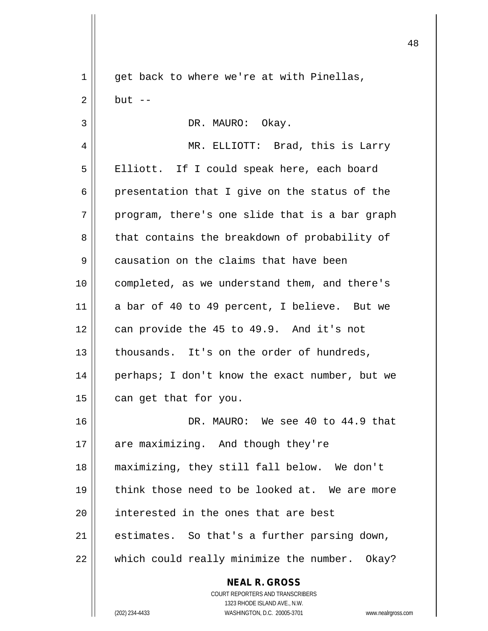**NEAL R. GROSS** COURT REPORTERS AND TRANSCRIBERS 1323 RHODE ISLAND AVE., N.W. (202) 234-4433 WASHINGTON, D.C. 20005-3701 www.nealrgross.com 1 || get back to where we're at with Pinellas,  $2 \parallel$  but  $-$ 3 || DR. MAURO: Okay. 4 MR. ELLIOTT: Brad, this is Larry 5 || Elliott. If I could speak here, each board  $6 \parallel$  presentation that I give on the status of the  $7 \parallel$  program, there's one slide that is a bar graph 8 that contains the breakdown of probability of 9 | causation on the claims that have been 10 completed, as we understand them, and there's 11 a bar of 40 to 49 percent, I believe. But we  $12$  | can provide the 45 to 49.9. And it's not 13 | thousands. It's on the order of hundreds, 14 || perhaps; I don't know the exact number, but we  $15$  | can get that for you. 16 DR. MAURO: We see 40 to 44.9 that 17 || are maximizing. And though they're 18 maximizing, they still fall below. We don't 19 think those need to be looked at. We are more 20 **interested in the ones that are best**  $21$  | estimates. So that's a further parsing down,  $22$  | which could really minimize the number. Okay?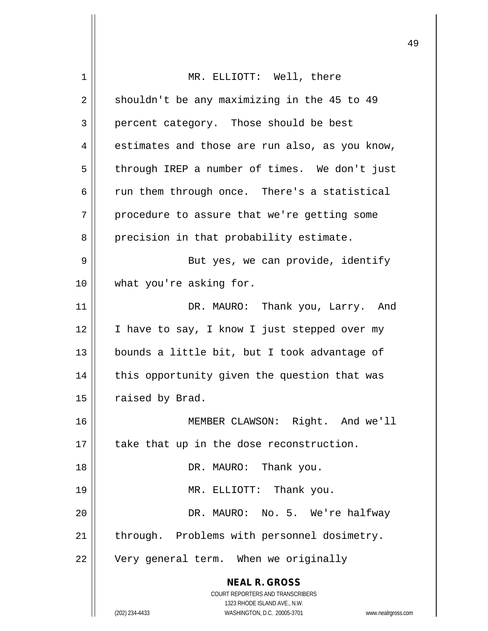| 1  | MR. ELLIOTT: Well, there                                                                            |
|----|-----------------------------------------------------------------------------------------------------|
| 2  | shouldn't be any maximizing in the 45 to 49                                                         |
| 3  | percent category. Those should be best                                                              |
| 4  | estimates and those are run also, as you know,                                                      |
| 5  | through IREP a number of times. We don't just                                                       |
| 6  | run them through once. There's a statistical                                                        |
| 7  | procedure to assure that we're getting some                                                         |
| 8  | precision in that probability estimate.                                                             |
| 9  | But yes, we can provide, identify                                                                   |
| 10 | what you're asking for.                                                                             |
| 11 | DR. MAURO: Thank you, Larry. And                                                                    |
| 12 | I have to say, I know I just stepped over my                                                        |
| 13 | bounds a little bit, but I took advantage of                                                        |
| 14 | this opportunity given the question that was                                                        |
| 15 | raised by Brad.                                                                                     |
| 16 | MEMBER CLAWSON: Right. And we'll                                                                    |
| 17 | take that up in the dose reconstruction.                                                            |
| 18 | DR. MAURO: Thank you.                                                                               |
| 19 | MR. ELLIOTT: Thank you.                                                                             |
| 20 | DR. MAURO: No. 5. We're halfway                                                                     |
| 21 | through. Problems with personnel dosimetry.                                                         |
| 22 | Very general term. When we originally                                                               |
|    | <b>NEAL R. GROSS</b><br>COURT REPORTERS AND TRANSCRIBERS                                            |
|    | 1323 RHODE ISLAND AVE., N.W.<br>(202) 234-4433<br>WASHINGTON, D.C. 20005-3701<br>www.nealrgross.com |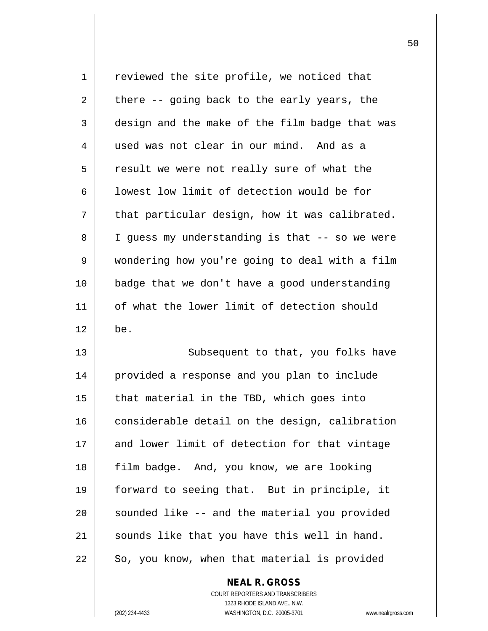| 1  | reviewed the site profile, we noticed that     |
|----|------------------------------------------------|
| 2  | there -- going back to the early years, the    |
| 3  | design and the make of the film badge that was |
| 4  | used was not clear in our mind. And as a       |
| 5  | result we were not really sure of what the     |
| 6  | lowest low limit of detection would be for     |
| 7  | that particular design, how it was calibrated. |
| 8  | I guess my understanding is that -- so we were |
| 9  | wondering how you're going to deal with a film |
| 10 | badge that we don't have a good understanding  |
| 11 | of what the lower limit of detection should    |
|    |                                                |
| 12 | be.                                            |
| 13 | Subsequent to that, you folks have             |
| 14 | provided a response and you plan to include    |
| 15 | that material in the TBD, which goes into      |
| 16 | considerable detail on the design, calibration |
| 17 | and lower limit of detection for that vintage  |
| 18 | film badge. And, you know, we are looking      |
| 19 | forward to seeing that. But in principle, it   |
| 20 | sounded like -- and the material you provided  |
| 21 | sounds like that you have this well in hand.   |

**NEAL R. GROSS** COURT REPORTERS AND TRANSCRIBERS 1323 RHODE ISLAND AVE., N.W. (202) 234-4433 WASHINGTON, D.C. 20005-3701 www.nealrgross.com

 $\mathsf{I}$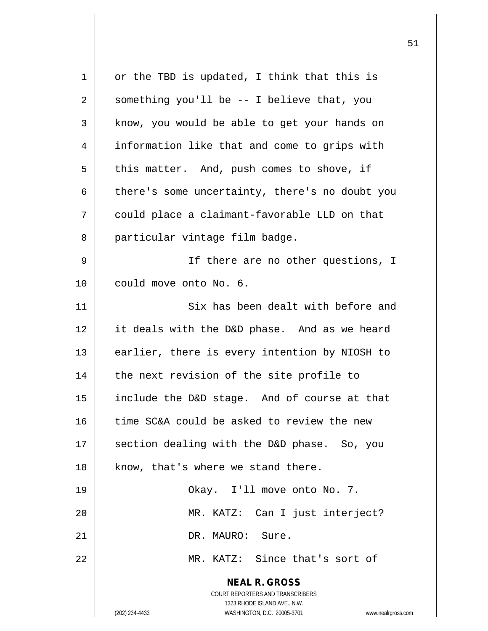| $\mathbf 1$ | or the TBD is updated, I think that this is                                                                                                                     |
|-------------|-----------------------------------------------------------------------------------------------------------------------------------------------------------------|
| 2           | something you'll be -- I believe that, you                                                                                                                      |
| 3           | know, you would be able to get your hands on                                                                                                                    |
| 4           | information like that and come to grips with                                                                                                                    |
| 5           | this matter. And, push comes to shove, if                                                                                                                       |
| 6           | there's some uncertainty, there's no doubt you                                                                                                                  |
| 7           | could place a claimant-favorable LLD on that                                                                                                                    |
| 8           | particular vintage film badge.                                                                                                                                  |
| 9           | If there are no other questions, I                                                                                                                              |
| 10          | could move onto No. 6.                                                                                                                                          |
| 11          | Six has been dealt with before and                                                                                                                              |
| 12          | it deals with the D&D phase. And as we heard                                                                                                                    |
| 13          | earlier, there is every intention by NIOSH to                                                                                                                   |
| 14          | the next revision of the site profile to                                                                                                                        |
| 15          | include the D&D stage. And of course at that                                                                                                                    |
| 16          | time SC&A could be asked to review the new                                                                                                                      |
| 17          | section dealing with the D&D phase. So, you                                                                                                                     |
| 18          | know, that's where we stand there.                                                                                                                              |
| 19          | Okay. I'll move onto No. 7.                                                                                                                                     |
| 20          | MR. KATZ: Can I just interject?                                                                                                                                 |
| 21          | DR. MAURO: Sure.                                                                                                                                                |
| 22          | MR. KATZ: Since that's sort of                                                                                                                                  |
|             | <b>NEAL R. GROSS</b><br>COURT REPORTERS AND TRANSCRIBERS<br>1323 RHODE ISLAND AVE., N.W.<br>WASHINGTON, D.C. 20005-3701<br>(202) 234-4433<br>www.nealrgross.com |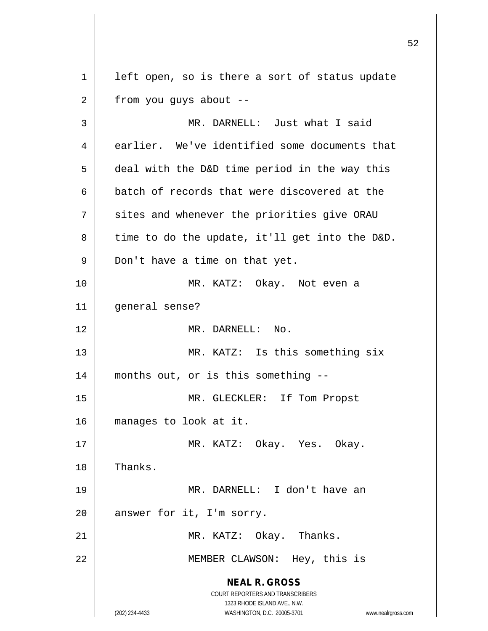**NEAL R. GROSS** COURT REPORTERS AND TRANSCRIBERS 1323 RHODE ISLAND AVE., N.W. (202) 234-4433 WASHINGTON, D.C. 20005-3701 www.nealrgross.com  $1$  left open, so is there a sort of status update  $2 \parallel$  from you guys about --3 || MR. DARNELL: Just what I said 4 earlier. We've identified some documents that  $5 \parallel$  deal with the D&D time period in the way this  $6 \parallel$  batch of records that were discovered at the  $7$   $\parallel$  sites and whenever the priorities give ORAU  $8 \parallel$  time to do the update, it'll get into the D&D.  $9 \parallel$  Don't have a time on that yet. 10 || MR. KATZ: Okay. Not even a 11 general sense? 12 MR. DARNELL: No. 13 || MR. KATZ: Is this something six 14 months out, or is this something -- 15 || MR. GLECKLER: If Tom Propst 16 manages to look at it. 17 MR. KATZ: Okay. Yes. Okay. 18 | Thanks. 19 MR. DARNELL: I don't have an  $20$  | answer for it, I'm sorry. 21 || MR. KATZ: Okay. Thanks. 22 || MEMBER CLAWSON: Hey, this is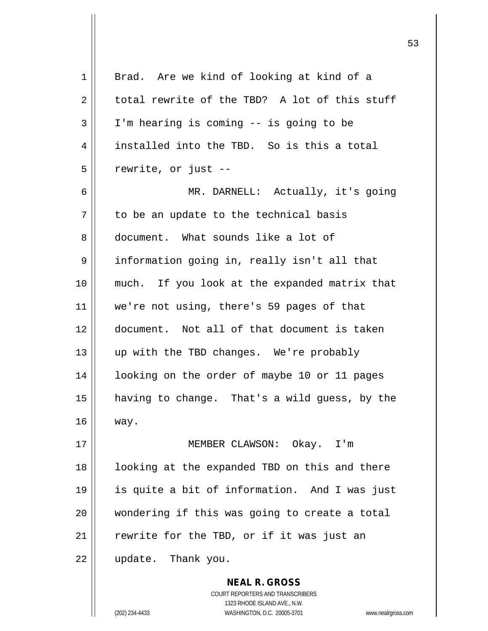1 || Brad. Are we kind of looking at kind of a  $2 \parallel$  total rewrite of the TBD? A lot of this stuff  $3 \parallel$  I'm hearing is coming -- is going to be 4 || installed into the TBD. So is this a total  $5 \parallel$  rewrite, or just --6 MR. DARNELL: Actually, it's going  $7 \parallel$  to be an update to the technical basis 8 document. What sounds like a lot of 9 || information going in, really isn't all that 10 || much. If you look at the expanded matrix that 11 we're not using, there's 59 pages of that 12 document. Not all of that document is taken 13 || up with the TBD changes. We're probably 14 | looking on the order of maybe 10 or 11 pages 15 having to change. That's a wild guess, by the 16 way. 17 MEMBER CLAWSON: Okay. I'm 18 || looking at the expanded TBD on this and there 19 is quite a bit of information. And I was just  $20$  || wondering if this was going to create a total  $21$  | rewrite for the TBD, or if it was just an 22 update. Thank you.

> COURT REPORTERS AND TRANSCRIBERS 1323 RHODE ISLAND AVE., N.W. (202) 234-4433 WASHINGTON, D.C. 20005-3701 www.nealrgross.com

**NEAL R. GROSS**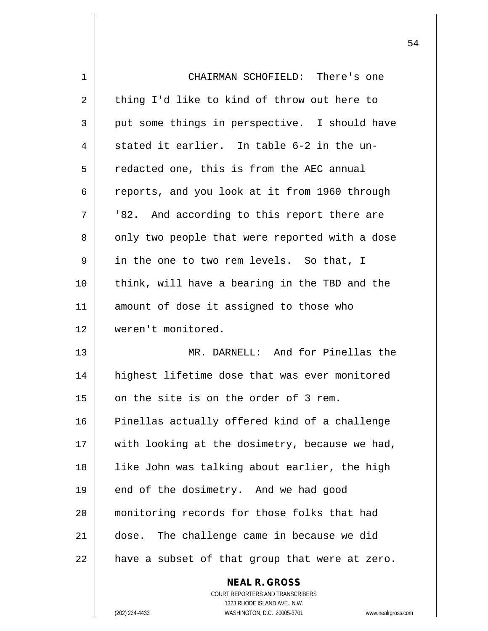| 1  | CHAIRMAN SCHOFIELD: There's one                |
|----|------------------------------------------------|
| 2  | thing I'd like to kind of throw out here to    |
| 3  | put some things in perspective. I should have  |
| 4  | stated it earlier. In table 6-2 in the un-     |
| 5  | redacted one, this is from the AEC annual      |
| 6  | reports, and you look at it from 1960 through  |
| 7  | '82. And according to this report there are    |
| 8  | only two people that were reported with a dose |
| 9  | in the one to two rem levels. So that, I       |
| 10 | think, will have a bearing in the TBD and the  |
| 11 | amount of dose it assigned to those who        |
| 12 | weren't monitored.                             |
| 13 | MR. DARNELL: And for Pinellas the              |
| 14 | highest lifetime dose that was ever monitored  |
| 15 | on the site is on the order of 3 rem.          |
| 16 | Pinellas actually offered kind of a challenge  |
| 17 | with looking at the dosimetry, because we had, |
| 18 | like John was talking about earlier, the high  |
| 19 | end of the dosimetry. And we had good          |
| 20 | monitoring records for those folks that had    |
| 21 | dose. The challenge came in because we did     |
| 22 | have a subset of that group that were at zero. |
|    |                                                |

COURT REPORTERS AND TRANSCRIBERS 1323 RHODE ISLAND AVE., N.W. (202) 234-4433 WASHINGTON, D.C. 20005-3701 www.nealrgross.com

**NEAL R. GROSS**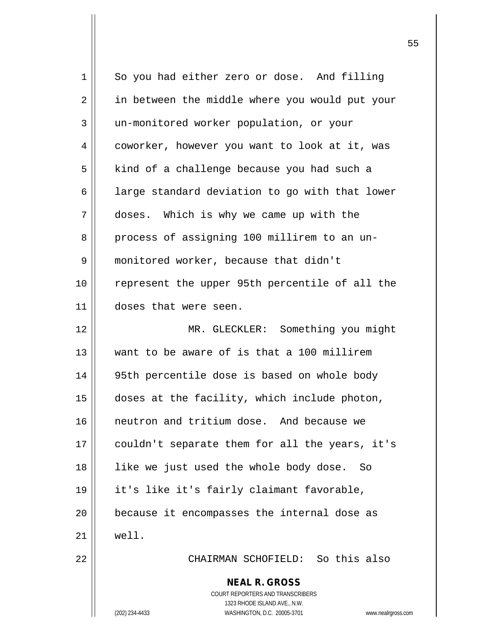| $\mathbf 1$ | So you had either zero or dose. And filling                      |
|-------------|------------------------------------------------------------------|
| 2           | in between the middle where you would put your                   |
| 3           | un-monitored worker population, or your                          |
| 4           | coworker, however you want to look at it, was                    |
| 5           | kind of a challenge because you had such a                       |
| 6           | large standard deviation to go with that lower                   |
| 7           | doses. Which is why we came up with the                          |
| 8           | process of assigning 100 millirem to an un-                      |
| 9           | monitored worker, because that didn't                            |
| 10          | represent the upper 95th percentile of all the                   |
| 11          | doses that were seen.                                            |
| 12          | MR. GLECKLER: Something you might                                |
| 13          | want to be aware of is that a 100 millirem                       |
| 14          | 95th percentile dose is based on whole body                      |
| 15          | doses at the facility, which include photon,                     |
| 16          | neutron and tritium dose. And because we                         |
| 17          | couldn't separate them for all the years, it's                   |
| 18          | like we just used the whole body dose. So                        |
| 19          | it's like it's fairly claimant favorable,                        |
| 20          | because it encompasses the internal dose as                      |
| 21          | well.                                                            |
| 22          | CHAIRMAN SCHOFIELD: So this also                                 |
|             | <b>NEAL R. GROSS</b><br>COURT REPORTERS AND TRANSCRIBERS         |
|             | 1323 RHODE ISLAND AVE., N.W.                                     |
|             | (202) 234-4433<br>WASHINGTON, D.C. 20005-3701<br>www.nealrgross. |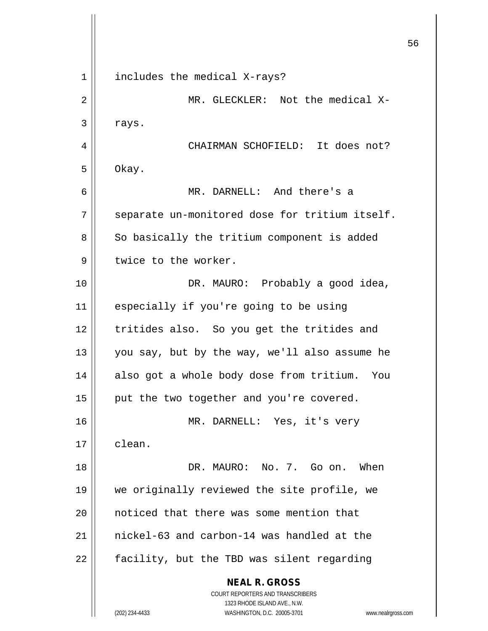**NEAL R. GROSS** COURT REPORTERS AND TRANSCRIBERS 1323 RHODE ISLAND AVE., N.W. (202) 234-4433 WASHINGTON, D.C. 20005-3701 www.nealrgross.com 1 || includes the medical X-rays? 2 MR. GLECKLER: Not the medical X- $3 \parallel$  rays. 4 CHAIRMAN SCHOFIELD: It does not?  $5 \parallel$  Okay. 6 MR. DARNELL: And there's a  $7$  | separate un-monitored dose for tritium itself. 8 || So basically the tritium component is added  $9 \parallel$  twice to the worker. 10 || DR. MAURO: Probably a good idea, 11 || especially if you're going to be using 12 tritides also. So you get the tritides and 13  $\parallel$  you say, but by the way, we'll also assume he 14 || also got a whole body dose from tritium. You 15  $\parallel$  put the two together and you're covered. 16 MR. DARNELL: Yes, it's very 17 clean. 18 DR. MAURO: No. 7. Go on. When 19 we originally reviewed the site profile, we 20 || noticed that there was some mention that 21 nickel-63 and carbon-14 was handled at the  $22$  | facility, but the TBD was silent regarding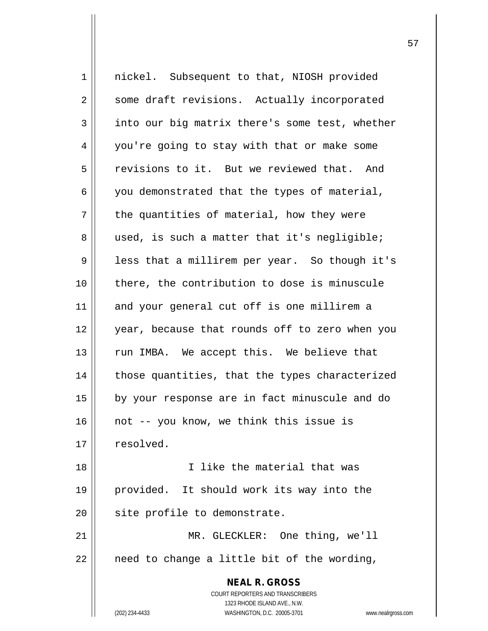| $\mathbf{1}$   | nickel. Subsequent to that, NIOSH provided                                                          |
|----------------|-----------------------------------------------------------------------------------------------------|
| $\overline{a}$ | some draft revisions. Actually incorporated                                                         |
| 3              | into our big matrix there's some test, whether                                                      |
| 4              | you're going to stay with that or make some                                                         |
| 5              | revisions to it. But we reviewed that. And                                                          |
| 6              | you demonstrated that the types of material,                                                        |
| 7              | the quantities of material, how they were                                                           |
| 8              | used, is such a matter that it's negligible;                                                        |
| 9              | less that a millirem per year. So though it's                                                       |
| 10             | there, the contribution to dose is minuscule                                                        |
| 11             | and your general cut off is one millirem a                                                          |
| 12             | year, because that rounds off to zero when you                                                      |
| 13             | run IMBA. We accept this. We believe that                                                           |
| 14             | those quantities, that the types characterized                                                      |
| 15             | by your response are in fact minuscule and do                                                       |
| 16             | not -- you know, we think this issue is                                                             |
| 17             | resolved.                                                                                           |
| 18             | I like the material that was                                                                        |
| 19             | provided. It should work its way into the                                                           |
| 20             | site profile to demonstrate.                                                                        |
| 21             | MR. GLECKLER: One thing, we'll                                                                      |
| 22             | need to change a little bit of the wording,                                                         |
|                | <b>NEAL R. GROSS</b>                                                                                |
|                | COURT REPORTERS AND TRANSCRIBERS                                                                    |
|                | 1323 RHODE ISLAND AVE., N.W.<br>(202) 234-4433<br>WASHINGTON, D.C. 20005-3701<br>www.nealrgross.com |
|                |                                                                                                     |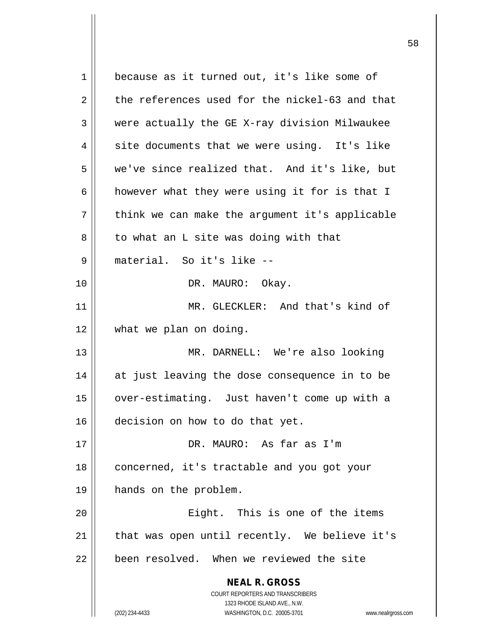**NEAL R. GROSS** COURT REPORTERS AND TRANSCRIBERS 1323 RHODE ISLAND AVE., N.W. (202) 234-4433 WASHINGTON, D.C. 20005-3701 www.nealrgross.com 1 || because as it turned out, it's like some of  $2 \parallel$  the references used for the nickel-63 and that 3 were actually the GE X-ray division Milwaukee  $4 \parallel$  site documents that we were using. It's like 5 we've since realized that. And it's like, but 6 | however what they were using it for is that I  $7 \parallel$  think we can make the argument it's applicable  $8 \parallel$  to what an L site was doing with that 9 material. So it's like -- 10 || DR. MAURO: Okay. 11 MR. GLECKLER: And that's kind of 12 what we plan on doing. 13 MR. DARNELL: We're also looking 14 || at just leaving the dose consequence in to be 15 | over-estimating. Just haven't come up with a 16 decision on how to do that yet. 17 DR. MAURO: As far as I'm 18 | concerned, it's tractable and you got your 19 hands on the problem. 20 Eight. This is one of the items  $21$  | that was open until recently. We believe it's 22 | been resolved. When we reviewed the site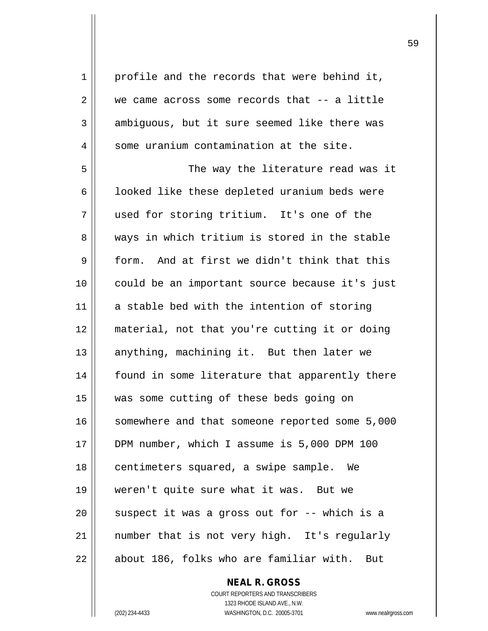$1 \parallel$  profile and the records that were behind it,  $2 \parallel$  we came across some records that  $-$  a little  $3 \parallel$  ambiguous, but it sure seemed like there was  $4$  | some uranium contamination at the site.

5 The way the literature read was it  $6 \parallel$  looked like these depleted uranium beds were 7 used for storing tritium. It's one of the 8 ways in which tritium is stored in the stable 9 form. And at first we didn't think that this 10 could be an important source because it's just  $11$  a stable bed with the intention of storing 12 material, not that you're cutting it or doing 13 || anything, machining it. But then later we 14 || found in some literature that apparently there 15 was some cutting of these beds going on 16 || somewhere and that someone reported some 5,000 17 DPM number, which I assume is 5,000 DPM 100 18 || centimeters squared, a swipe sample. We 19 weren't quite sure what it was. But we 20  $\parallel$  suspect it was a gross out for  $-$ - which is a 21 || number that is not very high. It's regularly  $22$   $\parallel$  about 186, folks who are familiar with. But

> **NEAL R. GROSS** COURT REPORTERS AND TRANSCRIBERS 1323 RHODE ISLAND AVE., N.W. (202) 234-4433 WASHINGTON, D.C. 20005-3701 www.nealrgross.com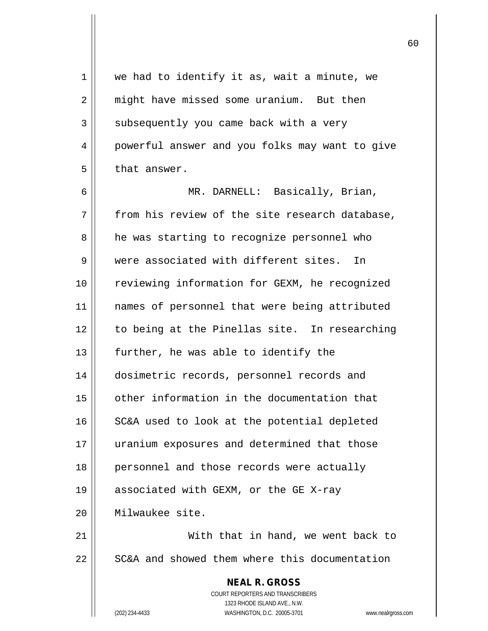**NEAL R. GROSS** COURT REPORTERS AND TRANSCRIBERS 1323 RHODE ISLAND AVE., N.W.  $1 \parallel$  we had to identify it as, wait a minute, we 2 | might have missed some uranium. But then  $3 \parallel$  subsequently you came back with a very 4 | powerful answer and you folks may want to give  $5$  | that answer. 6 MR. DARNELL: Basically, Brian,  $7$  | from his review of the site research database, 8 | he was starting to recognize personnel who 9 || were associated with different sites. In 10 reviewing information for GEXM, he recognized 11 || names of personnel that were being attributed 12 || to being at the Pinellas site. In researching 13  $\parallel$  further, he was able to identify the 14 dosimetric records, personnel records and 15 other information in the documentation that  $16$  SC&A used to look at the potential depleted 17 uranium exposures and determined that those 18 || personnel and those records were actually 19 || associated with GEXM, or the GE X-ray 20 Milwaukee site. 21 || With that in hand, we went back to 22 | SC&A and showed them where this documentation

(202) 234-4433 WASHINGTON, D.C. 20005-3701 www.nealrgross.com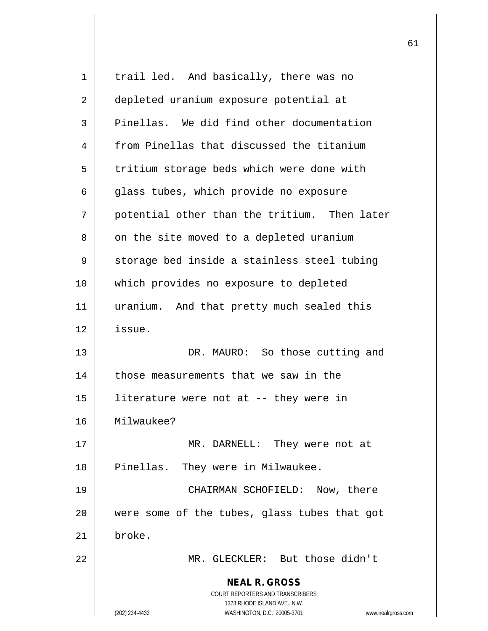| $\mathbf 1$ | trail led. And basically, there was no                                                   |
|-------------|------------------------------------------------------------------------------------------|
| 2           | depleted uranium exposure potential at                                                   |
| 3           | Pinellas. We did find other documentation                                                |
| 4           | from Pinellas that discussed the titanium                                                |
| 5           | tritium storage beds which were done with                                                |
| 6           | glass tubes, which provide no exposure                                                   |
| 7           | potential other than the tritium. Then later                                             |
| 8           | on the site moved to a depleted uranium                                                  |
| 9           | storage bed inside a stainless steel tubing                                              |
| 10          | which provides no exposure to depleted                                                   |
| 11          | uranium. And that pretty much sealed this                                                |
| 12          | issue.                                                                                   |
| 13          | DR. MAURO: So those cutting and                                                          |
| 14          | those measurements that we saw in the                                                    |
| 15          | literature were not at -- they were in                                                   |
| 16          | Milwaukee?                                                                               |
| 17          | MR. DARNELL: They were not at                                                            |
| 18          | Pinellas. They were in Milwaukee.                                                        |
| 19          | CHAIRMAN SCHOFIELD: Now, there                                                           |
| 20          | were some of the tubes, glass tubes that got                                             |
| 21          | broke.                                                                                   |
| 22          | MR. GLECKLER: But those didn't                                                           |
|             | <b>NEAL R. GROSS</b><br>COURT REPORTERS AND TRANSCRIBERS<br>1323 RHODE ISLAND AVE., N.W. |
|             | (202) 234-4433<br>WASHINGTON, D.C. 20005-3701<br>www.nealrgross.com                      |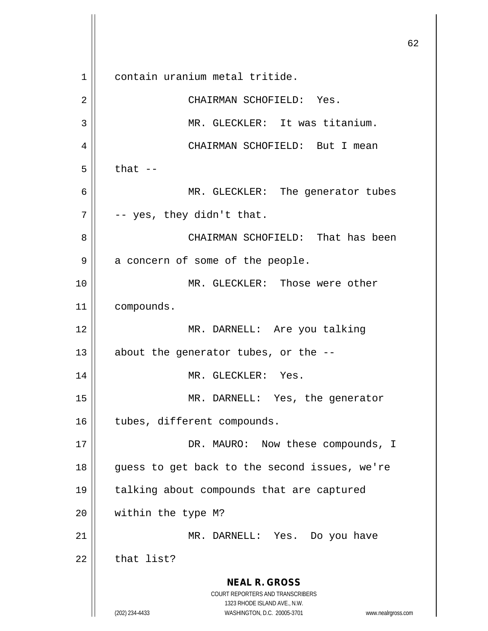**NEAL R. GROSS** COURT REPORTERS AND TRANSCRIBERS 1323 RHODE ISLAND AVE., N.W. (202) 234-4433 WASHINGTON, D.C. 20005-3701 www.nealrgross.com 1 contain uranium metal tritide. 2 CHAIRMAN SCHOFIELD: Yes. 3 || MR. GLECKLER: It was titanium. 4 CHAIRMAN SCHOFIELD: But I mean  $5 \parallel$  that  $-$ 6 MR. GLECKLER: The generator tubes  $7 \parallel$  -- yes, they didn't that. 8 CHAIRMAN SCHOFIELD: That has been  $9 \parallel$  a concern of some of the people. 10 MR. GLECKLER: Those were other 11 compounds. 12 MR. DARNELL: Are you talking 13  $\parallel$  about the generator tubes, or the --14 || MR. GLECKLER: Yes. 15 MR. DARNELL: Yes, the generator 16 | tubes, different compounds. 17 || DR. MAURO: Now these compounds, I 18 || guess to get back to the second issues, we're 19 talking about compounds that are captured 20 | within the type M? 21 MR. DARNELL: Yes. Do you have  $22$  | that list?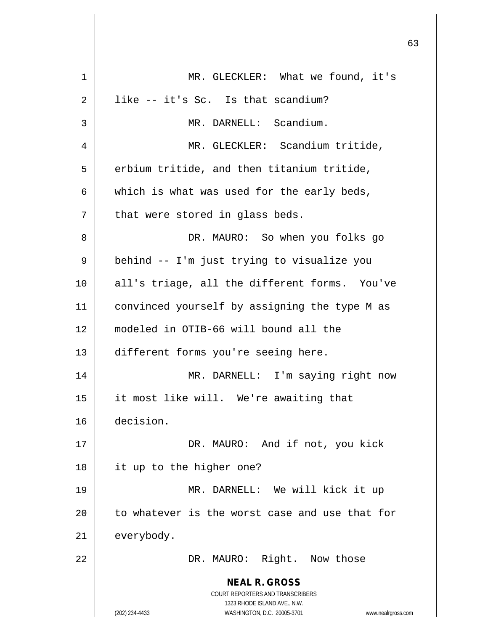| 1  | MR. GLECKLER: What we found, it's                                       |
|----|-------------------------------------------------------------------------|
| 2  | like -- it's Sc. Is that scandium?                                      |
| 3  | MR. DARNELL: Scandium.                                                  |
| 4  | MR. GLECKLER: Scandium tritide,                                         |
| 5  | erbium tritide, and then titanium tritide,                              |
| 6  | which is what was used for the early beds,                              |
| 7  | that were stored in glass beds.                                         |
| 8  | DR. MAURO: So when you folks go                                         |
| 9  | behind -- I'm just trying to visualize you                              |
| 10 | all's triage, all the different forms. You've                           |
| 11 | convinced yourself by assigning the type M as                           |
| 12 | modeled in OTIB-66 will bound all the                                   |
| 13 | different forms you're seeing here.                                     |
| 14 | MR. DARNELL: I'm saying right now                                       |
| 15 | it most like will. We're awaiting that                                  |
| 16 | decision.                                                               |
| 17 | DR. MAURO: And if not, you kick                                         |
| 18 | it up to the higher one?                                                |
| 19 | MR. DARNELL: We will kick it up                                         |
| 20 | to whatever is the worst case and use that for                          |
| 21 | everybody.                                                              |
| 22 | DR. MAURO: Right. Now those                                             |
|    | <b>NEAL R. GROSS</b>                                                    |
|    | <b>COURT REPORTERS AND TRANSCRIBERS</b><br>1323 RHODE ISLAND AVE., N.W. |
|    | (202) 234-4433<br>WASHINGTON, D.C. 20005-3701<br>www.nealrgross.com     |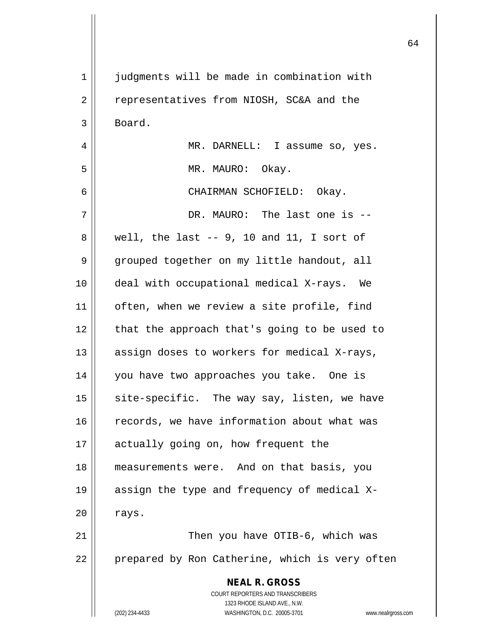| $\mathbf 1$ | judgments will be made in combination with                                               |
|-------------|------------------------------------------------------------------------------------------|
| 2           | representatives from NIOSH, SC&A and the                                                 |
| 3           | Board.                                                                                   |
| 4           | MR. DARNELL: I assume so, yes.                                                           |
| 5           | MR. MAURO: Okay.                                                                         |
| 6           | CHAIRMAN SCHOFIELD: Okay.                                                                |
| 7           | DR. MAURO: The last one is --                                                            |
| 8           | well, the last $-$ 9, 10 and 11, I sort of                                               |
| 9           | grouped together on my little handout, all                                               |
| 10          | deal with occupational medical X-rays. We                                                |
| 11          | often, when we review a site profile, find                                               |
| 12          | that the approach that's going to be used to                                             |
| 13          | assign doses to workers for medical X-rays,                                              |
| 14          | you have two approaches you take. One is                                                 |
| 15          | site-specific. The way say, listen, we have                                              |
| 16          | records, we have information about what was                                              |
| 17          | actually going on, how frequent the                                                      |
| 18          | measurements were. And on that basis, you                                                |
| 19          | assign the type and frequency of medical X-                                              |
| 20          | rays.                                                                                    |
| 21          | Then you have OTIB-6, which was                                                          |
| 22          | prepared by Ron Catherine, which is very often                                           |
|             | <b>NEAL R. GROSS</b><br>COURT REPORTERS AND TRANSCRIBERS<br>1323 RHODE ISLAND AVE., N.W. |
|             | (202) 234-4433<br>WASHINGTON, D.C. 20005-3701<br>www.nealrgross.com                      |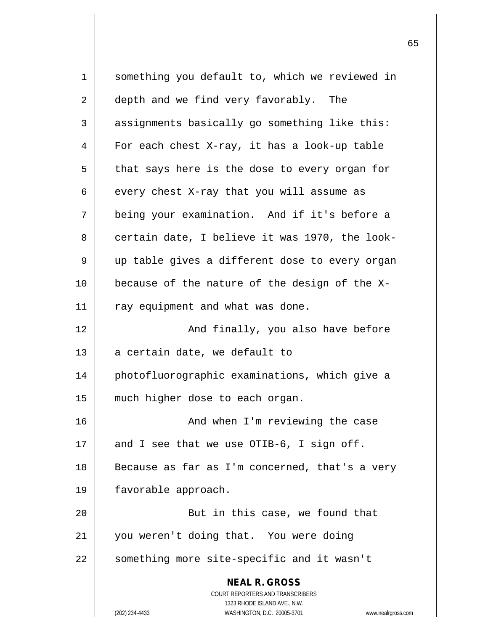**NEAL R. GROSS** COURT REPORTERS AND TRANSCRIBERS 1323 RHODE ISLAND AVE., N.W. (202) 234-4433 WASHINGTON, D.C. 20005-3701 www.nealrgross.com 1 something you default to, which we reviewed in 2 depth and we find very favorably. The 3 assignments basically go something like this:  $4 \parallel$  For each chest X-ray, it has a look-up table  $5 \parallel$  that says here is the dose to every organ for 6  $\parallel$  every chest X-ray that you will assume as 7 being your examination. And if it's before a  $8 \parallel$  certain date, I believe it was 1970, the look- $9 \parallel$  up table gives a different dose to every organ 10  $\parallel$  because of the nature of the design of the X- $11$  | ray equipment and what was done. 12 || And finally, you also have before  $13$  | a certain date, we default to 14 photofluorographic examinations, which give a 15 || much higher dose to each organ. 16 | The Case Changel Modes I'm reviewing the case 17  $\parallel$  and I see that we use OTIB-6, I sign off. 18 || Because as far as I'm concerned, that's a very 19 favorable approach. 20 | Rut in this case, we found that 21 you weren't doing that. You were doing 22 || something more site-specific and it wasn't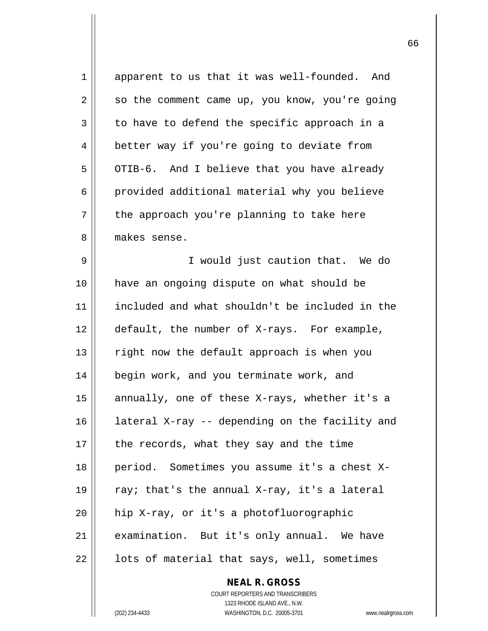| 1  | apparent to us that it was well-founded. And                    |
|----|-----------------------------------------------------------------|
| 2  | so the comment came up, you know, you're going                  |
| 3  | to have to defend the specific approach in a                    |
| 4  | better way if you're going to deviate from                      |
| 5  | OTIB-6. And I believe that you have already                     |
| 6  | provided additional material why you believe                    |
| 7  | the approach you're planning to take here                       |
| 8  | makes sense.                                                    |
| 9  | I would just caution that. We do                                |
| 10 | have an ongoing dispute on what should be                       |
| 11 | included and what shouldn't be included in the                  |
| 12 | default, the number of X-rays. For example,                     |
| 13 | right now the default approach is when you                      |
| 14 | begin work, and you terminate work, and                         |
| 15 | annually, one of these X-rays, whether it's a                   |
| 16 | lateral X-ray -- depending on the facility and                  |
| 17 | the records, what they say and the time                         |
| 18 | period. Sometimes you assume it's a chest X-                    |
| 19 | ray; that's the annual X-ray, it's a lateral                    |
| 20 | hip X-ray, or it's a photofluorographic                         |
| 21 | examination. But it's only annual. We have                      |
| 22 | lots of material that says, well, sometimes                     |
|    | <b>NEAL R. GROSS</b>                                            |
|    | COURT REPORTERS AND TRANSCRIBERS                                |
|    | 1323 RHODE ISLAND AVE., N.W.                                    |
|    | (202) 234-4433<br>WASHINGTON, D.C. 20005-3701<br>www.nealrgross |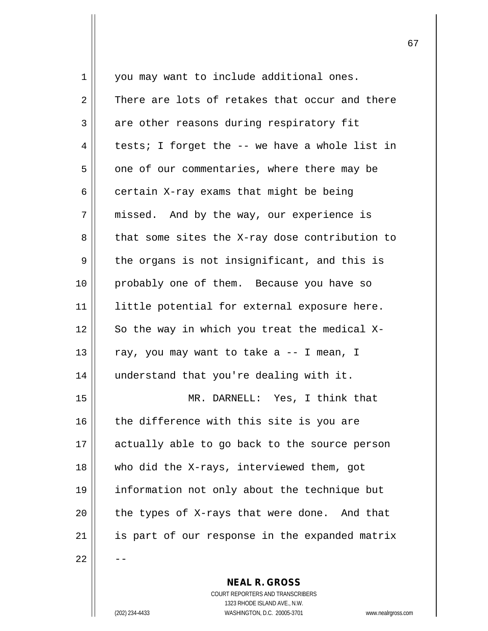| 1  | you may want to include additional ones.       |
|----|------------------------------------------------|
| 2  | There are lots of retakes that occur and there |
| 3  | are other reasons during respiratory fit       |
| 4  | tests; I forget the -- we have a whole list in |
| 5  | one of our commentaries, where there may be    |
| 6  | certain X-ray exams that might be being        |
| 7  | missed. And by the way, our experience is      |
| 8  | that some sites the X-ray dose contribution to |
| 9  | the organs is not insignificant, and this is   |
| 10 | probably one of them. Because you have so      |
| 11 | little potential for external exposure here.   |
| 12 | So the way in which you treat the medical X-   |
| 13 | ray, you may want to take a -- I mean, I       |
| 14 | understand that you're dealing with it.        |
| 15 | MR. DARNELL: Yes, I think that                 |
| 16 | the difference with this site is you are       |
| 17 | actually able to go back to the source person  |
| 18 | who did the X-rays, interviewed them, got      |
| 19 | information not only about the technique but   |
| 20 | the types of X-rays that were done. And that   |
| 21 | is part of our response in the expanded matrix |
| 22 |                                                |

COURT REPORTERS AND TRANSCRIBERS 1323 RHODE ISLAND AVE., N.W. (202) 234-4433 WASHINGTON, D.C. 20005-3701 www.nealrgross.com

**NEAL R. GROSS**

 $\mathsf{II}$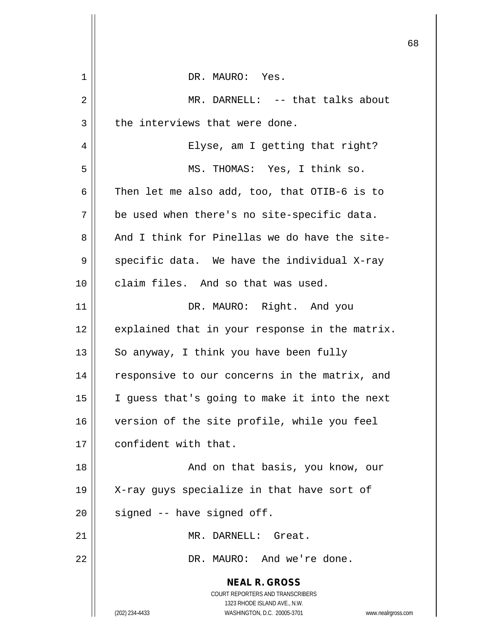|    | 6                                                                       |
|----|-------------------------------------------------------------------------|
| 1  | DR. MAURO: Yes.                                                         |
| 2  | MR. DARNELL: -- that talks about                                        |
| 3  | the interviews that were done.                                          |
| 4  | Elyse, am I getting that right?                                         |
| 5  | MS. THOMAS: Yes, I think so.                                            |
| 6  | Then let me also add, too, that OTIB-6 is to                            |
| 7  | be used when there's no site-specific data.                             |
| 8  | And I think for Pinellas we do have the site-                           |
| 9  | specific data. We have the individual X-ray                             |
| 10 | claim files. And so that was used.                                      |
| 11 | DR. MAURO: Right. And you                                               |
| 12 | explained that in your response in the matrix.                          |
| 13 | So anyway, I think you have been fully                                  |
| 14 | responsive to our concerns in the matrix, and                           |
| 15 | I guess that's going to make it into the next                           |
| 16 | version of the site profile, while you feel                             |
| 17 | confident with that.                                                    |
| 18 | And on that basis, you know, our                                        |
| 19 | X-ray guys specialize in that have sort of                              |
| 20 | signed -- have signed off.                                              |
| 21 | MR. DARNELL: Great.                                                     |
| 22 | DR. MAURO: And we're done.                                              |
|    | <b>NEAL R. GROSS</b>                                                    |
|    | <b>COURT REPORTERS AND TRANSCRIBERS</b><br>1323 RHODE ISLAND AVE., N.W. |
|    | (202) 234-4433<br>WASHINGTON, D.C. 20005-3701<br>www.nealrgross.com     |

 $\mathop{||}$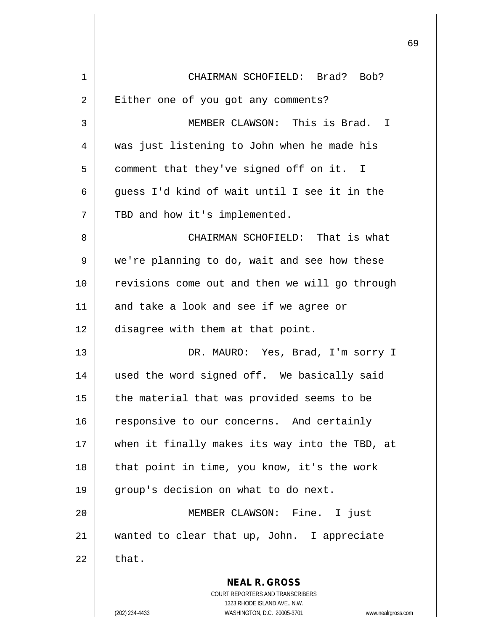| 1  | CHAIRMAN SCHOFIELD: Brad? Bob?                                                                                                                                      |
|----|---------------------------------------------------------------------------------------------------------------------------------------------------------------------|
| 2  | Either one of you got any comments?                                                                                                                                 |
| 3  | MEMBER CLAWSON: This is Brad. I                                                                                                                                     |
| 4  | was just listening to John when he made his                                                                                                                         |
| 5  | comment that they've signed off on it. I                                                                                                                            |
| 6  | guess I'd kind of wait until I see it in the                                                                                                                        |
| 7  | TBD and how it's implemented.                                                                                                                                       |
| 8  | CHAIRMAN SCHOFIELD: That is what                                                                                                                                    |
| 9  | we're planning to do, wait and see how these                                                                                                                        |
| 10 | revisions come out and then we will go through                                                                                                                      |
| 11 | and take a look and see if we agree or                                                                                                                              |
| 12 | disagree with them at that point.                                                                                                                                   |
| 13 | DR. MAURO: Yes, Brad, I'm sorry I                                                                                                                                   |
| 14 | used the word signed off. We basically said                                                                                                                         |
| 15 | the material that was provided seems to be                                                                                                                          |
| 16 | responsive to our concerns. And certainly                                                                                                                           |
| 17 | when it finally makes its way into the TBD, at                                                                                                                      |
| 18 | that point in time, you know, it's the work                                                                                                                         |
| 19 | group's decision on what to do next.                                                                                                                                |
| 20 | MEMBER CLAWSON: Fine. I just                                                                                                                                        |
| 21 | wanted to clear that up, John. I appreciate                                                                                                                         |
| 22 | that.                                                                                                                                                               |
|    | <b>NEAL R. GROSS</b><br><b>COURT REPORTERS AND TRANSCRIBERS</b><br>1323 RHODE ISLAND AVE., N.W.<br>WASHINGTON, D.C. 20005-3701<br>(202) 234-4433<br>www.nealrgross. |

 $\mathsf{I}$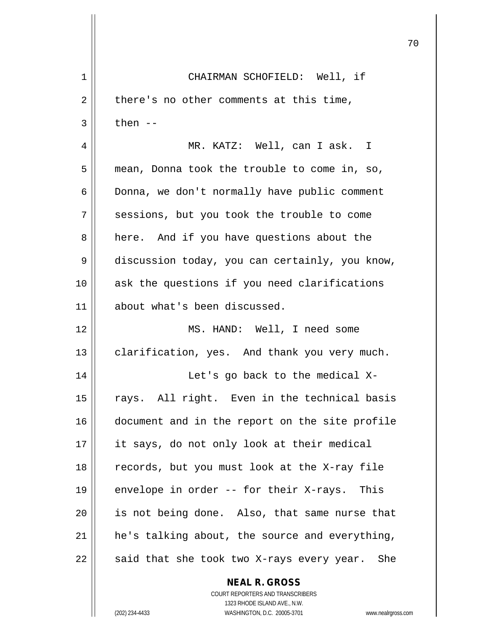| 1  | CHAIRMAN SCHOFIELD: Well, if                                                                      |
|----|---------------------------------------------------------------------------------------------------|
| 2  | there's no other comments at this time,                                                           |
| 3  | then $--$                                                                                         |
| 4  | MR. KATZ: Well, can I ask. I                                                                      |
| 5  | mean, Donna took the trouble to come in, so,                                                      |
| 6  | Donna, we don't normally have public comment                                                      |
| 7  | sessions, but you took the trouble to come                                                        |
| 8  | here. And if you have questions about the                                                         |
| 9  | discussion today, you can certainly, you know,                                                    |
| 10 | ask the questions if you need clarifications                                                      |
| 11 | about what's been discussed.                                                                      |
| 12 | MS. HAND: Well, I need some                                                                       |
| 13 | clarification, yes. And thank you very much.                                                      |
| 14 | Let's go back to the medical X-                                                                   |
| 15 | rays. All right. Even in the technical basis                                                      |
| 16 | document and in the report on the site profile                                                    |
| 17 | it says, do not only look at their medical                                                        |
| 18 | records, but you must look at the X-ray file                                                      |
| 19 | envelope in order -- for their X-rays. This                                                       |
| 20 | is not being done. Also, that same nurse that                                                     |
| 21 | he's talking about, the source and everything,                                                    |
| 22 | said that she took two X-rays every year.<br>She                                                  |
|    | <b>NEAL R. GROSS</b><br>COURT REPORTERS AND TRANSCRIBERS                                          |
|    | 1323 RHODE ISLAND AVE., N.W.<br>WASHINGTON, D.C. 20005-3701<br>(202) 234-4433<br>www.nealrgross.o |

 $\overline{\phantom{a}}$ 

 $\mathbb{I}$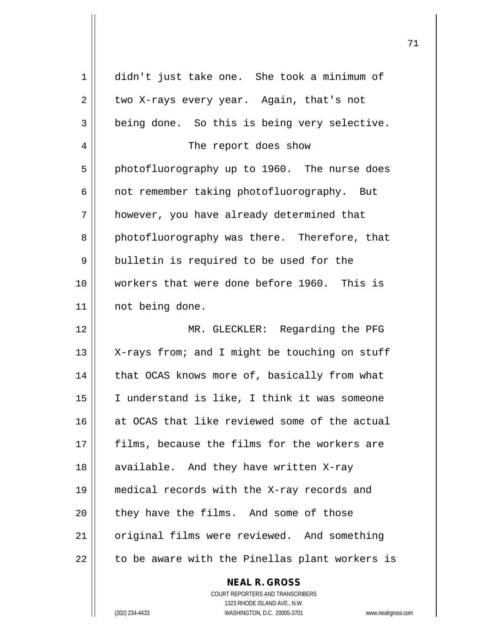| 1  | didn't just take one. She took a minimum of    |
|----|------------------------------------------------|
| 2  | two X-rays every year. Again, that's not       |
| 3  | being done. So this is being very selective.   |
| 4  | The report does show                           |
| 5  | photofluorography up to 1960. The nurse does   |
| 6  | not remember taking photofluorography. But     |
| 7  | however, you have already determined that      |
| 8  | photofluorography was there. Therefore, that   |
| 9  | bulletin is required to be used for the        |
| 10 | workers that were done before 1960. This is    |
| 11 | not being done.                                |
| 12 | MR. GLECKLER: Regarding the PFG                |
| 13 | X-rays from; and I might be touching on stuff  |
| 14 | that OCAS knows more of, basically from what   |
| 15 | I understand is like, I think it was someone   |
| 16 | at OCAS that like reviewed some of the actual  |
| 17 | films, because the films for the workers are   |
| 18 | available. And they have written X-ray         |
| 19 | medical records with the X-ray records and     |
| 20 | they have the films. And some of those         |
| 21 | original films were reviewed. And something    |
| 22 | to be aware with the Pinellas plant workers is |
|    | <b>NEAL R. GROSS</b>                           |

COURT REPORTERS AND TRANSCRIBERS 1323 RHODE ISLAND AVE., N.W. (202) 234-4433 WASHINGTON, D.C. 20005-3701 www.nealrgross.com

 $\prod$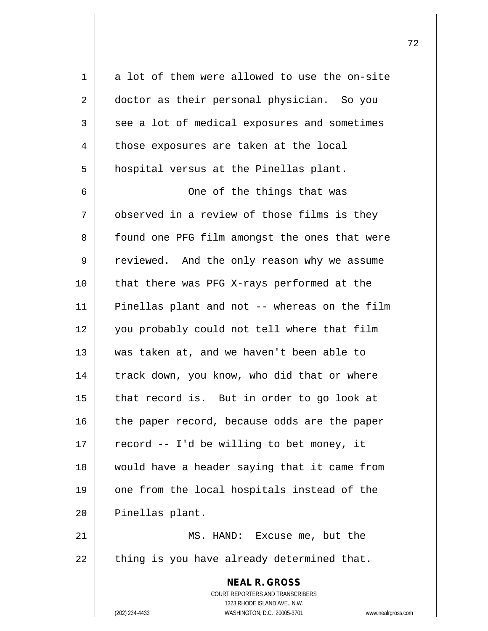**NEAL R. GROSS** COURT REPORTERS AND TRANSCRIBERS  $1 \parallel$  a lot of them were allowed to use the on-site 2 doctor as their personal physician. So you  $3 \parallel$  see a lot of medical exposures and sometimes 4 | those exposures are taken at the local 5 | hospital versus at the Pinellas plant. 6 One of the things that was  $7$   $\parallel$  observed in a review of those films is they 8 | found one PFG film amongst the ones that were 9 | reviewed. And the only reason why we assume 10 || that there was PFG X-rays performed at the 11 Pinellas plant and not -- whereas on the film 12 you probably could not tell where that film 13 was taken at, and we haven't been able to  $14$  | track down, you know, who did that or where  $15$  | that record is. But in order to go look at  $16$  | the paper record, because odds are the paper  $17$  | record -- I'd be willing to bet money, it 18 would have a header saying that it came from 19 || one from the local hospitals instead of the 20 | Pinellas plant. 21 || MS. HAND: Excuse me, but the  $22$  || thing is you have already determined that.

1323 RHODE ISLAND AVE., N.W.

(202) 234-4433 WASHINGTON, D.C. 20005-3701 www.nealrgross.com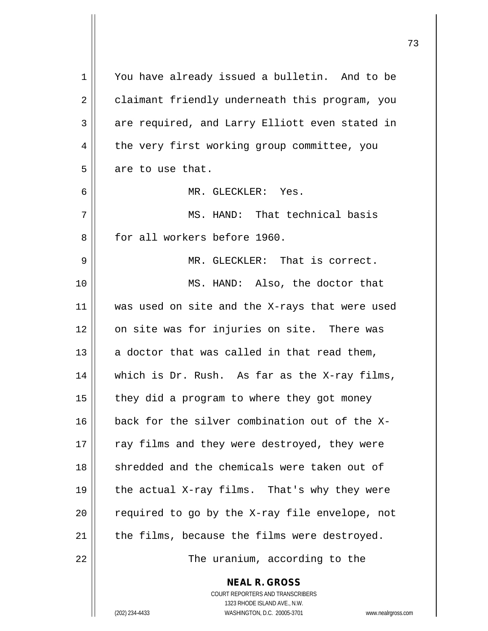| 1  | You have already issued a bulletin. And to be            |
|----|----------------------------------------------------------|
| 2  | claimant friendly underneath this program, you           |
| 3  | are required, and Larry Elliott even stated in           |
| 4  | the very first working group committee, you              |
| 5  | are to use that.                                         |
| 6  | MR. GLECKLER: Yes.                                       |
| 7  | MS. HAND: That technical basis                           |
| 8  | for all workers before 1960.                             |
| 9  | MR. GLECKLER: That is correct.                           |
| 10 | MS. HAND: Also, the doctor that                          |
| 11 | was used on site and the X-rays that were used           |
| 12 | on site was for injuries on site. There was              |
| 13 | a doctor that was called in that read them,              |
| 14 | which is Dr. Rush. As far as the X-ray films,            |
| 15 | they did a program to where they got money               |
| 16 | back for the silver combination out of the X-            |
| 17 | ray films and they were destroyed, they were             |
| 18 | shredded and the chemicals were taken out of             |
| 19 | the actual X-ray films. That's why they were             |
| 20 | required to go by the X-ray file envelope, not           |
| 21 | the films, because the films were destroyed.             |
| 22 | The uranium, according to the                            |
|    | <b>NEAL R. GROSS</b><br>COURT REPORTERS AND TRANSCRIBERS |

1323 RHODE ISLAND AVE., N.W.

 $\begin{array}{c} \hline \end{array}$ 

(202) 234-4433 WASHINGTON, D.C. 20005-3701 www.nealrgross.com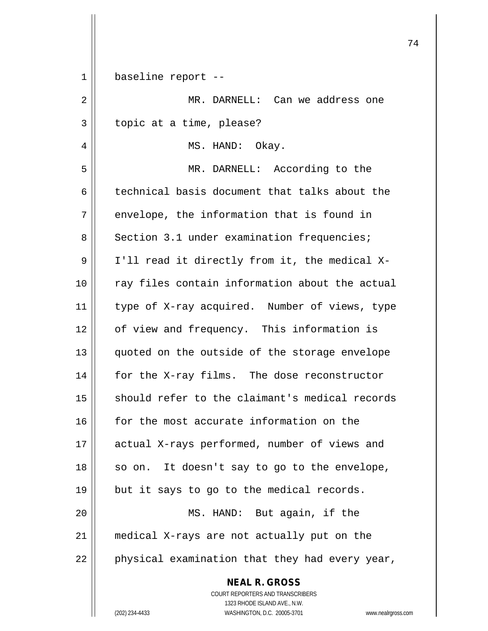| 1  | baseline report --                                                |
|----|-------------------------------------------------------------------|
| 2  | MR. DARNELL: Can we address one                                   |
| 3  | topic at a time, please?                                          |
| 4  | MS. HAND: Okay.                                                   |
| 5  | MR. DARNELL: According to the                                     |
| 6  | technical basis document that talks about the                     |
| 7  | envelope, the information that is found in                        |
| 8  | Section 3.1 under examination frequencies;                        |
| 9  | I'll read it directly from it, the medical X-                     |
| 10 | ray files contain information about the actual                    |
| 11 | type of X-ray acquired. Number of views, type                     |
| 12 | of view and frequency. This information is                        |
| 13 | quoted on the outside of the storage envelope                     |
| 14 | for the X-ray films. The dose reconstructor                       |
| 15 | should refer to the claimant's medical records                    |
| 16 | for the most accurate information on the                          |
| 17 | actual X-rays performed, number of views and                      |
| 18 | so on. It doesn't say to go to the envelope,                      |
| 19 | but it says to go to the medical records.                         |
| 20 | MS. HAND: But again, if the                                       |
| 21 | medical X-rays are not actually put on the                        |
| 22 | physical examination that they had every year,                    |
|    | <b>NEAL R. GROSS</b><br>COURT REPORTERS AND TRANSCRIBERS          |
|    | 1323 RHODE ISLAND AVE., N.W.                                      |
|    | WASHINGTON, D.C. 20005-3701<br>(202) 234-4433<br>www.nealrgross.o |

 $\overline{\phantom{a}}$ 

 $\overline{\phantom{a}}$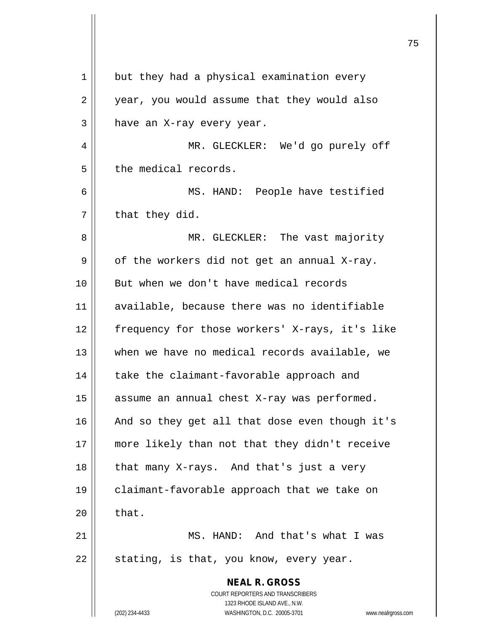| but they had a physical examination every                                                                                               |
|-----------------------------------------------------------------------------------------------------------------------------------------|
| year, you would assume that they would also                                                                                             |
| have an X-ray every year.                                                                                                               |
| MR. GLECKLER: We'd go purely off                                                                                                        |
| the medical records.                                                                                                                    |
| MS. HAND: People have testified                                                                                                         |
| that they did.                                                                                                                          |
| MR. GLECKLER: The vast majority                                                                                                         |
| of the workers did not get an annual X-ray.                                                                                             |
| But when we don't have medical records                                                                                                  |
| available, because there was no identifiable                                                                                            |
| frequency for those workers' X-rays, it's like                                                                                          |
| when we have no medical records available, we                                                                                           |
| take the claimant-favorable approach and                                                                                                |
| assume an annual chest X-ray was performed.                                                                                             |
| And so they get all that dose even though it's                                                                                          |
| more likely than not that they didn't receive                                                                                           |
| that many X-rays. And that's just a very                                                                                                |
| claimant-favorable approach that we take on                                                                                             |
| that.                                                                                                                                   |
| MS. HAND: And that's what I was                                                                                                         |
| stating, is that, you know, every year.                                                                                                 |
| <b>NEAL R. GROSS</b>                                                                                                                    |
| COURT REPORTERS AND TRANSCRIBERS<br>1323 RHODE ISLAND AVE., N.W.<br>(202) 234-4433<br>WASHINGTON, D.C. 20005-3701<br>www.nealrgross.com |
|                                                                                                                                         |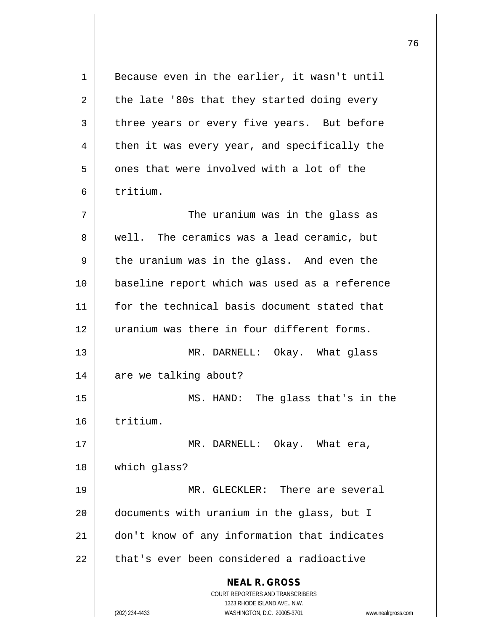**NEAL R. GROSS** COURT REPORTERS AND TRANSCRIBERS 1323 RHODE ISLAND AVE., N.W. (202) 234-4433 WASHINGTON, D.C. 20005-3701 www.nealrgross.com  $1 \parallel$  Because even in the earlier, it wasn't until  $2 \parallel$  the late '80s that they started doing every 3 three years or every five years. But before  $4 \parallel$  then it was every year, and specifically the 5 | ones that were involved with a lot of the 6 tritium.  $7$   $\parallel$  The uranium was in the glass as 8 Well. The ceramics was a lead ceramic, but  $9 \parallel$  the uranium was in the glass. And even the 10 baseline report which was used as a reference 11 for the technical basis document stated that 12 || uranium was there in four different forms. 13 MR. DARNELL: Okay. What glass 14 | are we talking about? 15 MS. HAND: The glass that's in the 16 tritium. 17 || MR. DARNELL: Okay. What era, 18 which glass? 19 MR. GLECKLER: There are several 20 documents with uranium in the glass, but I 21 don't know of any information that indicates  $22$   $\parallel$  that's ever been considered a radioactive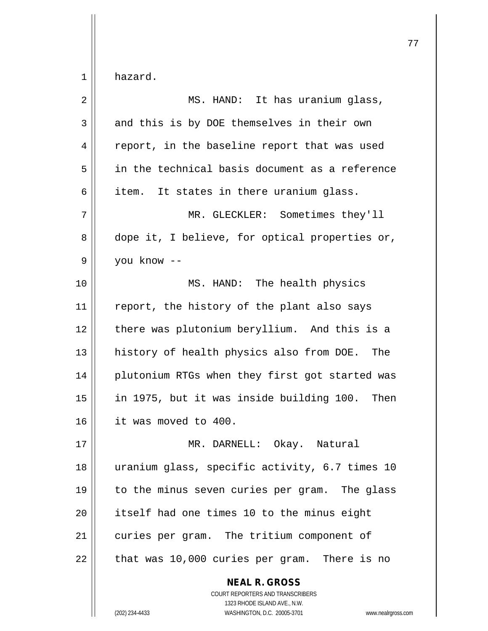| $\overline{2}$ | MS. HAND: It has uranium glass,                |
|----------------|------------------------------------------------|
| 3              | and this is by DOE themselves in their own     |
| 4              | report, in the baseline report that was used   |
| 5              | in the technical basis document as a reference |
| 6              | item. It states in there uranium glass.        |
| 7              | MR. GLECKLER: Sometimes they'll                |
| 8              | dope it, I believe, for optical properties or, |
| 9              | you know --                                    |
| 10             | MS. HAND: The health physics                   |
| 11             | report, the history of the plant also says     |
| 12             | there was plutonium beryllium. And this is a   |
| 13             | history of health physics also from DOE. The   |
| 14             | plutonium RTGs when they first got started was |
| 15             | in 1975, but it was inside building 100. Then  |
| 16             | it was moved to 400.                           |
| 17             | MR. DARNELL:<br>Okay. Natural                  |
| 18             | uranium glass, specific activity, 6.7 times 10 |
| 19             | to the minus seven curies per gram. The glass  |
| 20             | itself had one times 10 to the minus eight     |
| 21             | curies per gram. The tritium component of      |
| 22             | that was 10,000 curies per gram. There is no   |
|                | <b>NEAL R. GROSS</b>                           |

 $\mathop{\text{||}}$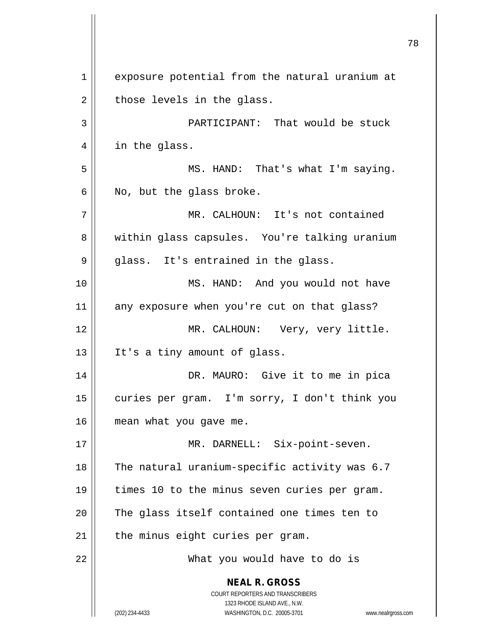**NEAL R. GROSS** COURT REPORTERS AND TRANSCRIBERS 1323 RHODE ISLAND AVE., N.W. (202) 234-4433 WASHINGTON, D.C. 20005-3701 www.nealrgross.com 1 || exposure potential from the natural uranium at  $2 \parallel$  those levels in the glass. 3 PARTICIPANT: That would be stuck 4 || in the glass. 5 || MS. HAND: That's what I'm saying.  $6 \parallel$  No, but the glass broke. 7 MR. CALHOUN: It's not contained 8 || within glass capsules. You're talking uranium  $9 \parallel$  glass. It's entrained in the glass. 10 || MS. HAND: And you would not have 11 any exposure when you're cut on that glass? 12 MR. CALHOUN: Very, very little. 13 || It's a tiny amount of glass. 14 DR. MAURO: Give it to me in pica 15 | curies per gram. I'm sorry, I don't think you 16 | mean what you gave me. 17 || MR. DARNELL: Six-point-seven. 18  $\parallel$  The natural uranium-specific activity was 6.7 19 times 10 to the minus seven curies per gram. 20 || The glass itself contained one times ten to  $21$  | the minus eight curies per gram. 22 What you would have to do is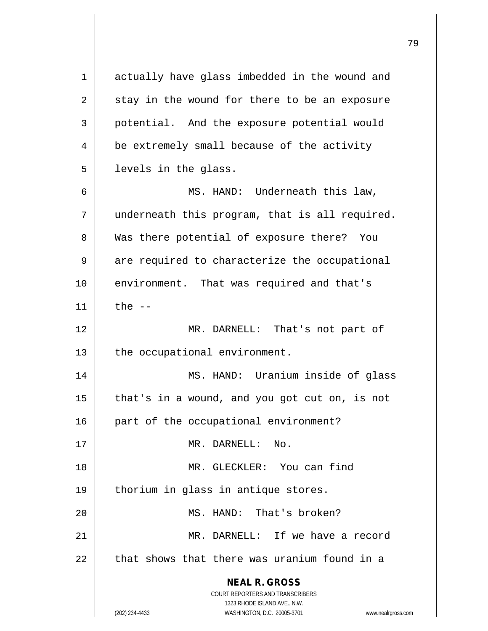| 1  | actually have glass imbedded in the wound and                                                       |
|----|-----------------------------------------------------------------------------------------------------|
| 2  | stay in the wound for there to be an exposure                                                       |
| 3  | potential. And the exposure potential would                                                         |
| 4  | be extremely small because of the activity                                                          |
| 5  | levels in the glass.                                                                                |
| 6  | MS. HAND: Underneath this law,                                                                      |
| 7  | underneath this program, that is all required.                                                      |
| 8  | Was there potential of exposure there? You                                                          |
| 9  | are required to characterize the occupational                                                       |
| 10 | environment. That was required and that's                                                           |
| 11 | the $--$                                                                                            |
| 12 | MR. DARNELL: That's not part of                                                                     |
| 13 | the occupational environment.                                                                       |
| 14 | MS. HAND: Uranium inside of glass                                                                   |
| 15 | that's in a wound, and you got cut on, is not                                                       |
| 16 | part of the occupational environment?                                                               |
| 17 | MR. DARNELL:<br>No.                                                                                 |
| 18 | MR. GLECKLER: You can find                                                                          |
| 19 | thorium in glass in antique stores.                                                                 |
| 20 | MS. HAND: That's broken?                                                                            |
| 21 | MR. DARNELL: If we have a record                                                                    |
| 22 | that shows that there was uranium found in a                                                        |
|    | <b>NEAL R. GROSS</b>                                                                                |
|    | <b>COURT REPORTERS AND TRANSCRIBERS</b>                                                             |
|    | 1323 RHODE ISLAND AVE., N.W.<br>(202) 234-4433<br>WASHINGTON, D.C. 20005-3701<br>www.nealrgross.com |
|    |                                                                                                     |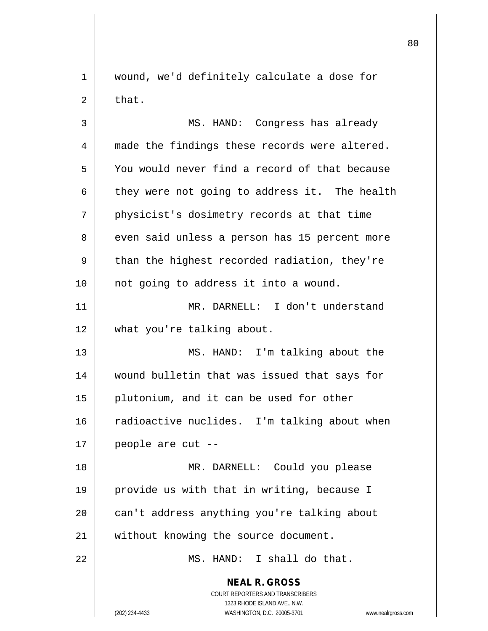1 || wound, we'd definitely calculate a dose for  $2 \parallel$  that.

3 MS. HAND: Congress has already 4 made the findings these records were altered. 5 | You would never find a record of that because 6  $\parallel$  they were not going to address it. The health 7 || physicist's dosimetry records at that time 8 even said unless a person has 15 percent more  $9 \parallel$  than the highest recorded radiation, they're 10 || not going to address it into a wound. 11 MR. DARNELL: I don't understand 12 what you're talking about. 13 MS. HAND: I'm talking about the 14 wound bulletin that was issued that says for 15 plutonium, and it can be used for other 16 radioactive nuclides. I'm talking about when  $17 \parallel$  people are cut --18 || MR. DARNELL: Could you please 19 provide us with that in writing, because I 20 can't address anything you're talking about

21 || without knowing the source document.

22 MS. HAND: I shall do that.

**NEAL R. GROSS** COURT REPORTERS AND TRANSCRIBERS 1323 RHODE ISLAND AVE., N.W. (202) 234-4433 WASHINGTON, D.C. 20005-3701 www.nealrgross.com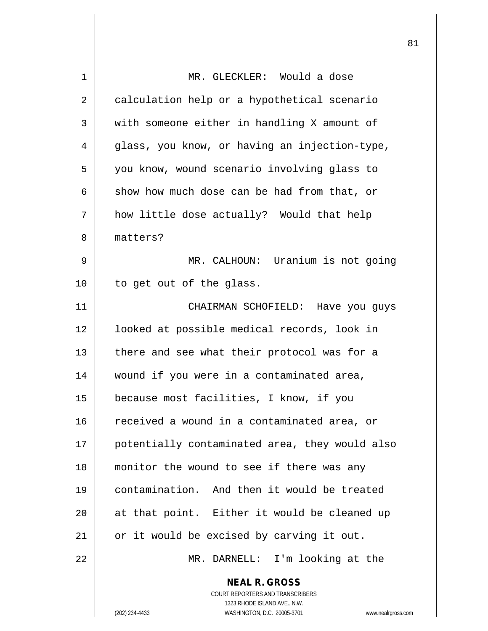| 1  | MR. GLECKLER: Would a dose                                                               |
|----|------------------------------------------------------------------------------------------|
| 2  | calculation help or a hypothetical scenario                                              |
| 3  | with someone either in handling X amount of                                              |
| 4  | glass, you know, or having an injection-type,                                            |
| 5  | you know, wound scenario involving glass to                                              |
| 6  | show how much dose can be had from that, or                                              |
| 7  | how little dose actually? Would that help                                                |
| 8  | matters?                                                                                 |
| 9  | MR. CALHOUN: Uranium is not going                                                        |
| 10 | to get out of the glass.                                                                 |
| 11 | CHAIRMAN SCHOFIELD: Have you guys                                                        |
| 12 | looked at possible medical records, look in                                              |
| 13 | there and see what their protocol was for a                                              |
| 14 | wound if you were in a contaminated area,                                                |
| 15 | because most facilities, I know, if you                                                  |
| 16 | received a wound in a contaminated area, or                                              |
| 17 | potentially contaminated area, they would also                                           |
| 18 | monitor the wound to see if there was any                                                |
| 19 | contamination. And then it would be treated                                              |
| 20 | at that point. Either it would be cleaned up                                             |
| 21 | or it would be excised by carving it out.                                                |
| 22 | MR. DARNELL: I'm looking at the                                                          |
|    | <b>NEAL R. GROSS</b><br>COURT REPORTERS AND TRANSCRIBERS<br>1323 RHODE ISLAND AVE., N.W. |
|    | (202) 234-4433<br>WASHINGTON, D.C. 20005-3701<br>www.nealrgross.com                      |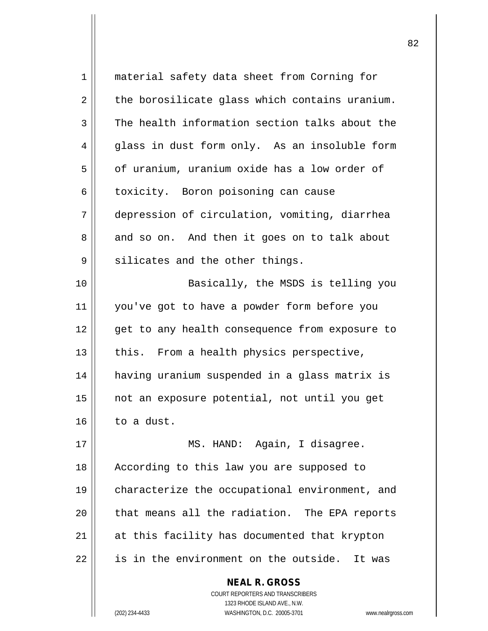| 1  | material safety data sheet from Corning for     |
|----|-------------------------------------------------|
| 2  | the borosilicate glass which contains uranium.  |
| 3  | The health information section talks about the  |
| 4  | glass in dust form only. As an insoluble form   |
| 5  | of uranium, uranium oxide has a low order of    |
| 6  | toxicity. Boron poisoning can cause             |
| 7  | depression of circulation, vomiting, diarrhea   |
| 8  | and so on. And then it goes on to talk about    |
| 9  | silicates and the other things.                 |
| 10 | Basically, the MSDS is telling you              |
| 11 | you've got to have a powder form before you     |
| 12 | get to any health consequence from exposure to  |
| 13 | this. From a health physics perspective,        |
| 14 | having uranium suspended in a glass matrix is   |
| 15 | not an exposure potential, not until you get    |
| 16 | to a dust.                                      |
| 17 | MS. HAND: Again, I disagree.                    |
| 18 | According to this law you are supposed to       |
| 19 | characterize the occupational environment, and  |
| 20 | that means all the radiation. The EPA reports   |
| 21 | at this facility has documented that krypton    |
| 22 | is in the environment on the outside.<br>It was |
|    | <b>NEAL R. GROSS</b>                            |

 $\mathsf{II}$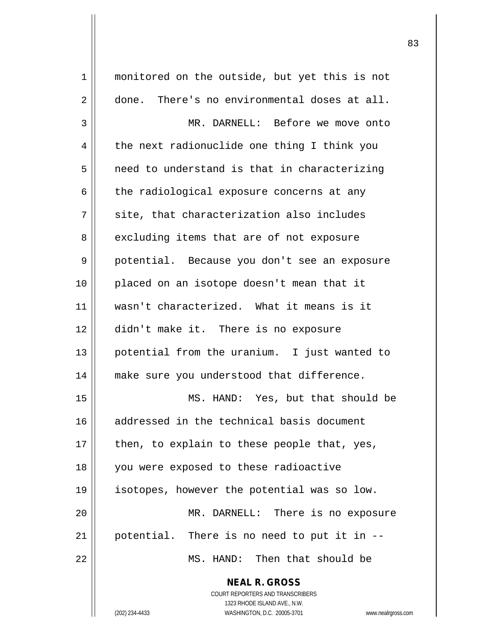**NEAL R. GROSS** COURT REPORTERS AND TRANSCRIBERS 1323 RHODE ISLAND AVE., N.W. 1 monitored on the outside, but yet this is not 2 done. There's no environmental doses at all. 3 MR. DARNELL: Before we move onto  $4 \parallel$  the next radionuclide one thing I think you  $5 \parallel$  need to understand is that in characterizing  $6 \parallel$  the radiological exposure concerns at any 7 || site, that characterization also includes 8 excluding items that are of not exposure 9 potential. Because you don't see an exposure 10 placed on an isotope doesn't mean that it 11 wasn't characterized. What it means is it 12 didn't make it. There is no exposure 13 || potential from the uranium. I just wanted to 14 || make sure you understood that difference. 15 MS. HAND: Yes, but that should be 16 addressed in the technical basis document 17  $\parallel$  then, to explain to these people that, yes, 18 you were exposed to these radioactive 19 isotopes, however the potential was so low. 20 MR. DARNELL: There is no exposure  $21$  || potential. There is no need to put it in  $-$ 22 MS. HAND: Then that should be

(202) 234-4433 WASHINGTON, D.C. 20005-3701 www.nealrgross.com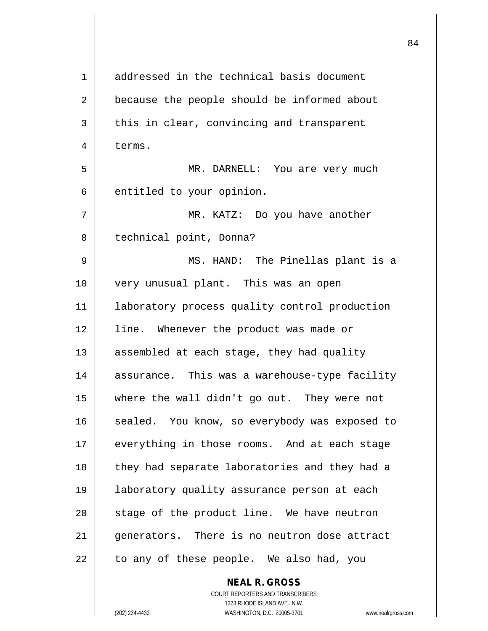| 1  | addressed in the technical basis document     |
|----|-----------------------------------------------|
| 2  | because the people should be informed about   |
| 3  | this in clear, convincing and transparent     |
| 4  | terms.                                        |
| 5  | MR. DARNELL: You are very much                |
| 6  | entitled to your opinion.                     |
| 7  | MR. KATZ: Do you have another                 |
| 8  | technical point, Donna?                       |
| 9  | MS. HAND: The Pinellas plant is a             |
| 10 | very unusual plant. This was an open          |
| 11 | laboratory process quality control production |
| 12 | line. Whenever the product was made or        |
| 13 | assembled at each stage, they had quality     |
| 14 | assurance. This was a warehouse-type facility |
| 15 | where the wall didn't go out. They were not   |
| 16 | sealed. You know, so everybody was exposed to |
| 17 | everything in those rooms. And at each stage  |
| 18 | they had separate laboratories and they had a |
| 19 | laboratory quality assurance person at each   |
| 20 | stage of the product line. We have neutron    |
| 21 | generators. There is no neutron dose attract  |
| 22 | to any of these people. We also had, you      |
|    | <b>NEAL R. GROSS</b>                          |

 $\mathsf{I}$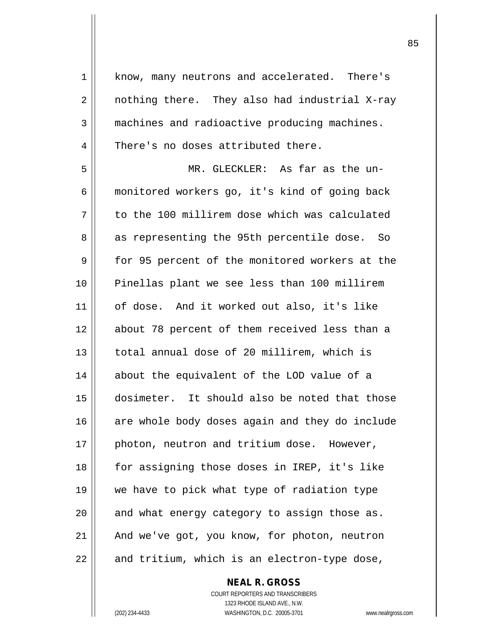1 | know, many neutrons and accelerated. There's  $2 \parallel$  nothing there. They also had industrial X-ray 3 machines and radioactive producing machines. 4 There's no doses attributed there.

5 MR. GLECKLER: As far as the un-6 monitored workers go, it's kind of going back  $7 \parallel$  to the 100 millirem dose which was calculated 8 || as representing the 95th percentile dose. So 9 for 95 percent of the monitored workers at the 10 Pinellas plant we see less than 100 millirem 11 of dose. And it worked out also, it's like 12 about 78 percent of them received less than a 13 || total annual dose of 20 millirem, which is 14 about the equivalent of the LOD value of a 15 dosimeter. It should also be noted that those 16 || are whole body doses again and they do include 17 || photon, neutron and tritium dose. However, 18 for assigning those doses in IREP, it's like 19 we have to pick what type of radiation type  $20$  || and what energy category to assign those as.  $21$  | And we've got, you know, for photon, neutron  $22$  || and tritium, which is an electron-type dose,

> COURT REPORTERS AND TRANSCRIBERS 1323 RHODE ISLAND AVE., N.W. (202) 234-4433 WASHINGTON, D.C. 20005-3701 www.nealrgross.com

**NEAL R. GROSS**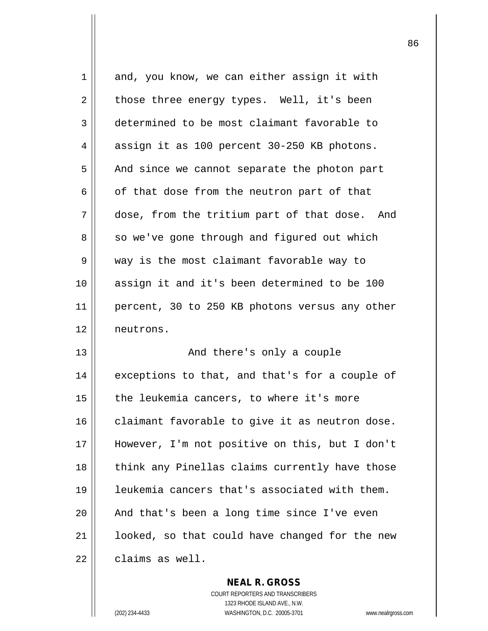| 1  | and, you know, we can either assign it with    |
|----|------------------------------------------------|
| 2  | those three energy types. Well, it's been      |
| 3  | determined to be most claimant favorable to    |
| 4  | assign it as 100 percent 30-250 KB photons.    |
| 5  | And since we cannot separate the photon part   |
| 6  | of that dose from the neutron part of that     |
| 7  | dose, from the tritium part of that dose. And  |
| 8  | so we've gone through and figured out which    |
| 9  | way is the most claimant favorable way to      |
| 10 | assign it and it's been determined to be 100   |
| 11 | percent, 30 to 250 KB photons versus any other |
| 12 | neutrons.                                      |
| 13 | And there's only a couple                      |
| 14 | exceptions to that, and that's for a couple of |
| 15 | the leukemia cancers, to where it's more       |
| 16 | claimant favorable to give it as neutron dose. |
| 17 | However, I'm not positive on this, but I don't |
| 18 | think any Pinellas claims currently have those |
| 19 | leukemia cancers that's associated with them.  |
| 20 | And that's been a long time since I've even    |
| 21 | looked, so that could have changed for the new |
|    |                                                |

**NEAL R. GROSS**

 $\mathsf{II}$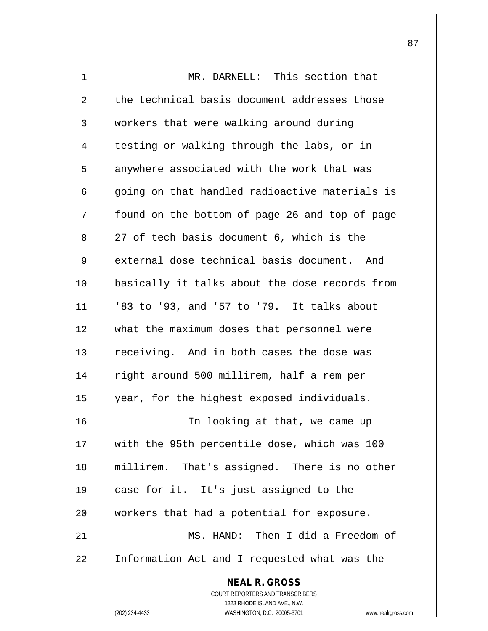| 1  | MR. DARNELL: This section that                                   |
|----|------------------------------------------------------------------|
| 2  | the technical basis document addresses those                     |
| 3  | workers that were walking around during                          |
| 4  | testing or walking through the labs, or in                       |
| 5  | anywhere associated with the work that was                       |
| 6  | going on that handled radioactive materials is                   |
| 7  | found on the bottom of page 26 and top of page                   |
| 8  | 27 of tech basis document 6, which is the                        |
| 9  | external dose technical basis document. And                      |
| 10 | basically it talks about the dose records from                   |
| 11 | '83 to '93, and '57 to '79. It talks about                       |
| 12 | what the maximum doses that personnel were                       |
| 13 | receiving. And in both cases the dose was                        |
| 14 | right around 500 millirem, half a rem per                        |
| 15 | year, for the highest exposed individuals.                       |
| 16 | In looking at that, we came up                                   |
| 17 | with the 95th percentile dose, which was 100                     |
| 18 | millirem. That's assigned. There is no other                     |
| 19 | case for it. It's just assigned to the                           |
| 20 | workers that had a potential for exposure.                       |
| 21 | MS. HAND: Then I did a Freedom of                                |
| 22 | Information Act and I requested what was the                     |
|    | <b>NEAL R. GROSS</b>                                             |
|    | <b>COURT REPORTERS AND TRANSCRIBERS</b>                          |
|    | 1323 RHODE ISLAND AVE., N.W.                                     |
|    | (202) 234-4433<br>WASHINGTON, D.C. 20005-3701<br>www.nealrgross. |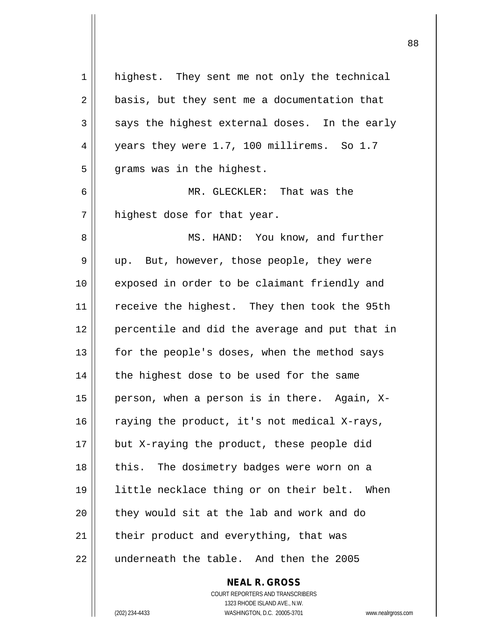| 1  | highest. They sent me not only the technical    |
|----|-------------------------------------------------|
| 2  | basis, but they sent me a documentation that    |
| 3  | says the highest external doses. In the early   |
| 4  | years they were 1.7, 100 millirems. So 1.7      |
| 5  | grams was in the highest.                       |
| 6  | MR. GLECKLER: That was the                      |
| 7  | highest dose for that year.                     |
| 8  | MS. HAND: You know, and further                 |
| 9  | up. But, however, those people, they were       |
| 10 | exposed in order to be claimant friendly and    |
| 11 | receive the highest. They then took the 95th    |
| 12 | percentile and did the average and put that in  |
| 13 | for the people's doses, when the method says    |
| 14 | the highest dose to be used for the same        |
| 15 | person, when a person is in there. Again, X-    |
| 16 | raying the product, it's not medical X-rays,    |
| 17 | but X-raying the product, these people did      |
| 18 | this. The dosimetry badges were worn on a       |
| 19 | little necklace thing or on their belt.<br>When |
| 20 | they would sit at the lab and work and do       |
| 21 | their product and everything, that was          |
| 22 | underneath the table. And then the 2005         |
|    |                                                 |

**NEAL R. GROSS**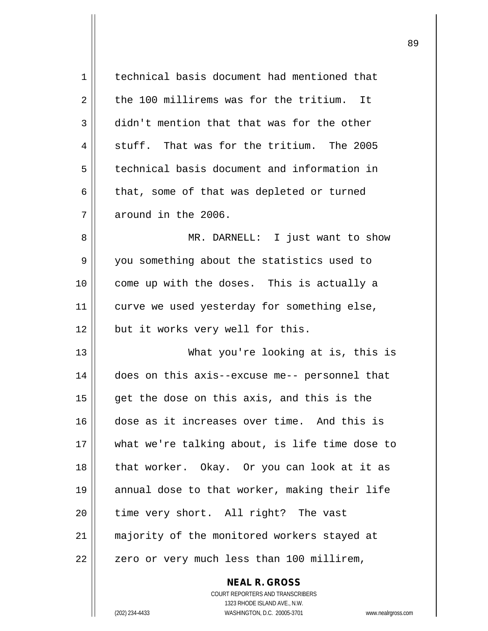| 1  | technical basis document had mentioned that    |
|----|------------------------------------------------|
| 2  | the 100 millirems was for the tritium. It      |
| 3  | didn't mention that that was for the other     |
| 4  | stuff. That was for the tritium. The 2005      |
| 5  | technical basis document and information in    |
| 6  | that, some of that was depleted or turned      |
| 7  | around in the 2006.                            |
| 8  | MR. DARNELL: I just want to show               |
| 9  | you something about the statistics used to     |
| 10 | come up with the doses. This is actually a     |
| 11 | curve we used yesterday for something else,    |
| 12 | but it works very well for this.               |
| 13 | What you're looking at is, this is             |
| 14 | does on this axis--excuse me-- personnel that  |
| 15 | get the dose on this axis, and this is the     |
| 16 | dose as it increases over time. And this is    |
| 17 | what we're talking about, is life time dose to |
| 18 | that worker. Okay. Or you can look at it as    |
| 19 | annual dose to that worker, making their life  |
| 20 | time very short. All right? The vast           |
| 21 | majority of the monitored workers stayed at    |
| 22 | zero or very much less than 100 millirem,      |
|    |                                                |

 $\mathsf{II}$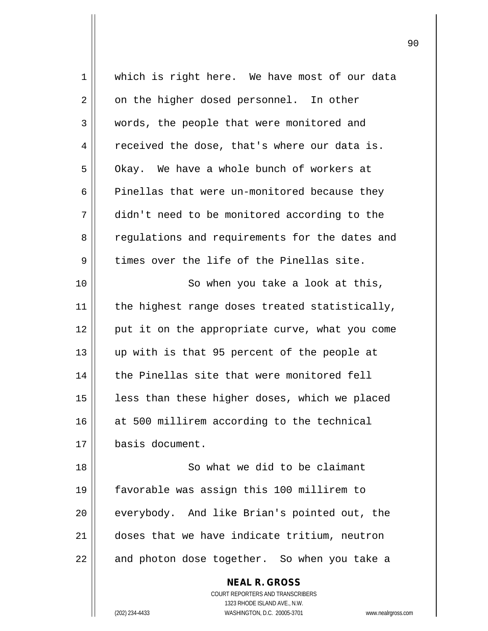| 1  | which is right here. We have most of our data                    |
|----|------------------------------------------------------------------|
| 2  | on the higher dosed personnel. In other                          |
| 3  | words, the people that were monitored and                        |
| 4  | received the dose, that's where our data is.                     |
| 5  | Okay. We have a whole bunch of workers at                        |
| 6  | Pinellas that were un-monitored because they                     |
| 7  | didn't need to be monitored according to the                     |
| 8  | regulations and requirements for the dates and                   |
| 9  | times over the life of the Pinellas site.                        |
| 10 | So when you take a look at this,                                 |
| 11 | the highest range doses treated statistically,                   |
| 12 | put it on the appropriate curve, what you come                   |
| 13 | up with is that 95 percent of the people at                      |
| 14 | the Pinellas site that were monitored fell                       |
| 15 | less than these higher doses, which we placed                    |
| 16 | at 500 millirem according to the technical                       |
| 17 | basis document.                                                  |
| 18 | So what we did to be claimant                                    |
| 19 | favorable was assign this 100 millirem to                        |
| 20 | everybody. And like Brian's pointed out, the                     |
| 21 | doses that we have indicate tritium, neutron                     |
| 22 | and photon dose together. So when you take a                     |
|    | <b>NEAL R. GROSS</b>                                             |
|    | COURT REPORTERS AND TRANSCRIBERS                                 |
|    | 1323 RHODE ISLAND AVE., N.W.                                     |
|    | (202) 234-4433<br>WASHINGTON, D.C. 20005-3701<br>www.nealrgross. |

 $\overline{\phantom{a}}$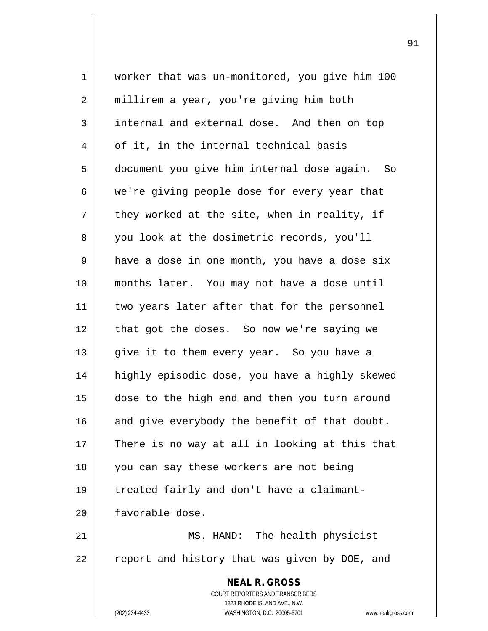**NEAL R. GROSS** COURT REPORTERS AND TRANSCRIBERS 1323 RHODE ISLAND AVE., N.W. (202) 234-4433 WASHINGTON, D.C. 20005-3701 www.nealrgross.com 1 worker that was un-monitored, you give him 100 2 | millirem a year, you're giving him both 3 | internal and external dose. And then on top  $4 \parallel$  of it, in the internal technical basis 5 document you give him internal dose again. So  $6 \parallel$  we're giving people dose for every year that  $7 \parallel$  they worked at the site, when in reality, if 8 you look at the dosimetric records, you'll 9 | have a dose in one month, you have a dose six 10 months later. You may not have a dose until 11 || two years later after that for the personnel 12 || that got the doses. So now we're saying we 13 || give it to them every year. So you have a 14 highly episodic dose, you have a highly skewed 15 dose to the high end and then you turn around  $16$  and give everybody the benefit of that doubt.  $17$  | There is no way at all in looking at this that 18 || you can say these workers are not being 19 treated fairly and don't have a claimant-20 | favorable dose. 21 MS. HAND: The health physicist  $22$   $\parallel$  report and history that was given by DOE, and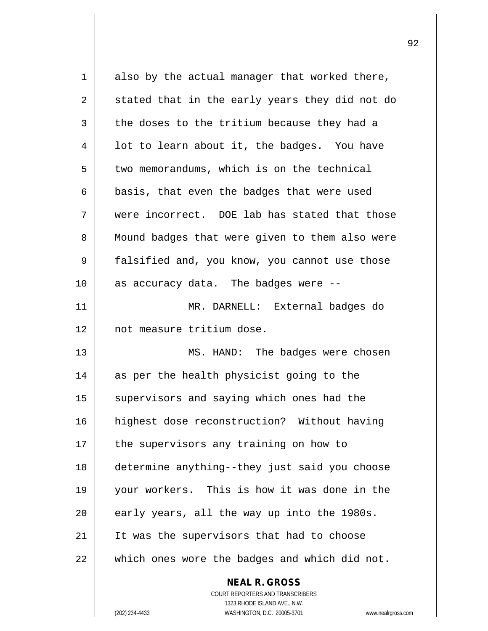| 1  | also by the actual manager that worked there,  |
|----|------------------------------------------------|
| 2  | stated that in the early years they did not do |
| 3  | the doses to the tritium because they had a    |
| 4  | lot to learn about it, the badges. You have    |
| 5  | two memorandums, which is on the technical     |
| 6  | basis, that even the badges that were used     |
| 7  | were incorrect. DOE lab has stated that those  |
| 8  | Mound badges that were given to them also were |
| 9  | falsified and, you know, you cannot use those  |
| 10 | as accuracy data. The badges were --           |
| 11 | MR. DARNELL: External badges do                |
| 12 | not measure tritium dose.                      |
| 13 | MS. HAND: The badges were chosen               |
| 14 | as per the health physicist going to the       |
| 15 | supervisors and saying which ones had the      |
| 16 | highest dose reconstruction? Without having    |
| 17 | the supervisors any training on how to         |
| 18 | determine anything--they just said you choose  |
| 19 | your workers. This is how it was done in the   |
| 20 | early years, all the way up into the 1980s.    |
| 21 | It was the supervisors that had to choose      |
| 22 | which ones wore the badges and which did not.  |
|    | <b>NEAL R. GROSS</b>                           |

COURT REPORTERS AND TRANSCRIBERS 1323 RHODE ISLAND AVE., N.W.

 $\mathsf{II}$ 

(202) 234-4433 WASHINGTON, D.C. 20005-3701 www.nealrgross.com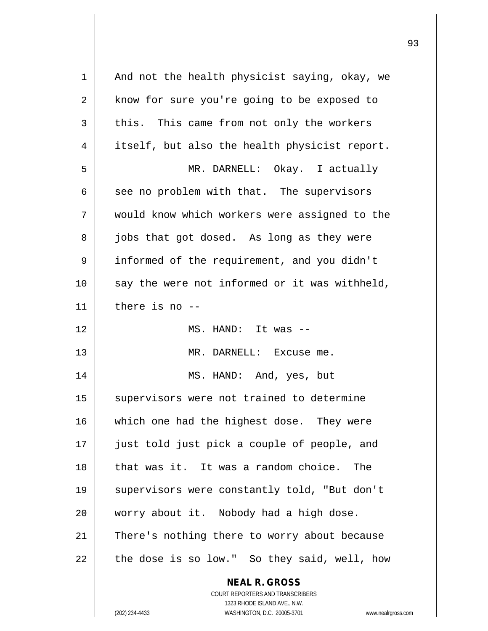| $\mathbf 1$    | And not the health physicist saying, okay, we                       |
|----------------|---------------------------------------------------------------------|
| $\overline{2}$ | know for sure you're going to be exposed to                         |
| 3              | this. This came from not only the workers                           |
| 4              | itself, but also the health physicist report.                       |
| 5              | MR. DARNELL: Okay. I actually                                       |
| 6              | see no problem with that. The supervisors                           |
| 7              | would know which workers were assigned to the                       |
| 8              | jobs that got dosed. As long as they were                           |
| 9              | informed of the requirement, and you didn't                         |
| 10             | say the were not informed or it was withheld,                       |
| 11             | there is no --                                                      |
| 12             | MS. HAND: It was --                                                 |
| 13             | MR. DARNELL: Excuse me.                                             |
| 14             | MS. HAND: And, yes, but                                             |
| 15             | supervisors were not trained to determine                           |
| 16             | which one had the highest dose. They were                           |
| 17             | just told just pick a couple of people, and                         |
| 18             | that was it. It was a random choice.<br>The                         |
| 19             | supervisors were constantly told, "But don't                        |
| 20             | worry about it. Nobody had a high dose.                             |
| 21             | There's nothing there to worry about because                        |
| 22             | the dose is so low." So they said, well, how                        |
|                | <b>NEAL R. GROSS</b>                                                |
|                | <b>COURT REPORTERS AND TRANSCRIBERS</b>                             |
|                | 1323 RHODE ISLAND AVE., N.W.                                        |
|                | WASHINGTON, D.C. 20005-3701<br>(202) 234-4433<br>www.nealrgross.com |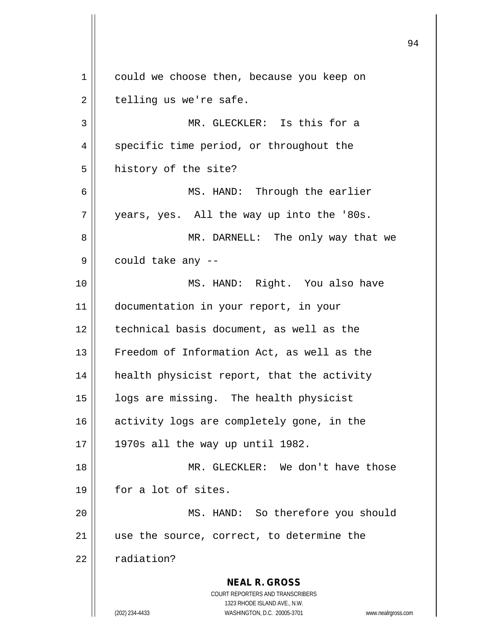**NEAL R. GROSS** COURT REPORTERS AND TRANSCRIBERS 1323 RHODE ISLAND AVE., N.W. (202) 234-4433 WASHINGTON, D.C. 20005-3701 www.nealrgross.com 1 | could we choose then, because you keep on  $2 \parallel$  telling us we're safe. 3 MR. GLECKLER: Is this for a 4 || specific time period, or throughout the 5 | history of the site? 6 || MS. HAND: Through the earlier  $7 \parallel$  years, yes. All the way up into the '80s. 8 MR. DARNELL: The only way that we  $9 \parallel$  could take any  $-$ 10 MS. HAND: Right. You also have 11 documentation in your report, in your 12 technical basis document, as well as the 13 Freedom of Information Act, as well as the 14 || health physicist report, that the activity 15 | logs are missing. The health physicist 16 || activity logs are completely gone, in the  $17 \parallel$  1970s all the way up until 1982. 18 MR. GLECKLER: We don't have those 19 for a lot of sites. 20 MS. HAND: So therefore you should 21 || use the source, correct, to determine the  $22$  |  $radian?$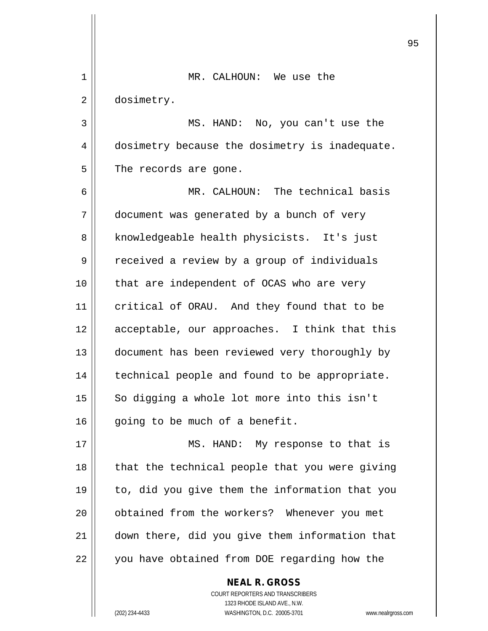| 1  | MR. CALHOUN: We use the                        |
|----|------------------------------------------------|
| 2  | dosimetry.                                     |
| 3  | MS. HAND: No, you can't use the                |
| 4  | dosimetry because the dosimetry is inadequate. |
| 5  | The records are gone.                          |
| 6  | MR. CALHOUN: The technical basis               |
| 7  | document was generated by a bunch of very      |
| 8  | knowledgeable health physicists. It's just     |
| 9  | received a review by a group of individuals    |
| 10 | that are independent of OCAS who are very      |
| 11 | critical of ORAU. And they found that to be    |
| 12 | acceptable, our approaches. I think that this  |
| 13 | document has been reviewed very thoroughly by  |
| 14 | technical people and found to be appropriate.  |
| 15 | So digging a whole lot more into this isn't    |
| 16 | going to be much of a benefit.                 |
| 17 | MS. HAND: My response to that is               |
| 18 | that the technical people that you were giving |
| 19 | to, did you give them the information that you |
| 20 | obtained from the workers? Whenever you met    |
| 21 | down there, did you give them information that |
| 22 | you have obtained from DOE regarding how the   |
|    | <b>NEAL R. GROSS</b>                           |

 $\prod$ 

 $\mathsf{I}$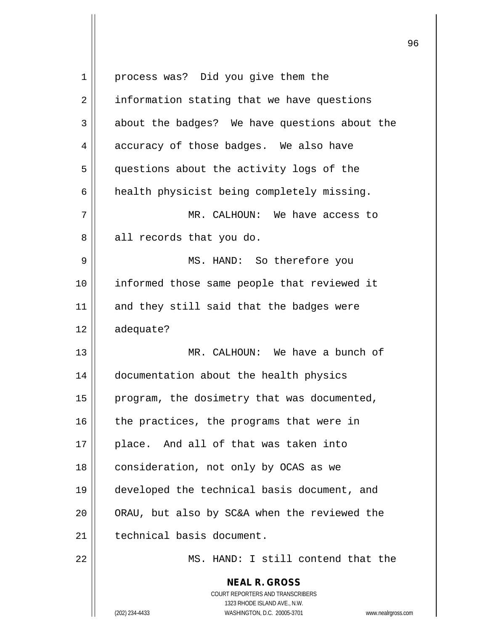| $\mathbf 1$ | process was? Did you give them the                                                                                                                              |
|-------------|-----------------------------------------------------------------------------------------------------------------------------------------------------------------|
| 2           | information stating that we have questions                                                                                                                      |
| 3           | about the badges? We have questions about the                                                                                                                   |
| 4           | accuracy of those badges. We also have                                                                                                                          |
| 5           | questions about the activity logs of the                                                                                                                        |
| 6           | health physicist being completely missing.                                                                                                                      |
| 7           | MR. CALHOUN: We have access to                                                                                                                                  |
| 8           | all records that you do.                                                                                                                                        |
| 9           | MS. HAND: So therefore you                                                                                                                                      |
| 10          | informed those same people that reviewed it                                                                                                                     |
| 11          | and they still said that the badges were                                                                                                                        |
| 12          | adequate?                                                                                                                                                       |
| 13          | MR. CALHOUN: We have a bunch of                                                                                                                                 |
| 14          | documentation about the health physics                                                                                                                          |
| 15          | program, the dosimetry that was documented,                                                                                                                     |
| 16          | the practices, the programs that were in                                                                                                                        |
| 17          | place. And all of that was taken into                                                                                                                           |
| 18          | consideration, not only by OCAS as we                                                                                                                           |
| 19          | developed the technical basis document, and                                                                                                                     |
| 20          | ORAU, but also by SC&A when the reviewed the                                                                                                                    |
| 21          | technical basis document.                                                                                                                                       |
| 22          | MS. HAND: I still contend that the                                                                                                                              |
|             | <b>NEAL R. GROSS</b><br>COURT REPORTERS AND TRANSCRIBERS<br>1323 RHODE ISLAND AVE., N.W.<br>(202) 234-4433<br>WASHINGTON, D.C. 20005-3701<br>www.nealrgross.com |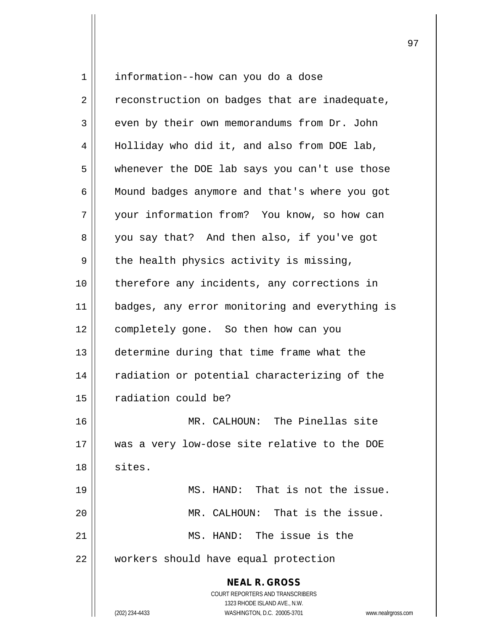**NEAL R. GROSS** COURT REPORTERS AND TRANSCRIBERS 1323 RHODE ISLAND AVE., N.W. 1 | information--how can you do a dose  $2 \parallel$  reconstruction on badges that are inadequate,  $3 \parallel$  even by their own memorandums from Dr. John 4 || Holliday who did it, and also from DOE lab, 5 || whenever the DOE lab says you can't use those 6 | Mound badges anymore and that's where you got 7 || your information from? You know, so how can 8 you say that? And then also, if you've got  $9 \parallel$  the health physics activity is missing, 10 || therefore any incidents, any corrections in 11 || badges, any error monitoring and everything is 12 | completely gone. So then how can you 13 determine during that time frame what the 14 || radiation or potential characterizing of the 15 | radiation could be? 16 MR. CALHOUN: The Pinellas site 17 was a very low-dose site relative to the DOE 18 sites. 19 MS. HAND: That is not the issue. 20 MR. CALHOUN: That is the issue. 21 MS. HAND: The issue is the 22 | workers should have equal protection

(202) 234-4433 WASHINGTON, D.C. 20005-3701 www.nealrgross.com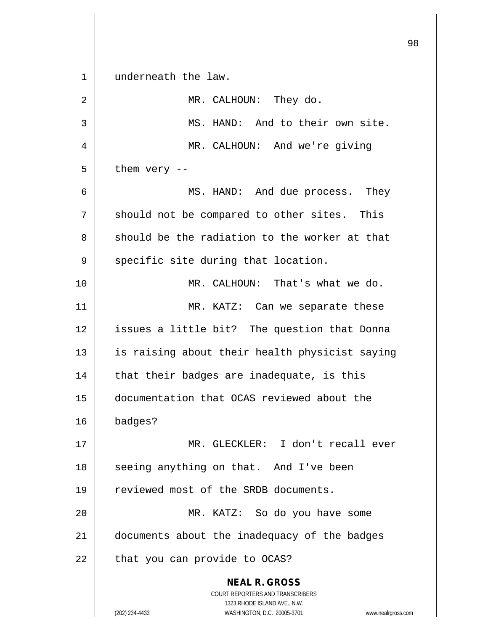**NEAL R. GROSS** COURT REPORTERS AND TRANSCRIBERS 1323 RHODE ISLAND AVE., N.W. (202) 234-4433 WASHINGTON, D.C. 20005-3701 www.nealrgross.com 1 || underneath the law. 2 || MR. CALHOUN: They do. 3 || MS. HAND: And to their own site. 4 || MR. CALHOUN: And we're giving  $5 \parallel$  them very --6 MS. HAND: And due process. They  $7 \parallel$  should not be compared to other sites. This  $8 \parallel$  should be the radiation to the worker at that  $9 \parallel$  specific site during that location. 10 MR. CALHOUN: That's what we do. 11 || MR. KATZ: Can we separate these 12 || issues a little bit? The question that Donna 13 || is raising about their health physicist saying  $14$  || that their badges are inadequate, is this 15 documentation that OCAS reviewed about the 16 badges? 17 MR. GLECKLER: I don't recall ever 18 || seeing anything on that. And I've been 19 || reviewed most of the SRDB documents. 20 MR. KATZ: So do you have some 21 documents about the inadequacy of the badges  $22$  | that you can provide to OCAS?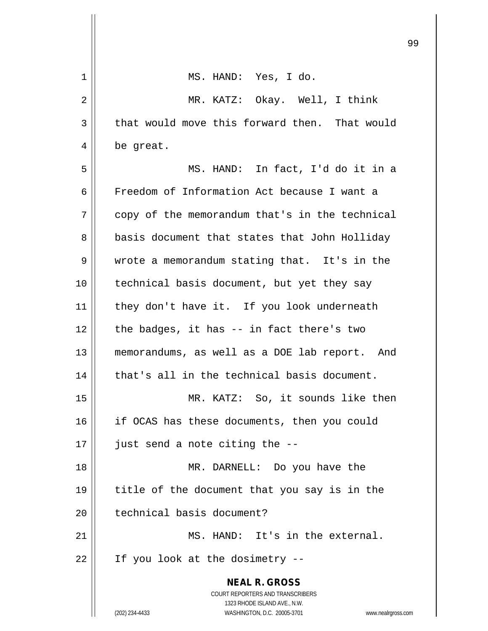|    | ン.                                                                  |
|----|---------------------------------------------------------------------|
| 1  | MS. HAND: Yes, I do.                                                |
| 2  | MR. KATZ: Okay. Well, I think                                       |
| 3  | that would move this forward then. That would                       |
| 4  | be great.                                                           |
| 5  | MS. HAND: In fact, I'd do it in a                                   |
| 6  | Freedom of Information Act because I want a                         |
| 7  | copy of the memorandum that's in the technical                      |
| 8  | basis document that states that John Holliday                       |
| 9  | wrote a memorandum stating that. It's in the                        |
| 10 | technical basis document, but yet they say                          |
| 11 | they don't have it. If you look underneath                          |
| 12 | the badges, it has -- in fact there's two                           |
| 13 | memorandums, as well as a DOE lab report. And                       |
| 14 | that's all in the technical basis document.                         |
| 15 | MR. KATZ: So, it sounds like then                                   |
| 16 | if OCAS has these documents, then you could                         |
| 17 | just send a note citing the --                                      |
| 18 | MR. DARNELL: Do you have the                                        |
| 19 | title of the document that you say is in the                        |
| 20 | technical basis document?                                           |
| 21 | MS. HAND: It's in the external.                                     |
| 22 | If you look at the dosimetry --                                     |
|    | <b>NEAL R. GROSS</b><br>COURT REPORTERS AND TRANSCRIBERS            |
|    | 1323 RHODE ISLAND AVE., N.W.                                        |
|    | (202) 234-4433<br>WASHINGTON, D.C. 20005-3701<br>www.nealrgross.com |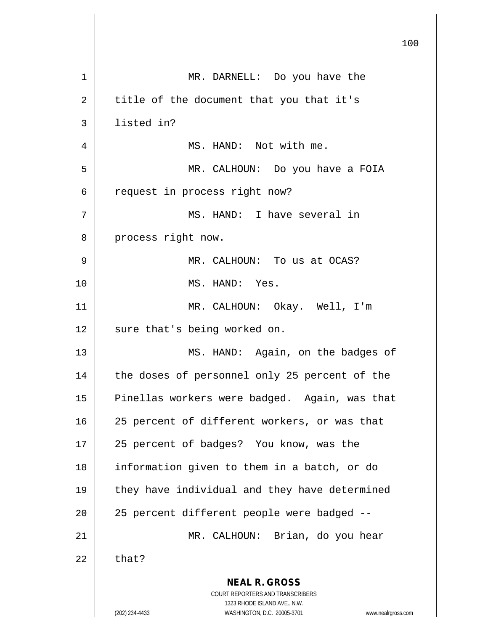**NEAL R. GROSS** COURT REPORTERS AND TRANSCRIBERS 1323 RHODE ISLAND AVE., N.W. (202) 234-4433 WASHINGTON, D.C. 20005-3701 www.nealrgross.com 100 1 || MR. DARNELL: Do you have the  $2 \parallel$  title of the document that you that it's 3 | listed in? 4 | MS. HAND: Not with me. 5 MR. CALHOUN: Do you have a FOIA 6 || request in process right now? 7 MS. HAND: I have several in 8 || process right now. 9 MR. CALHOUN: To us at OCAS? 10 MS. HAND: Yes. 11 MR. CALHOUN: Okay. Well, I'm 12 || sure that's being worked on. 13 || MS. HAND: Again, on the badges of 14 || the doses of personnel only 25 percent of the 15 | Pinellas workers were badged. Again, was that 16 || 25 percent of different workers, or was that 17 || 25 percent of badges? You know, was the 18 information given to them in a batch, or do 19 || they have individual and they have determined 20 || 25 percent different people were badged --21 MR. CALHOUN: Brian, do you hear  $22$  | that?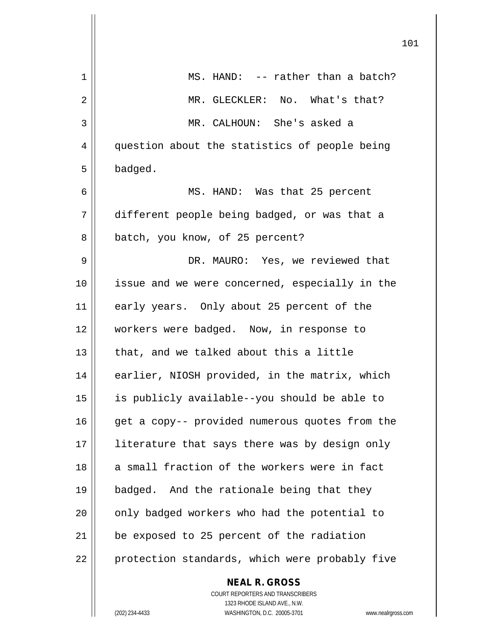|    |                                                | 101 |
|----|------------------------------------------------|-----|
| 1  | MS. HAND: -- rather than a batch?              |     |
| 2  | MR. GLECKLER: No. What's that?                 |     |
| 3  | MR. CALHOUN: She's asked a                     |     |
| 4  | question about the statistics of people being  |     |
| 5  | badged.                                        |     |
| 6  | MS. HAND: Was that 25 percent                  |     |
| 7  | different people being badged, or was that a   |     |
| 8  | batch, you know, of 25 percent?                |     |
| 9  | DR. MAURO: Yes, we reviewed that               |     |
| 10 | issue and we were concerned, especially in the |     |
| 11 | early years. Only about 25 percent of the      |     |
| 12 | workers were badged. Now, in response to       |     |
| 13 | that, and we talked about this a little        |     |
| 14 | earlier, NIOSH provided, in the matrix, which  |     |
| 15 | is publicly available--you should be able to   |     |
| 16 | get a copy-- provided numerous quotes from the |     |
| 17 | literature that says there was by design only  |     |
| 18 | a small fraction of the workers were in fact   |     |
| 19 | badged. And the rationale being that they      |     |
| 20 | only badged workers who had the potential to   |     |
| 21 | be exposed to 25 percent of the radiation      |     |
| 22 | protection standards, which were probably five |     |
|    | <b>NEAL R. GROSS</b>                           |     |

 $\mathsf{II}$ 

 $\mathsf{I}$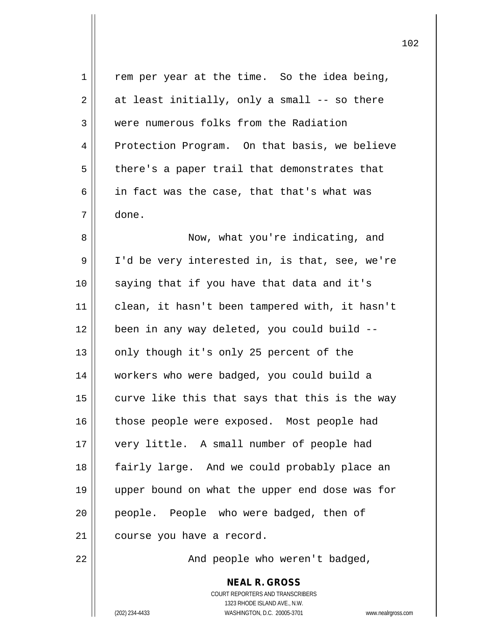| 1  | rem per year at the time. So the idea being,             |
|----|----------------------------------------------------------|
| 2  | at least initially, only a small -- so there             |
| 3  | were numerous folks from the Radiation                   |
| 4  | Protection Program. On that basis, we believe            |
| 5  | there's a paper trail that demonstrates that             |
| 6  | in fact was the case, that that's what was               |
| 7  | done.                                                    |
| 8  | Now, what you're indicating, and                         |
| 9  | I'd be very interested in, is that, see, we're           |
| 10 | saying that if you have that data and it's               |
| 11 | clean, it hasn't been tampered with, it hasn't           |
| 12 | been in any way deleted, you could build --              |
| 13 | only though it's only 25 percent of the                  |
| 14 | workers who were badged, you could build a               |
| 15 | curve like this that says that this is the way           |
| 16 | those people were exposed. Most people had               |
| 17 | very little. A small number of people had                |
| 18 | fairly large. And we could probably place an             |
| 19 | upper bound on what the upper end dose was for           |
| 20 | people. People who were badged, then of                  |
| 21 | course you have a record.                                |
| 22 | And people who weren't badged,                           |
|    | <b>NEAL R. GROSS</b><br>COURT REPORTERS AND TRANSCRIBERS |

1323 RHODE ISLAND AVE., N.W.

 $\prod$ 

(202) 234-4433 WASHINGTON, D.C. 20005-3701 www.nealrgross.com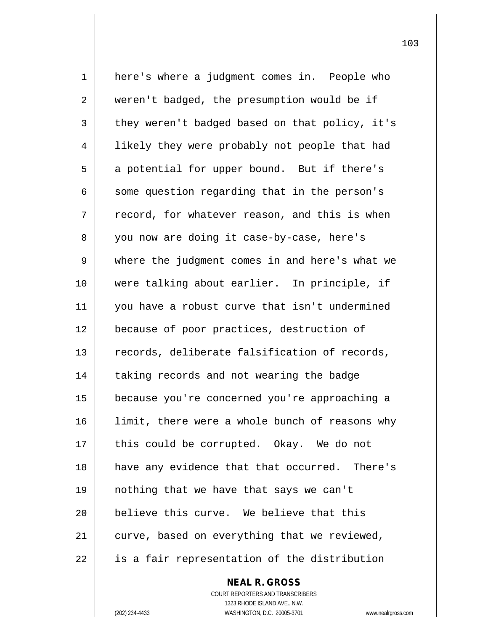1 here's where a judgment comes in. People who 2 weren't badged, the presumption would be if  $3 \parallel$  they weren't badged based on that policy, it's 4 | likely they were probably not people that had  $5 \parallel$  a potential for upper bound. But if there's  $6 \parallel$  some question regarding that in the person's  $7 \parallel$  record, for whatever reason, and this is when 8 || you now are doing it case-by-case, here's 9 where the judgment comes in and here's what we 10 were talking about earlier. In principle, if 11 || you have a robust curve that isn't undermined 12 | because of poor practices, destruction of  $13$   $\parallel$  records, deliberate falsification of records, 14 | taking records and not wearing the badge 15 because you're concerned you're approaching a 16 || limit, there were a whole bunch of reasons why 17 || this could be corrupted. Okay. We do not 18 || have any evidence that that occurred. There's 19 nothing that we have that says we can't 20 **believe this curve.** We believe that this  $21$  | curve, based on everything that we reviewed, 22 || is a fair representation of the distribution

> COURT REPORTERS AND TRANSCRIBERS 1323 RHODE ISLAND AVE., N.W. (202) 234-4433 WASHINGTON, D.C. 20005-3701 www.nealrgross.com

**NEAL R. GROSS**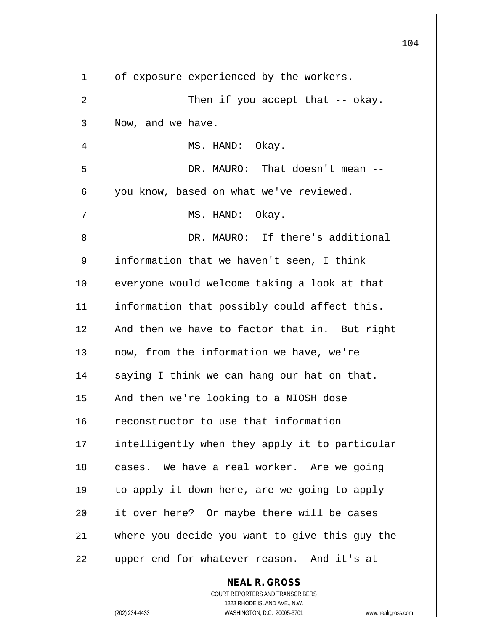|    | 104                                            |
|----|------------------------------------------------|
| 1  | of exposure experienced by the workers.        |
| 2  | Then if you accept that $-$ okay.              |
| 3  | Now, and we have.                              |
| 4  | MS. HAND: Okay.                                |
| 5  | DR. MAURO: That doesn't mean --                |
| 6  | you know, based on what we've reviewed.        |
| 7  | MS. HAND: Okay.                                |
| 8  | DR. MAURO: If there's additional               |
| 9  | information that we haven't seen, I think      |
| 10 | everyone would welcome taking a look at that   |
| 11 | information that possibly could affect this.   |
| 12 | And then we have to factor that in. But right  |
| 13 | now, from the information we have, we're       |
| 14 | saying I think we can hang our hat on that.    |
| 15 | And then we're looking to a NIOSH dose         |
| 16 | reconstructor to use that information          |
| 17 | intelligently when they apply it to particular |
| 18 | cases. We have a real worker. Are we going     |
| 19 | to apply it down here, are we going to apply   |
| 20 | it over here? Or maybe there will be cases     |
| 21 | where you decide you want to give this guy the |
| 22 | upper end for whatever reason. And it's at     |
|    | <b>NEAL R. GROSS</b>                           |

 $\mathsf{II}$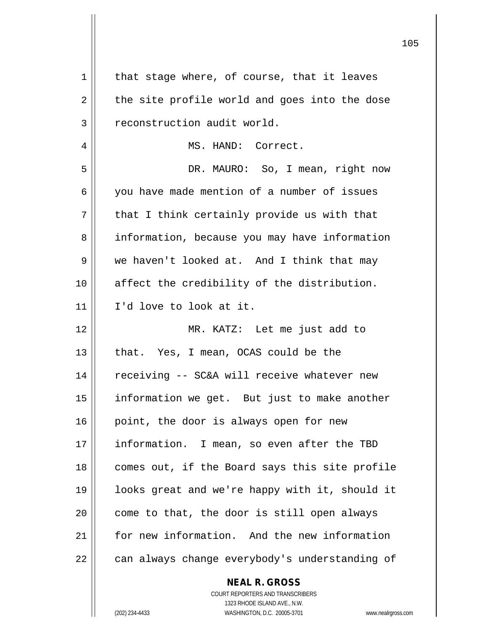| 1  | that stage where, of course, that it leaves              |
|----|----------------------------------------------------------|
| 2  | the site profile world and goes into the dose            |
| 3  | reconstruction audit world.                              |
| 4  | MS. HAND: Correct.                                       |
| 5  | DR. MAURO: So, I mean, right now                         |
| 6  | you have made mention of a number of issues              |
| 7  | that I think certainly provide us with that              |
| 8  | information, because you may have information            |
| 9  | we haven't looked at. And I think that may               |
| 10 | affect the credibility of the distribution.              |
| 11 | I'd love to look at it.                                  |
| 12 | MR. KATZ: Let me just add to                             |
| 13 | that. Yes, I mean, OCAS could be the                     |
| 14 | receiving -- SC&A will receive whatever new              |
| 15 | information we get. But just to make another             |
| 16 | point, the door is always open for new                   |
| 17 | information. I mean, so even after the TBD               |
| 18 | comes out, if the Board says this site profile           |
| 19 | looks great and we're happy with it, should it           |
| 20 | come to that, the door is still open always              |
| 21 | for new information. And the new information             |
| 22 | can always change everybody's understanding of           |
|    | <b>NEAL R. GROSS</b><br>COURT REPORTERS AND TRANSCRIBERS |

1323 RHODE ISLAND AVE., N.W.

 $\mathsf{I}$  $\prod_{i=1}^{n}$ 

(202) 234-4433 WASHINGTON, D.C. 20005-3701 www.nealrgross.com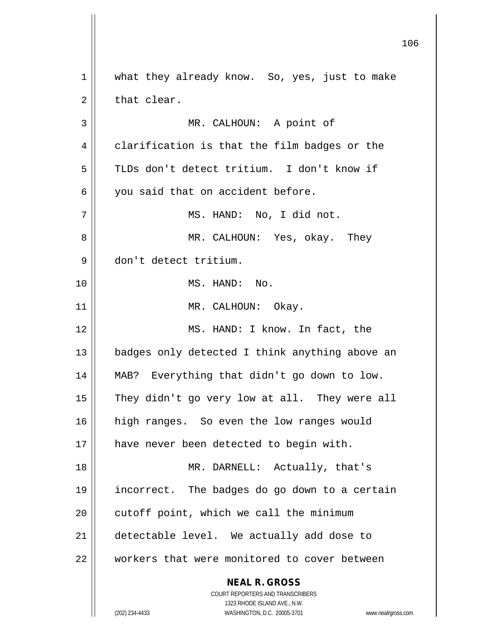**NEAL R. GROSS** COURT REPORTERS AND TRANSCRIBERS 1323 RHODE ISLAND AVE., N.W. (202) 234-4433 WASHINGTON, D.C. 20005-3701 www.nealrgross.com 1 || what they already know. So, yes, just to make  $2 \parallel$  that clear. 3 || MR. CALHOUN: A point of  $4 \parallel$  clarification is that the film badges or the 5 TLDs don't detect tritium. I don't know if 6 || you said that on accident before. 7 MS. HAND: No, I did not. 8 MR. CALHOUN: Yes, okay. They 9 don't detect tritium. 10 MS. HAND: No. 11 || MR. CALHOUN: Okay. 12 || MS. HAND: I know. In fact, the 13 || badges only detected I think anything above an 14 MAB? Everything that didn't go down to low. 15 || They didn't go very low at all. They were all 16 || high ranges. So even the low ranges would 17 || have never been detected to begin with. 18 || MR. DARNELL: Actually, that's 19 incorrect. The badges do go down to a certain  $20$  | cutoff point, which we call the minimum 21 detectable level. We actually add dose to 22 workers that were monitored to cover between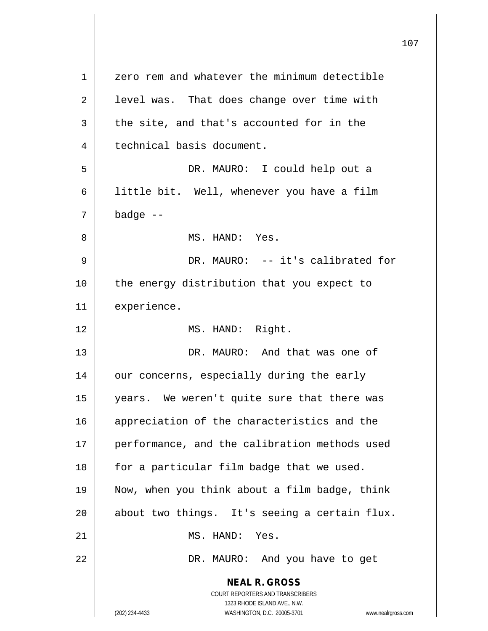**NEAL R. GROSS** COURT REPORTERS AND TRANSCRIBERS 1323 RHODE ISLAND AVE., N.W. (202) 234-4433 WASHINGTON, D.C. 20005-3701 www.nealrgross.com 1 || zero rem and whatever the minimum detectible  $2 \parallel$  level was. That does change over time with  $3 \parallel$  the site, and that's accounted for in the 4 | technical basis document. 5 DR. MAURO: I could help out a 6 | little bit. Well, whenever you have a film  $7 \parallel$  badge  $-$ 8 MS. HAND: Yes. 9 DR. MAURO: -- it's calibrated for 10 || the energy distribution that you expect to 11 | experience. 12 || MS. HAND: Right. 13 DR. MAURO: And that was one of 14 || our concerns, especially during the early 15 years. We weren't quite sure that there was 16 || appreciation of the characteristics and the 17 || performance, and the calibration methods used  $18$  || for a particular film badge that we used. 19 Now, when you think about a film badge, think  $20$  | about two things. It's seeing a certain flux. 21 || MS. HAND: Yes. 22 | R. MAURO: And you have to get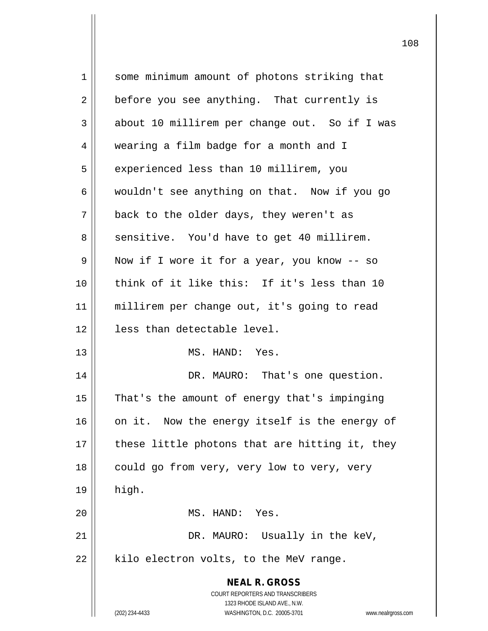| $\mathbf 1$ | some minimum amount of photons striking that                        |
|-------------|---------------------------------------------------------------------|
| 2           | before you see anything. That currently is                          |
| 3           | about 10 millirem per change out. So if I was                       |
| 4           | wearing a film badge for a month and I                              |
| 5           | experienced less than 10 millirem, you                              |
| 6           | wouldn't see anything on that. Now if you go                        |
| 7           | back to the older days, they weren't as                             |
| 8           | sensitive. You'd have to get 40 millirem.                           |
| 9           | Now if I wore it for a year, you know -- so                         |
| 10          | think of it like this: If it's less than 10                         |
| 11          | millirem per change out, it's going to read                         |
| 12          | less than detectable level.                                         |
| 13          | MS. HAND: Yes.                                                      |
| 14          | DR. MAURO: That's one question.                                     |
| 15          | That's the amount of energy that's impinging                        |
| 16          | on it. Now the energy itself is the energy of                       |
| 17          | these little photons that are hitting it, they                      |
| 18          | could go from very, very low to very, very                          |
| 19          | high.                                                               |
| 20          | MS. HAND: Yes.                                                      |
| 21          | DR. MAURO: Usually in the keV,                                      |
| 22          | kilo electron volts, to the MeV range.                              |
|             | <b>NEAL R. GROSS</b>                                                |
|             | <b>COURT REPORTERS AND TRANSCRIBERS</b>                             |
|             | 1323 RHODE ISLAND AVE., N.W.                                        |
|             | (202) 234-4433<br>WASHINGTON, D.C. 20005-3701<br>www.nealrgross.com |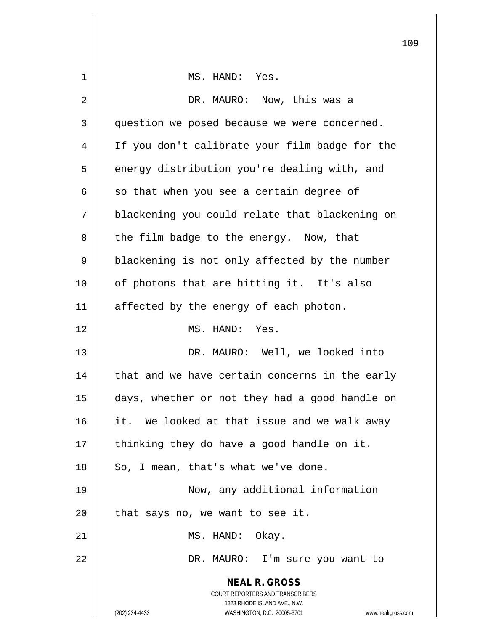|    |                                                                     | 10 |
|----|---------------------------------------------------------------------|----|
| 1  | MS. HAND: Yes.                                                      |    |
| 2  | DR. MAURO: Now, this was a                                          |    |
| 3  | question we posed because we were concerned.                        |    |
| 4  | If you don't calibrate your film badge for the                      |    |
| 5  | energy distribution you're dealing with, and                        |    |
| 6  | so that when you see a certain degree of                            |    |
| 7  | blackening you could relate that blackening on                      |    |
| 8  | the film badge to the energy. Now, that                             |    |
| 9  | blackening is not only affected by the number                       |    |
| 10 | of photons that are hitting it. It's also                           |    |
| 11 | affected by the energy of each photon.                              |    |
| 12 | MS. HAND: Yes.                                                      |    |
| 13 | DR. MAURO: Well, we looked into                                     |    |
| 14 | that and we have certain concerns in the early                      |    |
| 15 | days, whether or not they had a good handle on                      |    |
| 16 | it. We looked at that issue and we walk away                        |    |
| 17 | thinking they do have a good handle on it.                          |    |
| 18 | So, I mean, that's what we've done.                                 |    |
| 19 | Now, any additional information                                     |    |
| 20 | that says no, we want to see it.                                    |    |
| 21 | MS. HAND: Okay.                                                     |    |
| 22 | DR. MAURO: I'm sure you want to                                     |    |
|    | <b>NEAL R. GROSS</b>                                                |    |
|    | COURT REPORTERS AND TRANSCRIBERS<br>1323 RHODE ISLAND AVE., N.W.    |    |
|    | (202) 234-4433<br>WASHINGTON, D.C. 20005-3701<br>www.nealrgross.com |    |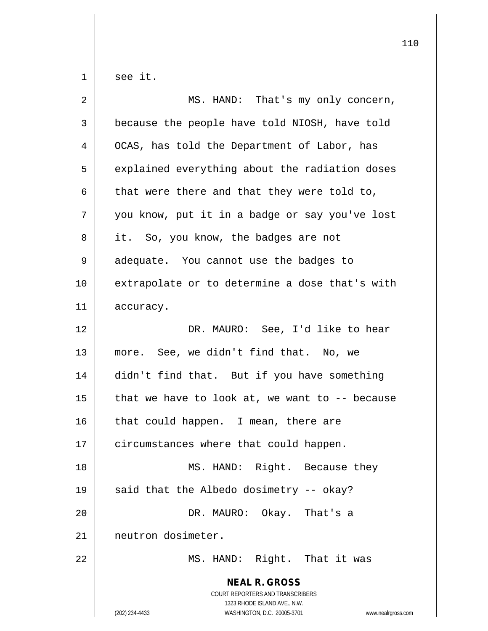$1 \parallel$  see it.

| $\overline{2}$ | MS. HAND: That's my only concern,                                                                                                                                      |
|----------------|------------------------------------------------------------------------------------------------------------------------------------------------------------------------|
| 3              | because the people have told NIOSH, have told                                                                                                                          |
| 4              | OCAS, has told the Department of Labor, has                                                                                                                            |
| 5              | explained everything about the radiation doses                                                                                                                         |
| 6              | that were there and that they were told to,                                                                                                                            |
| 7              | you know, put it in a badge or say you've lost                                                                                                                         |
| 8              | it. So, you know, the badges are not                                                                                                                                   |
| 9              | adequate. You cannot use the badges to                                                                                                                                 |
| 10             | extrapolate or to determine a dose that's with                                                                                                                         |
| 11             | accuracy.                                                                                                                                                              |
| 12             | DR. MAURO: See, I'd like to hear                                                                                                                                       |
| 13             | more. See, we didn't find that. No, we                                                                                                                                 |
| 14             | didn't find that. But if you have something                                                                                                                            |
| 15             | that we have to look at, we want to $-$ - because                                                                                                                      |
| 16             | that could happen. I mean, there are                                                                                                                                   |
| 17             | circumstances where that could happen.                                                                                                                                 |
| 18             | MS. HAND: Right. Because they                                                                                                                                          |
| 19             | said that the Albedo dosimetry -- okay?                                                                                                                                |
| 20             | DR. MAURO: Okay. That's a                                                                                                                                              |
| 21             | neutron dosimeter.                                                                                                                                                     |
| 22             | MS. HAND: Right. That it was                                                                                                                                           |
|                | <b>NEAL R. GROSS</b><br><b>COURT REPORTERS AND TRANSCRIBERS</b><br>1323 RHODE ISLAND AVE., N.W.<br>WASHINGTON, D.C. 20005-3701<br>(202) 234-4433<br>www.nealrgross.com |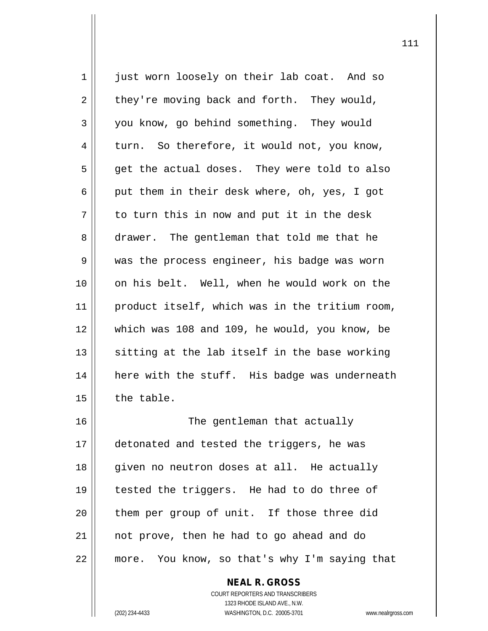1 just worn loosely on their lab coat. And so  $2 \parallel$  they're moving back and forth. They would, 3 you know, go behind something. They would  $4 \parallel$  turn. So therefore, it would not, you know,  $5 \parallel$  get the actual doses. They were told to also 6 || put them in their desk where, oh, yes, I got  $7 \parallel$  to turn this in now and put it in the desk 8 drawer. The gentleman that told me that he 9 || was the process engineer, his badge was worn 10 on his belt. Well, when he would work on the 11 | product itself, which was in the tritium room, 12 which was 108 and 109, he would, you know, be  $13$  sitting at the lab itself in the base working 14 || here with the stuff. His badge was underneath  $15$  | the table. 16 || The gentleman that actually 17 detonated and tested the triggers, he was 18 || given no neutron doses at all. He actually 19 tested the triggers. He had to do three of 20 || them per group of unit. If those three did 21 not prove, then he had to go ahead and do 22 more. You know, so that's why I'm saying that

> COURT REPORTERS AND TRANSCRIBERS 1323 RHODE ISLAND AVE., N.W. (202) 234-4433 WASHINGTON, D.C. 20005-3701 www.nealrgross.com

**NEAL R. GROSS**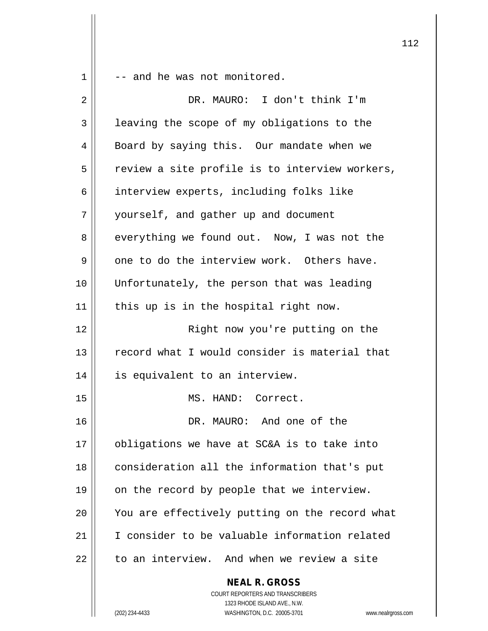$1 \parallel$  -- and he was not monitored.

| 2  | DR. MAURO: I don't think I'm                                                                                                                                        |
|----|---------------------------------------------------------------------------------------------------------------------------------------------------------------------|
| 3  | leaving the scope of my obligations to the                                                                                                                          |
| 4  | Board by saying this. Our mandate when we                                                                                                                           |
| 5  | review a site profile is to interview workers,                                                                                                                      |
| 6  | interview experts, including folks like                                                                                                                             |
| 7  | yourself, and gather up and document                                                                                                                                |
| 8  | everything we found out. Now, I was not the                                                                                                                         |
| 9  | one to do the interview work. Others have.                                                                                                                          |
| 10 | Unfortunately, the person that was leading                                                                                                                          |
| 11 | this up is in the hospital right now.                                                                                                                               |
| 12 | Right now you're putting on the                                                                                                                                     |
| 13 | record what I would consider is material that                                                                                                                       |
| 14 | is equivalent to an interview.                                                                                                                                      |
| 15 | MS. HAND: Correct.                                                                                                                                                  |
| 16 | DR. MAURO: And one of the                                                                                                                                           |
| 17 | obligations we have at SC&A is to take into                                                                                                                         |
| 18 | consideration all the information that's put                                                                                                                        |
| 19 | on the record by people that we interview.                                                                                                                          |
| 20 | You are effectively putting on the record what                                                                                                                      |
| 21 | I consider to be valuable information related                                                                                                                       |
| 22 | to an interview. And when we review a site                                                                                                                          |
|    | <b>NEAL R. GROSS</b><br><b>COURT REPORTERS AND TRANSCRIBERS</b><br>1323 RHODE ISLAND AVE., N.W.<br>(202) 234-4433<br>WASHINGTON, D.C. 20005-3701<br>www.nealrgross. |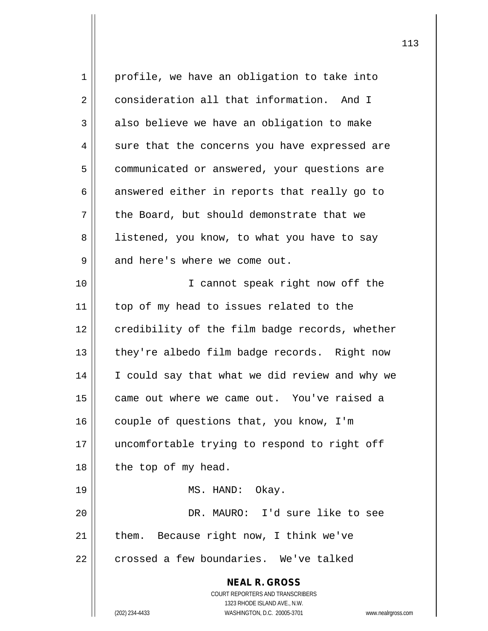| $\mathbf 1$ | profile, we have an obligation to take into                 |
|-------------|-------------------------------------------------------------|
| 2           | consideration all that information. And I                   |
| 3           | also believe we have an obligation to make                  |
| 4           | sure that the concerns you have expressed are               |
| 5           | communicated or answered, your questions are                |
| 6           | answered either in reports that really go to                |
| 7           | the Board, but should demonstrate that we                   |
| 8           | listened, you know, to what you have to say                 |
| 9           | and here's where we come out.                               |
| 10          | I cannot speak right now off the                            |
| 11          | top of my head to issues related to the                     |
| 12          | credibility of the film badge records, whether              |
| 13          | they're albedo film badge records. Right now                |
| 14          | I could say that what we did review and why we              |
| 15          | came out where we came out. You've raised a                 |
| 16          | couple of questions that, you know, I'm                     |
| 17          | uncomfortable trying to respond to right off                |
| 18          | the top of my head.                                         |
| 19          | MS. HAND: Okay.                                             |
| 20          | DR. MAURO: I'd sure like to see                             |
| 21          | them. Because right now, I think we've                      |
| 22          | crossed a few boundaries. We've talked                      |
|             | <b>NEAL R. GROSS</b>                                        |
|             | <b>COURT REPORTERS AND TRANSCRIBERS</b>                     |
|             | 1323 RHODE ISLAND AVE., N.W.<br>WASHINGTON, D.C. 20005-3701 |
|             | (202) 234-4433<br>www.nealrgross.com                        |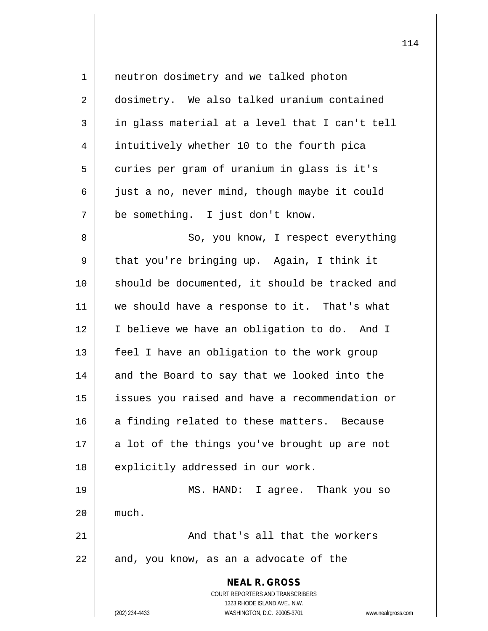| $\mathbf 1$ | neutron dosimetry and we talked photon                                                          |
|-------------|-------------------------------------------------------------------------------------------------|
| 2           | dosimetry. We also talked uranium contained                                                     |
| 3           | in glass material at a level that I can't tell                                                  |
| 4           | intuitively whether 10 to the fourth pica                                                       |
| 5           | curies per gram of uranium in glass is it's                                                     |
| 6           | just a no, never mind, though maybe it could                                                    |
| 7           | be something. I just don't know.                                                                |
| 8           | So, you know, I respect everything                                                              |
| 9           | that you're bringing up. Again, I think it                                                      |
| 10          | should be documented, it should be tracked and                                                  |
| 11          | we should have a response to it. That's what                                                    |
| 12          | I believe we have an obligation to do. And I                                                    |
| 13          | feel I have an obligation to the work group                                                     |
| 14          | and the Board to say that we looked into the                                                    |
| 15          | issues you raised and have a recommendation or                                                  |
| 16          | a finding related to these matters. Because                                                     |
| 17          | a lot of the things you've brought up are not                                                   |
| 18          | explicitly addressed in our work.                                                               |
| 19          | I agree. Thank you so<br>MS. HAND:                                                              |
| 20          | much.                                                                                           |
| 21          | And that's all that the workers                                                                 |
| 22          | and, you know, as an a advocate of the                                                          |
|             | <b>NEAL R. GROSS</b><br><b>COURT REPORTERS AND TRANSCRIBERS</b><br>1323 RHODE ISLAND AVE., N.W. |
|             | (202) 234-4433<br>WASHINGTON, D.C. 20005-3701<br>www.nealrgross.com                             |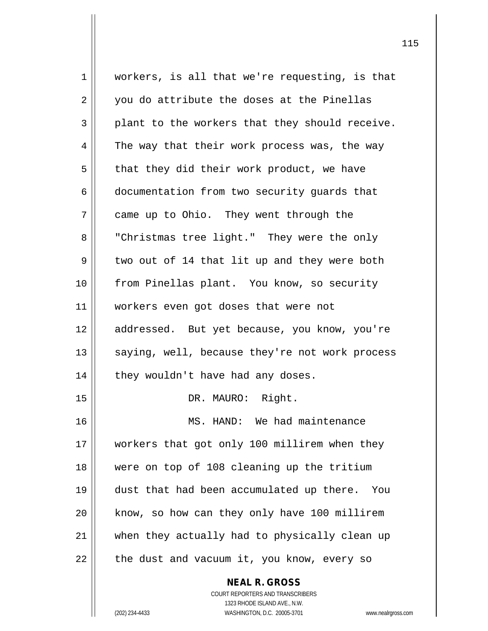1 workers, is all that we're requesting, is that 2 || you do attribute the doses at the Pinellas  $3 \parallel$  plant to the workers that they should receive.  $4 \parallel$  The way that their work process was, the way  $5 \parallel$  that they did their work product, we have 6 documentation from two security guards that 7 | came up to Ohio. They went through the 8 | "Christmas tree light." They were the only  $9 \parallel$  two out of 14 that lit up and they were both 10 from Pinellas plant. You know, so security 11 workers even got doses that were not 12 || addressed. But yet because, you know, you're 13 || saying, well, because they're not work process  $14$  | they wouldn't have had any doses. 15 || DR. MAURO: Right. 16 MS. HAND: We had maintenance 17 workers that got only 100 millirem when they 18 were on top of 108 cleaning up the tritium 19 dust that had been accumulated up there. You 20 | know, so how can they only have 100 millirem 21 when they actually had to physically clean up  $22$  | the dust and vacuum it, you know, every so

> COURT REPORTERS AND TRANSCRIBERS 1323 RHODE ISLAND AVE., N.W. (202) 234-4433 WASHINGTON, D.C. 20005-3701 www.nealrgross.com

**NEAL R. GROSS**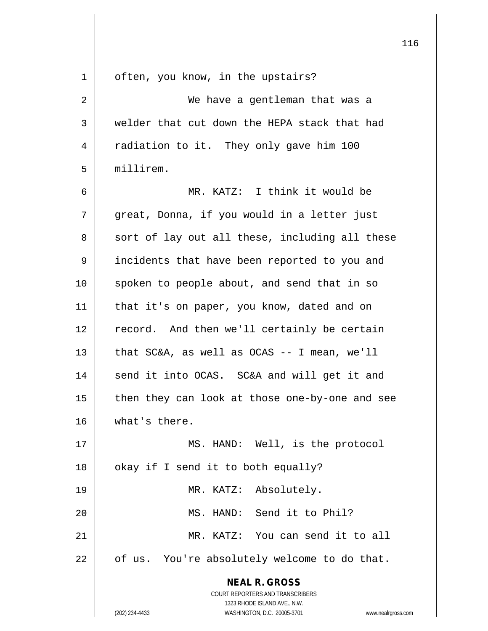| 1  | often, you know, in the upstairs?                                   |
|----|---------------------------------------------------------------------|
| 2  | We have a gentleman that was a                                      |
| 3  | welder that cut down the HEPA stack that had                        |
| 4  | radiation to it. They only gave him 100                             |
| 5  | millirem.                                                           |
| 6  | MR. KATZ: I think it would be                                       |
| 7  | great, Donna, if you would in a letter just                         |
| 8  | sort of lay out all these, including all these                      |
| 9  | incidents that have been reported to you and                        |
| 10 | spoken to people about, and send that in so                         |
| 11 | that it's on paper, you know, dated and on                          |
| 12 | record. And then we'll certainly be certain                         |
| 13 | that $SC&A$ , as well as $OCAS$ -- I mean, we'll                    |
| 14 | send it into OCAS. SC&A and will get it and                         |
| 15 | then they can look at those one-by-one and see                      |
| 16 | what's there.                                                       |
| 17 | MS. HAND: Well, is the protocol                                     |
| 18 | okay if I send it to both equally?                                  |
| 19 | MR. KATZ: Absolutely.                                               |
| 20 | MS. HAND: Send it to Phil?                                          |
| 21 | MR. KATZ: You can send it to all                                    |
| 22 | of us. You're absolutely welcome to do that.                        |
|    | <b>NEAL R. GROSS</b>                                                |
|    | COURT REPORTERS AND TRANSCRIBERS                                    |
|    | 1323 RHODE ISLAND AVE., N.W.                                        |
|    | (202) 234-4433<br>WASHINGTON, D.C. 20005-3701<br>www.nealrgross.com |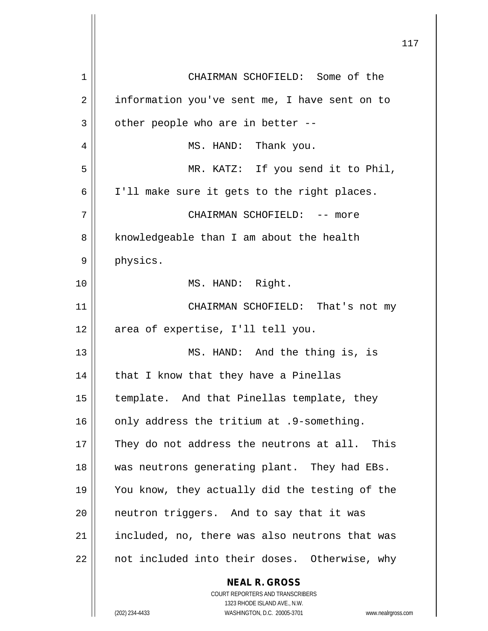| 1  | CHAIRMAN SCHOFIELD: Some of the                                                                     |
|----|-----------------------------------------------------------------------------------------------------|
| 2  | information you've sent me, I have sent on to                                                       |
| 3  | other people who are in better --                                                                   |
| 4  | MS. HAND: Thank you.                                                                                |
| 5  | MR. KATZ: If you send it to Phil,                                                                   |
| 6  | I'll make sure it gets to the right places.                                                         |
| 7  | CHAIRMAN SCHOFIELD: -- more                                                                         |
| 8  | knowledgeable than I am about the health                                                            |
| 9  | physics.                                                                                            |
| 10 | MS. HAND: Right.                                                                                    |
| 11 | CHAIRMAN SCHOFIELD: That's not my                                                                   |
| 12 | area of expertise, I'll tell you.                                                                   |
| 13 | MS. HAND: And the thing is, is                                                                      |
| 14 | that I know that they have a Pinellas                                                               |
| 15 | template. And that Pinellas template, they                                                          |
| 16 | only address the tritium at .9-something.                                                           |
| 17 | They do not address the neutrons at all. This                                                       |
| 18 | was neutrons generating plant. They had EBs.                                                        |
| 19 | You know, they actually did the testing of the                                                      |
| 20 | neutron triggers. And to say that it was                                                            |
| 21 | included, no, there was also neutrons that was                                                      |
| 22 | not included into their doses. Otherwise, why                                                       |
|    | <b>NEAL R. GROSS</b>                                                                                |
|    | COURT REPORTERS AND TRANSCRIBERS                                                                    |
|    | 1323 RHODE ISLAND AVE., N.W.<br>(202) 234-4433<br>WASHINGTON, D.C. 20005-3701<br>www.nealrgross.com |
|    |                                                                                                     |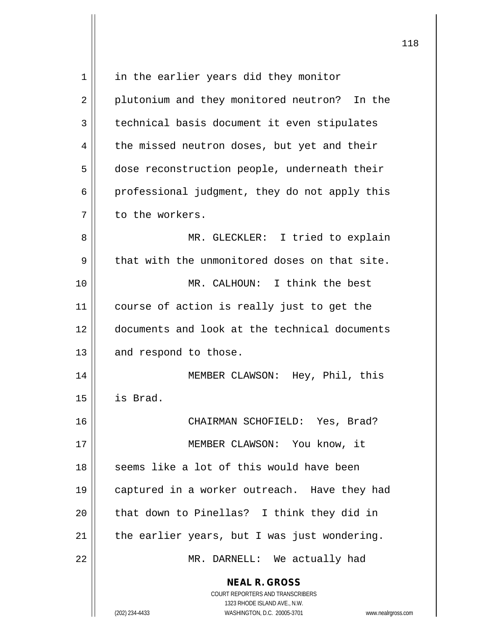| 1  | in the earlier years did they monitor                                                                                                                           |
|----|-----------------------------------------------------------------------------------------------------------------------------------------------------------------|
| 2  | plutonium and they monitored neutron? In the                                                                                                                    |
| 3  | technical basis document it even stipulates                                                                                                                     |
| 4  | the missed neutron doses, but yet and their                                                                                                                     |
| 5  | dose reconstruction people, underneath their                                                                                                                    |
| 6  | professional judgment, they do not apply this                                                                                                                   |
| 7  | to the workers.                                                                                                                                                 |
| 8  | MR. GLECKLER: I tried to explain                                                                                                                                |
| 9  | that with the unmonitored doses on that site.                                                                                                                   |
| 10 | MR. CALHOUN: I think the best                                                                                                                                   |
| 11 | course of action is really just to get the                                                                                                                      |
| 12 | documents and look at the technical documents                                                                                                                   |
| 13 | and respond to those.                                                                                                                                           |
| 14 | MEMBER CLAWSON: Hey, Phil, this                                                                                                                                 |
| 15 | is Brad.                                                                                                                                                        |
| 16 | CHAIRMAN SCHOFIELD: Yes, Brad?                                                                                                                                  |
| 17 | MEMBER CLAWSON: You know, it                                                                                                                                    |
| 18 | seems like a lot of this would have been                                                                                                                        |
| 19 | captured in a worker outreach. Have they had                                                                                                                    |
| 20 | that down to Pinellas? I think they did in                                                                                                                      |
| 21 | the earlier years, but I was just wondering.                                                                                                                    |
| 22 | MR. DARNELL: We actually had                                                                                                                                    |
|    | <b>NEAL R. GROSS</b><br>COURT REPORTERS AND TRANSCRIBERS<br>1323 RHODE ISLAND AVE., N.W.<br>(202) 234-4433<br>WASHINGTON, D.C. 20005-3701<br>www.nealrgross.com |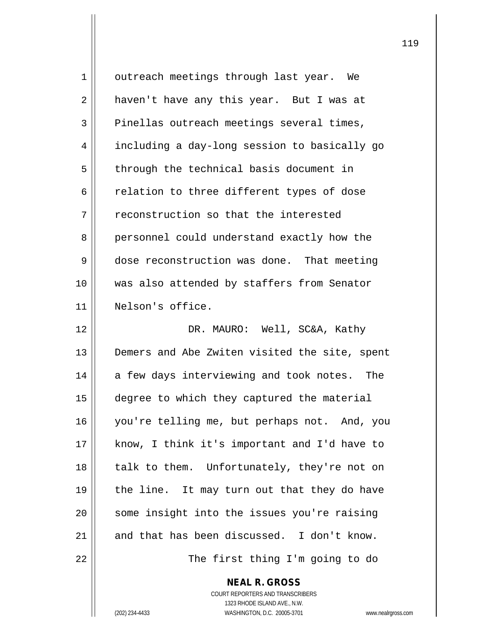| 1  | outreach meetings through last year. We       |
|----|-----------------------------------------------|
| 2  | haven't have any this year. But I was at      |
| 3  | Pinellas outreach meetings several times,     |
| 4  | including a day-long session to basically go  |
| 5  | through the technical basis document in       |
| 6  | relation to three different types of dose     |
| 7  | reconstruction so that the interested         |
| 8  | personnel could understand exactly how the    |
| 9  | dose reconstruction was done. That meeting    |
| 10 | was also attended by staffers from Senator    |
| 11 | Nelson's office.                              |
| 12 | DR. MAURO: Well, SC&A, Kathy                  |
| 13 | Demers and Abe Zwiten visited the site, spent |
| 14 | a few days interviewing and took notes. The   |
| 15 | degree to which they captured the material    |
| 16 | you're telling me, but perhaps not. And, you  |
| 17 | know, I think it's important and I'd have to  |
| 18 | talk to them. Unfortunately, they're not on   |
| 19 | the line. It may turn out that they do have   |
| 20 | some insight into the issues you're raising   |
| 21 | and that has been discussed. I don't know.    |
| 22 | The first thing I'm going to do               |

COURT REPORTERS AND TRANSCRIBERS 1323 RHODE ISLAND AVE., N.W. (202) 234-4433 WASHINGTON, D.C. 20005-3701 www.nealrgross.com

**NEAL R. GROSS**

 $\mathbf{I}$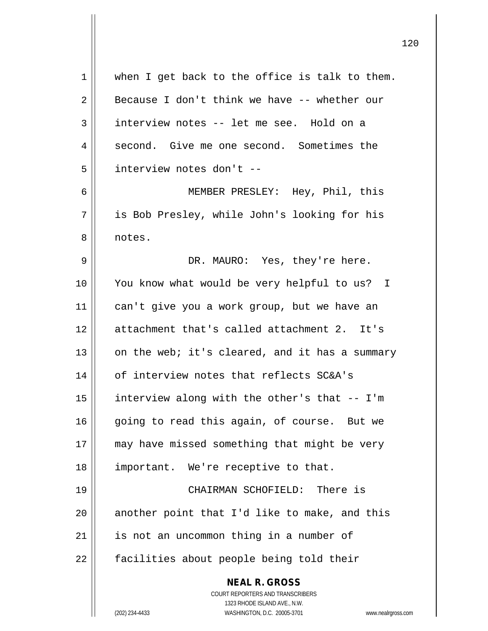| 1  | when I get back to the office is talk to them.                                                      |
|----|-----------------------------------------------------------------------------------------------------|
| 2  | Because I don't think we have -- whether our                                                        |
| 3  | interview notes -- let me see. Hold on a                                                            |
| 4  | second. Give me one second. Sometimes the                                                           |
| 5  | interview notes don't --                                                                            |
| 6  | MEMBER PRESLEY: Hey, Phil, this                                                                     |
| 7  | is Bob Presley, while John's looking for his                                                        |
| 8  | notes.                                                                                              |
| 9  | DR. MAURO: Yes, they're here.                                                                       |
| 10 | You know what would be very helpful to us? I                                                        |
| 11 | can't give you a work group, but we have an                                                         |
| 12 | attachment that's called attachment 2. It's                                                         |
| 13 | on the web; it's cleared, and it has a summary                                                      |
| 14 | of interview notes that reflects SC&A's                                                             |
| 15 | interview along with the other's that -- I'm                                                        |
| 16 | going to read this again, of course. But we                                                         |
| 17 | may have missed something that might be very                                                        |
| 18 | important. We're receptive to that.                                                                 |
| 19 | CHAIRMAN SCHOFIELD: There is                                                                        |
| 20 | another point that I'd like to make, and this                                                       |
| 21 | is not an uncommon thing in a number of                                                             |
| 22 | facilities about people being told their                                                            |
|    | <b>NEAL R. GROSS</b><br>COURT REPORTERS AND TRANSCRIBERS                                            |
|    | 1323 RHODE ISLAND AVE., N.W.<br>(202) 234-4433<br>WASHINGTON, D.C. 20005-3701<br>www.nealrgross.com |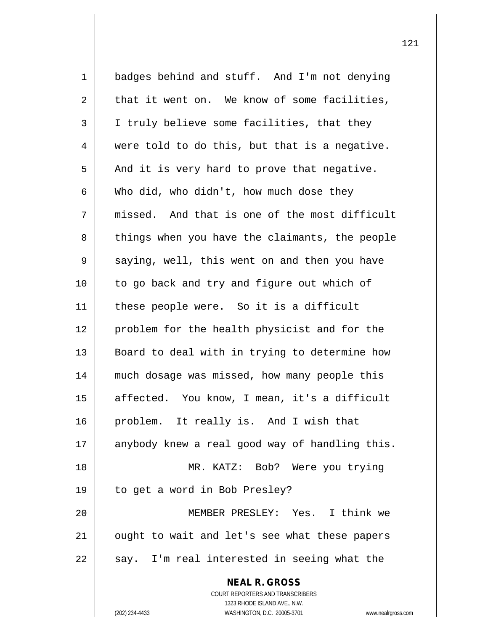**NEAL R. GROSS** COURT REPORTERS AND TRANSCRIBERS 1323 RHODE ISLAND AVE., N.W. 1 badges behind and stuff. And I'm not denying  $2 \parallel$  that it went on. We know of some facilities, 3 | I truly believe some facilities, that they  $4 \parallel$  were told to do this, but that is a negative.  $5 \parallel$  And it is very hard to prove that negative.  $6 \parallel$  Who did, who didn't, how much dose they  $7 \parallel$  missed. And that is one of the most difficult 8 || things when you have the claimants, the people  $9 \parallel$  saying, well, this went on and then you have 10 || to go back and try and figure out which of 11 || these people were. So it is a difficult 12 problem for the health physicist and for the 13 || Board to deal with in trying to determine how 14 || much dosage was missed, how many people this 15 || affected. You know, I mean, it's a difficult 16 problem. It really is. And I wish that 17 || anybody knew a real good way of handling this. 18 MR. KATZ: Bob? Were you trying 19 to get a word in Bob Presley? 20 MEMBER PRESLEY: Yes. I think we 21 || ought to wait and let's see what these papers  $22$  | say. I'm real interested in seeing what the

(202) 234-4433 WASHINGTON, D.C. 20005-3701 www.nealrgross.com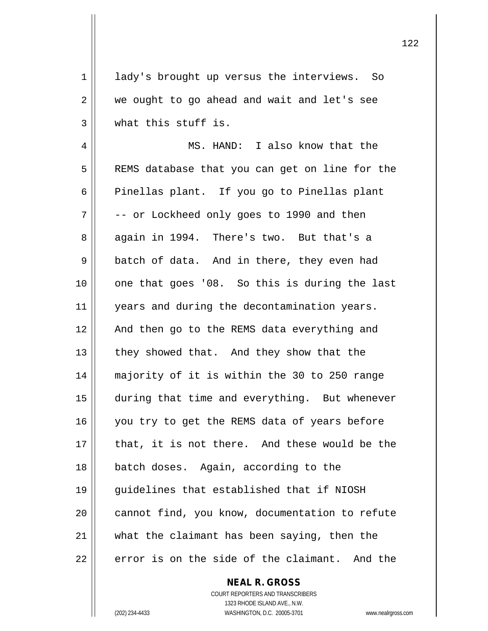1 || lady's brought up versus the interviews. So 2 || we ought to go ahead and wait and let's see 3 what this stuff is.

4 MS. HAND: I also know that the 5 | REMS database that you can get on line for the  $6 \parallel$  Pinellas plant. If you go to Pinellas plant  $7 \parallel$  -- or Lockheed only goes to 1990 and then 8 || again in 1994. There's two. But that's a  $9 \parallel$  batch of data. And in there, they even had 10 || one that goes '08. So this is during the last 11 | years and during the decontamination years. 12 || And then go to the REMS data everything and  $13$  | they showed that. And they show that the 14 majority of it is within the 30 to 250 range 15 | during that time and everything. But whenever 16 || you try to get the REMS data of years before 17 || that, it is not there. And these would be the 18 batch doses. Again, according to the 19 guidelines that established that if NIOSH 20 || cannot find, you know, documentation to refute  $21$  what the claimant has been saying, then the 22  $\parallel$  error is on the side of the claimant. And the

> COURT REPORTERS AND TRANSCRIBERS 1323 RHODE ISLAND AVE., N.W. (202) 234-4433 WASHINGTON, D.C. 20005-3701 www.nealrgross.com

**NEAL R. GROSS**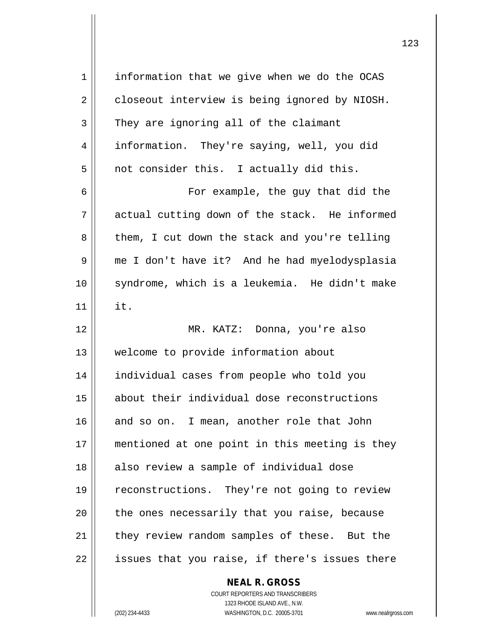| 1  | information that we give when we do the OCAS   |
|----|------------------------------------------------|
| 2  | closeout interview is being ignored by NIOSH.  |
| 3  | They are ignoring all of the claimant          |
| 4  | information. They're saying, well, you did     |
| 5  | not consider this. I actually did this.        |
| 6  | For example, the guy that did the              |
| 7  | actual cutting down of the stack. He informed  |
| 8  | them, I cut down the stack and you're telling  |
| 9  | me I don't have it? And he had myelodysplasia  |
| 10 | syndrome, which is a leukemia. He didn't make  |
| 11 | it.                                            |
| 12 | MR. KATZ: Donna, you're also                   |
| 13 | welcome to provide information about           |
| 14 | individual cases from people who told you      |
| 15 | about their individual dose reconstructions    |
| 16 | and so on. I mean, another role that John      |
| 17 | mentioned at one point in this meeting is they |
| 18 | also review a sample of individual dose        |
| 19 | reconstructions. They're not going to review   |
| 20 | the ones necessarily that you raise, because   |
| 21 | they review random samples of these. But the   |
| 22 | issues that you raise, if there's issues there |
|    | <b>NEAL R. GROSS</b>                           |

COURT REPORTERS AND TRANSCRIBERS 1323 RHODE ISLAND AVE., N.W. (202) 234-4433 WASHINGTON, D.C. 20005-3701 www.nealrgross.com

 $\prod$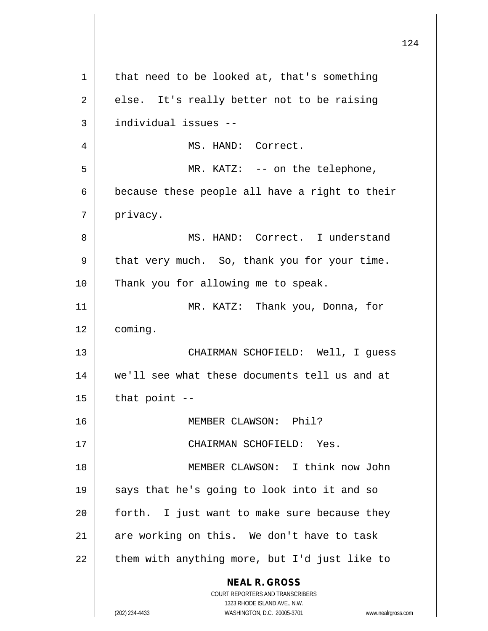| $\mathbf 1$ | that need to be looked at, that's something                                                         |
|-------------|-----------------------------------------------------------------------------------------------------|
| 2           | else. It's really better not to be raising                                                          |
| 3           | individual issues --                                                                                |
| 4           | MS. HAND: Correct.                                                                                  |
| 5           | MR. KATZ: $--$ on the telephone,                                                                    |
| 6           | because these people all have a right to their                                                      |
| 7           | privacy.                                                                                            |
| 8           | MS. HAND: Correct. I understand                                                                     |
| 9           | that very much. So, thank you for your time.                                                        |
| 10          | Thank you for allowing me to speak.                                                                 |
| 11          | MR. KATZ: Thank you, Donna, for                                                                     |
| 12          | coming.                                                                                             |
| 13          | CHAIRMAN SCHOFIELD: Well, I guess                                                                   |
| 14          | we'll see what these documents tell us and at                                                       |
| 15          | that $point$ --                                                                                     |
| 16          | MEMBER CLAWSON: Phil?                                                                               |
| 17          | CHAIRMAN SCHOFIELD: Yes.                                                                            |
| 18          | MEMBER CLAWSON: I think now John                                                                    |
| 19          | says that he's going to look into it and so                                                         |
| 20          | forth. I just want to make sure because they                                                        |
| 21          | are working on this. We don't have to task                                                          |
| 22          | them with anything more, but I'd just like to                                                       |
|             | <b>NEAL R. GROSS</b>                                                                                |
|             | COURT REPORTERS AND TRANSCRIBERS                                                                    |
|             | 1323 RHODE ISLAND AVE., N.W.<br>WASHINGTON, D.C. 20005-3701<br>(202) 234-4433<br>www.nealrgross.com |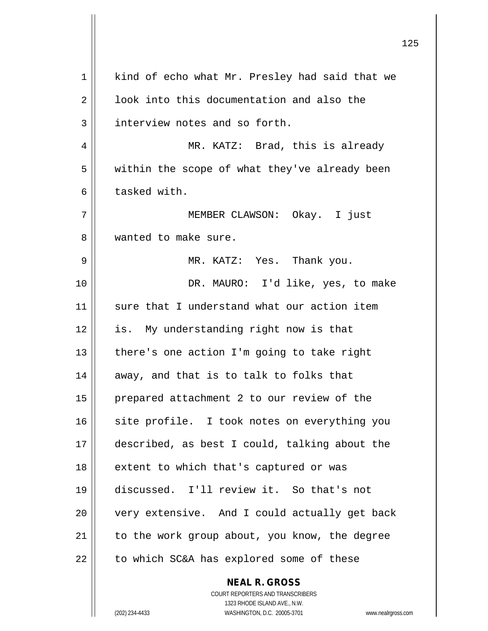| 1  | kind of echo what Mr. Presley had said that we           |
|----|----------------------------------------------------------|
| 2  | look into this documentation and also the                |
| 3  | interview notes and so forth.                            |
| 4  | MR. KATZ: Brad, this is already                          |
| 5  | within the scope of what they've already been            |
| 6  | tasked with.                                             |
| 7  | MEMBER CLAWSON: Okay. I just                             |
| 8  | wanted to make sure.                                     |
| 9  | MR. KATZ: Yes. Thank you.                                |
| 10 | DR. MAURO: I'd like, yes, to make                        |
| 11 | sure that I understand what our action item              |
| 12 | is. My understanding right now is that                   |
| 13 | there's one action I'm going to take right               |
| 14 | away, and that is to talk to folks that                  |
| 15 | prepared attachment 2 to our review of the               |
| 16 | site profile. I took notes on everything you             |
| 17 | described, as best I could, talking about the            |
| 18 | extent to which that's captured or was                   |
| 19 | discussed. I'll review it. So that's not                 |
| 20 | very extensive. And I could actually get back            |
| 21 | to the work group about, you know, the degree            |
| 22 | to which SC&A has explored some of these                 |
|    | <b>NEAL R. GROSS</b><br>COURT REPORTERS AND TRANSCRIBERS |

1323 RHODE ISLAND AVE., N.W.

 $\begin{array}{c} \hline \end{array}$ 

(202) 234-4433 WASHINGTON, D.C. 20005-3701 www.nealrgross.com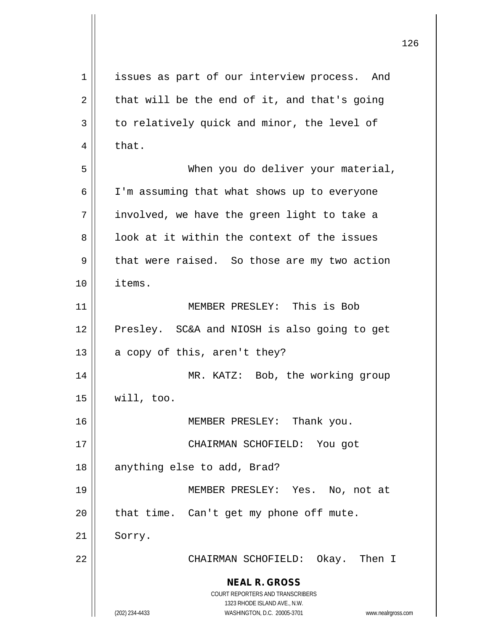**NEAL R. GROSS** COURT REPORTERS AND TRANSCRIBERS 1323 RHODE ISLAND AVE., N.W. (202) 234-4433 WASHINGTON, D.C. 20005-3701 www.nealrgross.com 1 issues as part of our interview process. And  $2 \parallel$  that will be the end of it, and that's going  $3 \parallel$  to relatively quick and minor, the level of  $4 \parallel$  that. 5 When you do deliver your material, 6 | I'm assuming that what shows up to everyone  $7$  || involved, we have the green light to take a  $8 \parallel$  look at it within the context of the issues  $9 \parallel$  that were raised. So those are my two action 10 items. 11 MEMBER PRESLEY: This is Bob 12 || Presley. SC&A and NIOSH is also going to get 13  $\parallel$  a copy of this, aren't they? 14 MR. KATZ: Bob, the working group  $15 \parallel$  will, too. 16 || MEMBER PRESLEY: Thank you. 17 CHAIRMAN SCHOFIELD: You got 18 || anything else to add, Brad? 19 MEMBER PRESLEY: Yes. No, not at  $20$  || that time. Can't get my phone off mute. 21 Sorry. 22 CHAIRMAN SCHOFIELD: Okay. Then I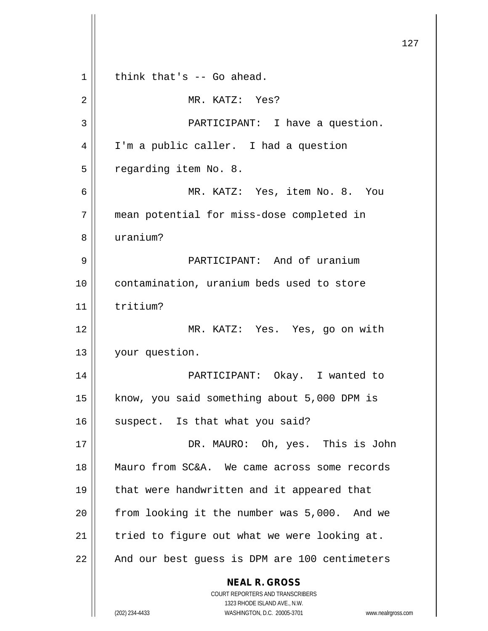**NEAL R. GROSS** COURT REPORTERS AND TRANSCRIBERS 1323 RHODE ISLAND AVE., N.W. (202) 234-4433 WASHINGTON, D.C. 20005-3701 www.nealrgross.com  $1 \parallel$  think that's -- Go ahead. 2 MR. KATZ: Yes? 3 PARTICIPANT: I have a question. 4 I'm a public caller. I had a question 5 | regarding item No. 8. 6 MR. KATZ: Yes, item No. 8. You 7 mean potential for miss-dose completed in 8 uranium? 9 || PARTICIPANT: And of uranium 10 contamination, uranium beds used to store 11 tritium? 12 MR. KATZ: Yes. Yes, go on with 13 | your question. 14 PARTICIPANT: Okay. I wanted to 15 | know, you said something about 5,000 DPM is  $16$  suspect. Is that what you said? 17 DR. MAURO: Oh, yes. This is John 18 Mauro from SC&A. We came across some records 19 || that were handwritten and it appeared that  $20$  | from looking it the number was  $5,000$ . And we  $21$  | tried to figure out what we were looking at. 22 || And our best guess is DPM are 100 centimeters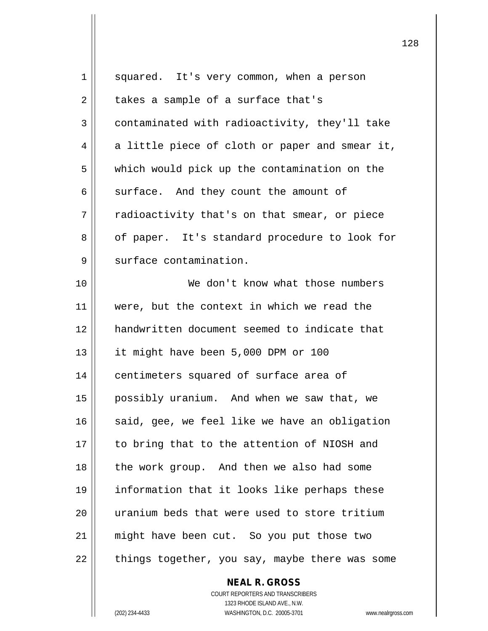| 1  | squared. It's very common, when a person       |
|----|------------------------------------------------|
| 2  | takes a sample of a surface that's             |
| 3  | contaminated with radioactivity, they'll take  |
| 4  | a little piece of cloth or paper and smear it, |
| 5  | which would pick up the contamination on the   |
| 6  | surface. And they count the amount of          |
| 7  | radioactivity that's on that smear, or piece   |
| 8  | of paper. It's standard procedure to look for  |
| 9  | surface contamination.                         |
| 10 | We don't know what those numbers               |
| 11 | were, but the context in which we read the     |
| 12 | handwritten document seemed to indicate that   |
| 13 | it might have been 5,000 DPM or 100            |
| 14 | centimeters squared of surface area of         |
| 15 | possibly uranium. And when we saw that, we     |
| 16 | said, gee, we feel like we have an obligation  |
| 17 | to bring that to the attention of NIOSH and    |
| 18 | the work group. And then we also had some      |
| 19 | information that it looks like perhaps these   |
| 20 | uranium beds that were used to store tritium   |
| 21 | might have been cut. So you put those two      |
| 22 | things together, you say, maybe there was some |
|    |                                                |

COURT REPORTERS AND TRANSCRIBERS 1323 RHODE ISLAND AVE., N.W. (202) 234-4433 WASHINGTON, D.C. 20005-3701 www.nealrgross.com

**NEAL R. GROSS**

 $\mathsf{II}$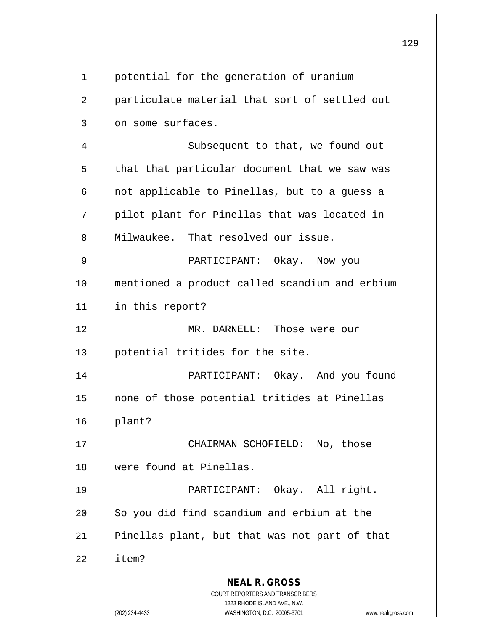|             |                                                                                          | 12 |
|-------------|------------------------------------------------------------------------------------------|----|
|             |                                                                                          |    |
| $\mathbf 1$ | potential for the generation of uranium                                                  |    |
| 2           | particulate material that sort of settled out                                            |    |
| 3           | on some surfaces.                                                                        |    |
| 4           | Subsequent to that, we found out                                                         |    |
| 5           | that that particular document that we saw was                                            |    |
| 6           | not applicable to Pinellas, but to a guess a                                             |    |
| 7           | pilot plant for Pinellas that was located in                                             |    |
| 8           | Milwaukee. That resolved our issue.                                                      |    |
| 9           | PARTICIPANT: Okay. Now you                                                               |    |
| 10          | mentioned a product called scandium and erbium                                           |    |
| 11          | in this report?                                                                          |    |
| 12          | MR. DARNELL: Those were our                                                              |    |
| 13          | potential tritides for the site.                                                         |    |
| 14          | Okay. And you found<br>PARTICIPANT:                                                      |    |
| 15          | none of those potential tritides at Pinellas                                             |    |
| 16          | plant?                                                                                   |    |
| 17          | CHAIRMAN SCHOFIELD: No, those                                                            |    |
| 18          | were found at Pinellas.                                                                  |    |
| 19          | PARTICIPANT: Okay. All right.                                                            |    |
| 20          | So you did find scandium and erbium at the                                               |    |
| 21          | Pinellas plant, but that was not part of that                                            |    |
| 22          | item?                                                                                    |    |
|             | <b>NEAL R. GROSS</b><br>COURT REPORTERS AND TRANSCRIBERS<br>1323 RHODE ISLAND AVE., N.W. |    |
|             | (202) 234-4433<br>WASHINGTON, D.C. 20005-3701<br>www.nealrgross.com                      |    |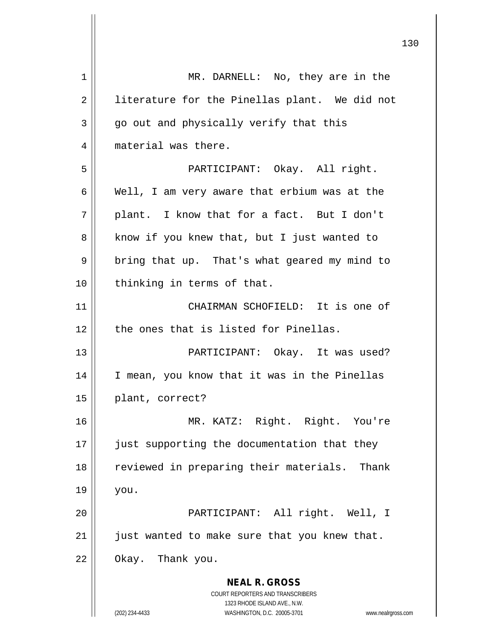**NEAL R. GROSS** COURT REPORTERS AND TRANSCRIBERS 1323 RHODE ISLAND AVE., N.W. (202) 234-4433 WASHINGTON, D.C. 20005-3701 www.nealrgross.com 1 || MR. DARNELL: No, they are in the 2 || literature for the Pinellas plant. We did not  $3 \parallel$  go out and physically verify that this 4 || material was there. 5 PARTICIPANT: Okay. All right. 6 Well, I am very aware that erbium was at the  $7 \parallel$  plant. I know that for a fact. But I don't 8 || know if you knew that, but I just wanted to  $9 \parallel$  bring that up. That's what geared my mind to 10 || thinking in terms of that. 11 CHAIRMAN SCHOFIELD: It is one of 12 the ones that is listed for Pinellas. 13 PARTICIPANT: Okay. It was used? 14 I mean, you know that it was in the Pinellas 15 || plant, correct? 16 MR. KATZ: Right. Right. You're 17 || just supporting the documentation that they 18 || reviewed in preparing their materials. Thank  $19 \parallel$  you. 20 PARTICIPANT: All right. Well, I  $21$  | just wanted to make sure that you knew that.  $22$  || Okay. Thank you.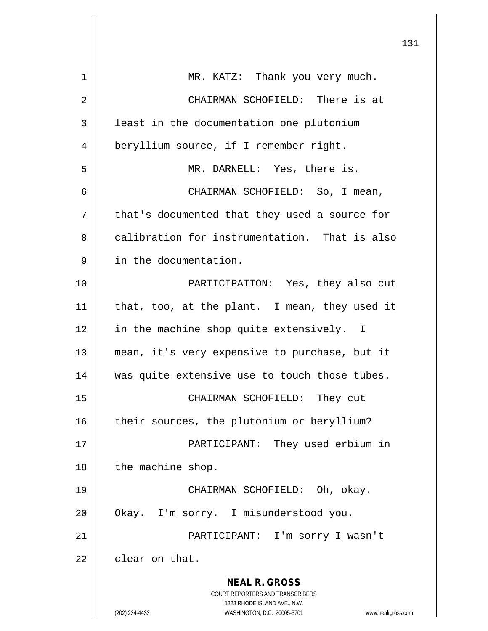| $\mathbf 1$ | MR. KATZ: Thank you very much.                                      |
|-------------|---------------------------------------------------------------------|
| 2           | CHAIRMAN SCHOFIELD: There is at                                     |
| 3           | least in the documentation one plutonium                            |
| 4           | beryllium source, if I remember right.                              |
| 5           | MR. DARNELL: Yes, there is.                                         |
| 6           | CHAIRMAN SCHOFIELD: So, I mean,                                     |
| 7           | that's documented that they used a source for                       |
| 8           | calibration for instrumentation. That is also                       |
| 9           | in the documentation.                                               |
| 10          | PARTICIPATION: Yes, they also cut                                   |
| 11          | that, too, at the plant. I mean, they used it                       |
| 12          | in the machine shop quite extensively. I                            |
| 13          | mean, it's very expensive to purchase, but it                       |
| 14          | was quite extensive use to touch those tubes.                       |
| 15          | CHAIRMAN SCHOFIELD: They cut                                        |
| 16          | their sources, the plutonium or beryllium?                          |
| 17          | PARTICIPANT: They used erbium in                                    |
| 18          | the machine shop.                                                   |
| 19          | CHAIRMAN SCHOFIELD: Oh, okay.                                       |
| 20          | Okay. I'm sorry. I misunderstood you.                               |
| 21          | PARTICIPANT: I'm sorry I wasn't                                     |
| 22          | clear on that.                                                      |
|             | <b>NEAL R. GROSS</b>                                                |
|             | COURT REPORTERS AND TRANSCRIBERS<br>1323 RHODE ISLAND AVE., N.W.    |
|             | (202) 234-4433<br>WASHINGTON, D.C. 20005-3701<br>www.nealrgross.com |

 $\mathsf{I}$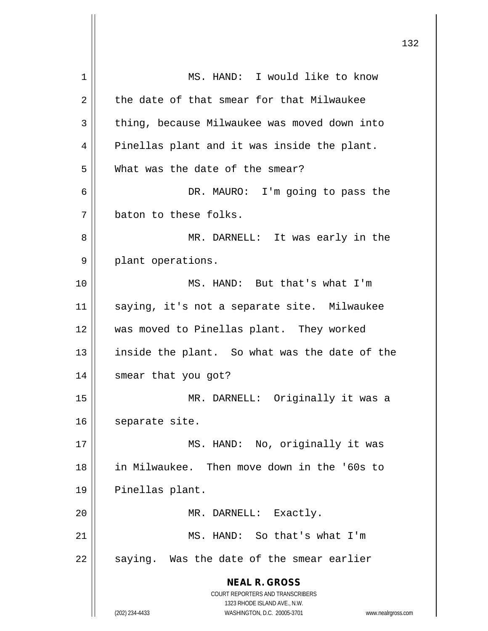| 1  | MS. HAND: I would like to know                                          |
|----|-------------------------------------------------------------------------|
| 2  | the date of that smear for that Milwaukee                               |
| 3  | thing, because Milwaukee was moved down into                            |
| 4  | Pinellas plant and it was inside the plant.                             |
| 5  | What was the date of the smear?                                         |
| 6  | DR. MAURO: I'm going to pass the                                        |
| 7  | baton to these folks.                                                   |
| 8  | MR. DARNELL: It was early in the                                        |
| 9  | plant operations.                                                       |
| 10 | MS. HAND: But that's what I'm                                           |
| 11 | saying, it's not a separate site. Milwaukee                             |
| 12 | was moved to Pinellas plant. They worked                                |
| 13 | inside the plant. So what was the date of the                           |
| 14 | smear that you got?                                                     |
| 15 | MR. DARNELL: Originally it was a                                        |
| 16 | separate site.                                                          |
| 17 | MS. HAND: No, originally it was                                         |
| 18 | in Milwaukee. Then move down in the '60s to                             |
| 19 | Pinellas plant.                                                         |
| 20 | MR. DARNELL: Exactly.                                                   |
| 21 | MS. HAND: So that's what I'm                                            |
| 22 | saying. Was the date of the smear earlier                               |
|    | <b>NEAL R. GROSS</b>                                                    |
|    | <b>COURT REPORTERS AND TRANSCRIBERS</b><br>1323 RHODE ISLAND AVE., N.W. |
|    | WASHINGTON, D.C. 20005-3701<br>(202) 234-4433<br>www.nealrgross.com     |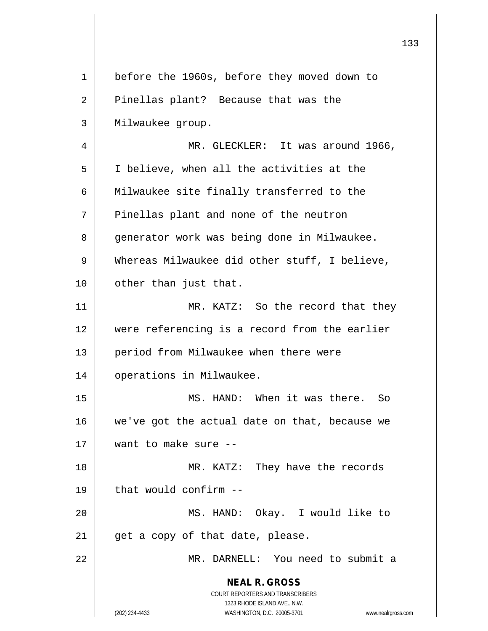**NEAL R. GROSS** COURT REPORTERS AND TRANSCRIBERS 1323 RHODE ISLAND AVE., N.W. (202) 234-4433 WASHINGTON, D.C. 20005-3701 www.nealrgross.com 1 || before the 1960s, before they moved down to 2 || Pinellas plant? Because that was the 3 Milwaukee group. 4 | MR. GLECKLER: It was around 1966, 5 I believe, when all the activities at the 6 | Milwaukee site finally transferred to the  $7$  || Pinellas plant and none of the neutron 8 | generator work was being done in Milwaukee. 9 Whereas Milwaukee did other stuff, I believe, 10 || other than just that. 11 || MR. KATZ: So the record that they 12 were referencing is a record from the earlier 13 || period from Milwaukee when there were 14 | operations in Milwaukee. 15 MS. HAND: When it was there. So  $16$  we've got the actual date on that, because we 17 want to make sure -- 18 MR. KATZ: They have the records  $19$   $\parallel$  that would confirm  $-$ 20 MS. HAND: Okay. I would like to  $21$  | get a copy of that date, please. 22 MR. DARNELL: You need to submit a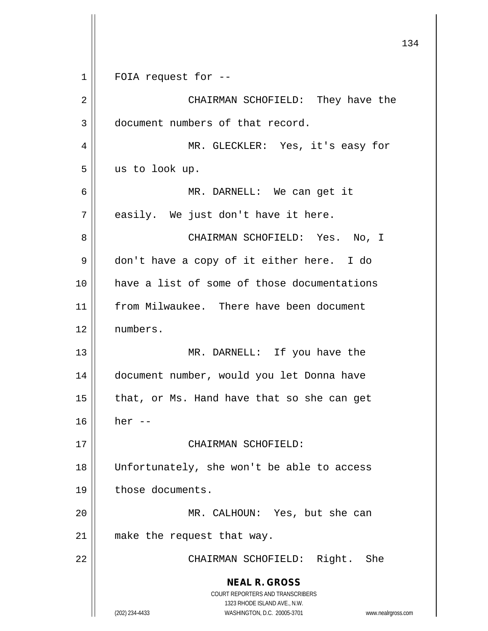|    | 13                                                                                                                                                              |
|----|-----------------------------------------------------------------------------------------------------------------------------------------------------------------|
| 1  | FOIA request for --                                                                                                                                             |
| 2  | CHAIRMAN SCHOFIELD: They have the                                                                                                                               |
| 3  | document numbers of that record.                                                                                                                                |
| 4  | MR. GLECKLER: Yes, it's easy for                                                                                                                                |
| 5  | us to look up.                                                                                                                                                  |
| 6  | MR. DARNELL: We can get it                                                                                                                                      |
| 7  | easily. We just don't have it here.                                                                                                                             |
| 8  | CHAIRMAN SCHOFIELD: Yes. No, I                                                                                                                                  |
| 9  | don't have a copy of it either here. I do                                                                                                                       |
| 10 | have a list of some of those documentations                                                                                                                     |
| 11 | from Milwaukee. There have been document                                                                                                                        |
| 12 | numbers.                                                                                                                                                        |
| 13 | MR. DARNELL: If you have the                                                                                                                                    |
| 14 | document number, would you let Donna have                                                                                                                       |
| 15 | that, or Ms. Hand have that so she can get                                                                                                                      |
| 16 | her $--$                                                                                                                                                        |
| 17 | CHAIRMAN SCHOFIELD:                                                                                                                                             |
| 18 | Unfortunately, she won't be able to access                                                                                                                      |
| 19 | those documents.                                                                                                                                                |
| 20 | MR. CALHOUN: Yes, but she can                                                                                                                                   |
| 21 | make the request that way.                                                                                                                                      |
| 22 | CHAIRMAN SCHOFIELD: Right. She                                                                                                                                  |
|    | <b>NEAL R. GROSS</b><br>COURT REPORTERS AND TRANSCRIBERS<br>1323 RHODE ISLAND AVE., N.W.<br>(202) 234-4433<br>WASHINGTON, D.C. 20005-3701<br>www.nealrgross.com |

 $\overline{\phantom{a}}$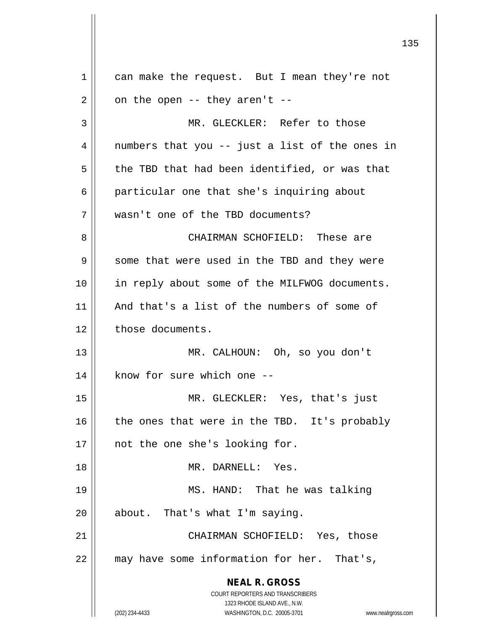**NEAL R. GROSS** COURT REPORTERS AND TRANSCRIBERS 1323 RHODE ISLAND AVE., N.W. (202) 234-4433 WASHINGTON, D.C. 20005-3701 www.nealrgross.com 1 can make the request. But I mean they're not  $2 \parallel$  on the open -- they aren't --3 || MR. GLECKLER: Refer to those  $4 \parallel$  numbers that you -- just a list of the ones in  $5 \parallel$  the TBD that had been identified, or was that 6 | particular one that she's inquiring about 7 wasn't one of the TBD documents? 8 CHAIRMAN SCHOFIELD: These are 9 Some that were used in the TBD and they were 10 in reply about some of the MILFWOG documents. 11 And that's a list of the numbers of some of 12 | those documents. 13 MR. CALHOUN: Oh, so you don't  $14$  || know for sure which one  $-$ 15 MR. GLECKLER: Yes, that's just  $16$  the ones that were in the TBD. It's probably 17 || not the one she's looking for. 18 MR. DARNELL: Yes. 19 MS. HAND: That he was talking  $20$  || about. That's what I'm saying. 21 CHAIRMAN SCHOFIELD: Yes, those 22 || may have some information for her. That's,